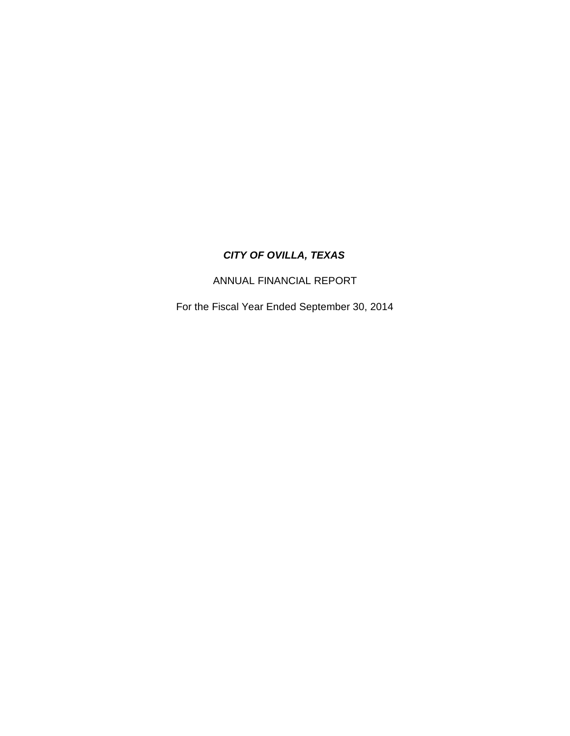# ANNUAL FINANCIAL REPORT

For the Fiscal Year Ended September 30, 2014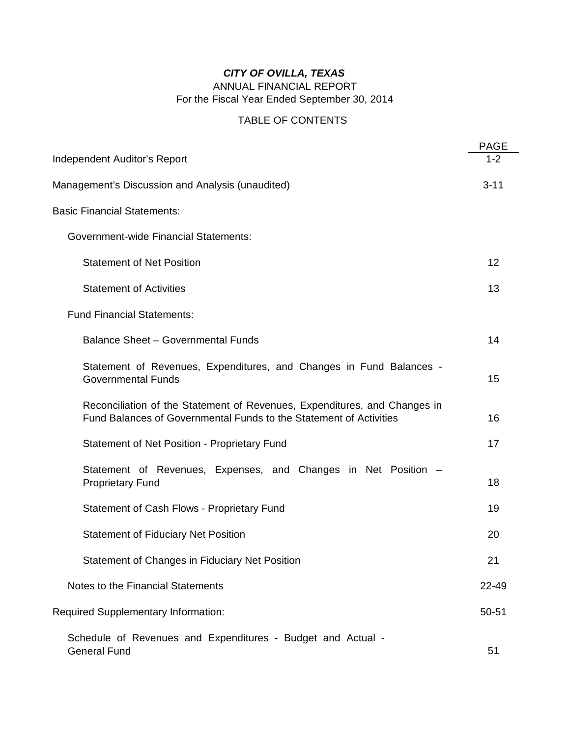# ANNUAL FINANCIAL REPORT For the Fiscal Year Ended September 30, 2014

# TABLE OF CONTENTS

|                                                                                                                                                 | <b>PAGE</b> |
|-------------------------------------------------------------------------------------------------------------------------------------------------|-------------|
| Independent Auditor's Report                                                                                                                    | $1 - 2$     |
| Management's Discussion and Analysis (unaudited)                                                                                                | $3 - 11$    |
| <b>Basic Financial Statements:</b>                                                                                                              |             |
| <b>Government-wide Financial Statements:</b>                                                                                                    |             |
| <b>Statement of Net Position</b>                                                                                                                | 12          |
| <b>Statement of Activities</b>                                                                                                                  | 13          |
| <b>Fund Financial Statements:</b>                                                                                                               |             |
| <b>Balance Sheet - Governmental Funds</b>                                                                                                       | 14          |
| Statement of Revenues, Expenditures, and Changes in Fund Balances -<br><b>Governmental Funds</b>                                                | 15          |
| Reconciliation of the Statement of Revenues, Expenditures, and Changes in<br>Fund Balances of Governmental Funds to the Statement of Activities | 16          |
| Statement of Net Position - Proprietary Fund                                                                                                    | 17          |
| Statement of Revenues, Expenses, and Changes in Net Position -<br><b>Proprietary Fund</b>                                                       | 18          |
| Statement of Cash Flows - Proprietary Fund                                                                                                      | 19          |
| <b>Statement of Fiduciary Net Position</b>                                                                                                      | 20          |
| Statement of Changes in Fiduciary Net Position                                                                                                  | 21          |
| Notes to the Financial Statements                                                                                                               | 22-49       |
| <b>Required Supplementary Information:</b>                                                                                                      | 50-51       |
| Schedule of Revenues and Expenditures - Budget and Actual -<br><b>General Fund</b>                                                              | 51          |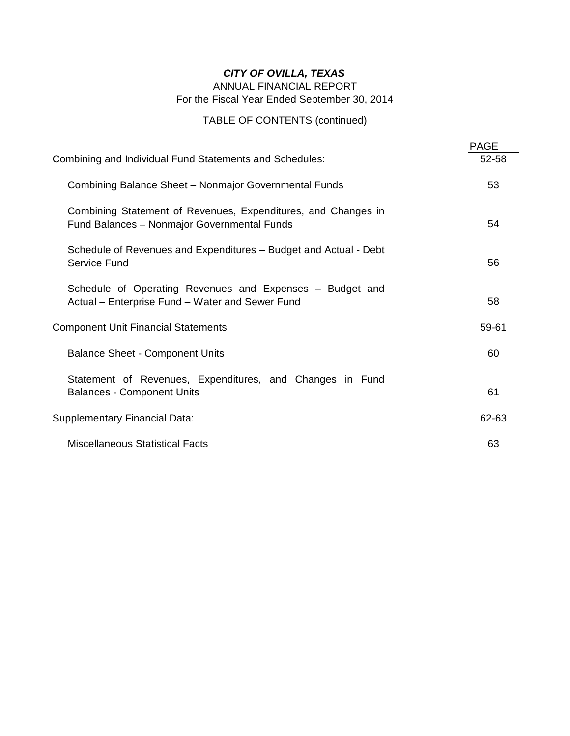# ANNUAL FINANCIAL REPORT

# For the Fiscal Year Ended September 30, 2014

# TABLE OF CONTENTS (continued)

|                                                                                                              | <b>PAGE</b> |
|--------------------------------------------------------------------------------------------------------------|-------------|
| Combining and Individual Fund Statements and Schedules:                                                      | 52-58       |
| Combining Balance Sheet - Nonmajor Governmental Funds                                                        | 53          |
| Combining Statement of Revenues, Expenditures, and Changes in<br>Fund Balances - Nonmajor Governmental Funds | 54          |
| Schedule of Revenues and Expenditures – Budget and Actual - Debt<br>Service Fund                             | 56          |
| Schedule of Operating Revenues and Expenses – Budget and<br>Actual - Enterprise Fund - Water and Sewer Fund  | 58          |
| <b>Component Unit Financial Statements</b>                                                                   | 59-61       |
| <b>Balance Sheet - Component Units</b>                                                                       | 60          |
| Statement of Revenues, Expenditures, and Changes in Fund<br><b>Balances - Component Units</b>                | 61          |
| <b>Supplementary Financial Data:</b>                                                                         | 62-63       |
| <b>Miscellaneous Statistical Facts</b>                                                                       | 63          |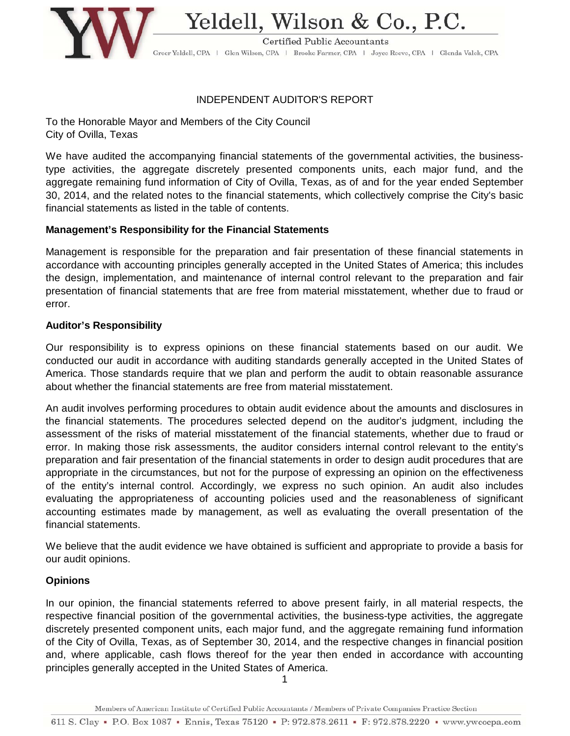

# Yeldell, Wilson & Co., P.C.

Certified Public Accountants Greer Yeldell, CPA | Glen Wilson, CPA | Brooke Farmer, CPA | Joyce Reeve, CPA | Glenda Valek, CPA

# INDEPENDENT AUDITOR'S REPORT

To the Honorable Mayor and Members of the City Council City of Ovilla, Texas

We have audited the accompanying financial statements of the governmental activities, the businesstype activities, the aggregate discretely presented components units, each major fund, and the aggregate remaining fund information of City of Ovilla, Texas, as of and for the year ended September 30, 2014, and the related notes to the financial statements, which collectively comprise the City's basic financial statements as listed in the table of contents.

# **Management's Responsibility for the Financial Statements**

Management is responsible for the preparation and fair presentation of these financial statements in accordance with accounting principles generally accepted in the United States of America; this includes the design, implementation, and maintenance of internal control relevant to the preparation and fair presentation of financial statements that are free from material misstatement, whether due to fraud or error.

# **Auditor's Responsibility**

Our responsibility is to express opinions on these financial statements based on our audit. We conducted our audit in accordance with auditing standards generally accepted in the United States of America. Those standards require that we plan and perform the audit to obtain reasonable assurance about whether the financial statements are free from material misstatement.

An audit involves performing procedures to obtain audit evidence about the amounts and disclosures in the financial statements. The procedures selected depend on the auditor's judgment, including the assessment of the risks of material misstatement of the financial statements, whether due to fraud or error. In making those risk assessments, the auditor considers internal control relevant to the entity's preparation and fair presentation of the financial statements in order to design audit procedures that are appropriate in the circumstances, but not for the purpose of expressing an opinion on the effectiveness of the entity's internal control. Accordingly, we express no such opinion. An audit also includes evaluating the appropriateness of accounting policies used and the reasonableness of significant accounting estimates made by management, as well as evaluating the overall presentation of the financial statements.

We believe that the audit evidence we have obtained is sufficient and appropriate to provide a basis for our audit opinions.

# **Opinions**

In our opinion, the financial statements referred to above present fairly, in all material respects, the respective financial position of the governmental activities, the business-type activities, the aggregate discretely presented component units, each major fund, and the aggregate remaining fund information of the City of Ovilla, Texas, as of September 30, 2014, and the respective changes in financial position and, where applicable, cash flows thereof for the year then ended in accordance with accounting principles generally accepted in the United States of America.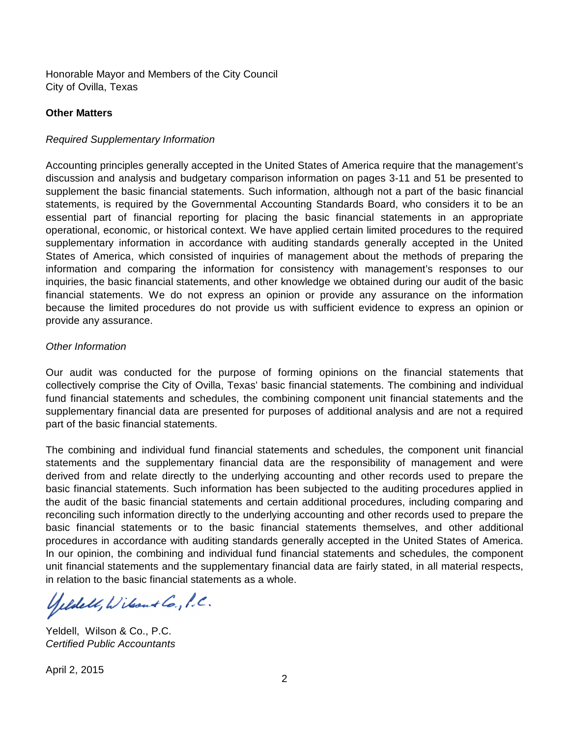Honorable Mayor and Members of the City Council City of Ovilla, Texas

### **Other Matters**

# Required Supplementary Information **reasonable about whether the financial statements are free of material statements are free of material statements are free of material statements are free of material statements are free**

Accounting principles generally accepted in the United States of America require that the management's discussion and analysis and budgetary comparison information on pages 3-11 and 51 be presented to supplement the basic financial statements. Such information, although not a part of the basic financial statements, is required by the Governmental Accounting Standards Board, who considers it to be an essential part of financial reporting for placing the basic financial statements in an appropriate operational, economic, or historical context. We have applied certain limited procedures to the required supplementary information in accordance with auditing standards generally accepted in the United States of America, which consisted of inquiries of management about the methods of preparing the information and comparing the information for consistency with management's responses to our \$200. inquiries, the basic financial statements, and other knowledge we obtained during our audit of the basic financial statements. We do not express an opinion or provide any assurance on the information because the limited procedures do not provide us with sufficient evidence to express an opinion or provide any assurance. That we agree that we agree that we agree that we agree that we agree that we agree that we agree that we agree that we agree that we agree that we agree that we agree that we agree that we agree tha misstatement, we will perform tests of City of Palmer, Texas' compliance with the provisions of Accounting principles generally accepted in the United States of America require that the management

# **Other Information of respectively** involved and the experience level of the personnel assigned to your audit of the personnel assigned to your audit of the personnel assigned to your audit of the personnel assigned to y

Our audit was conducted for the purpose of forming opinions on the financial statements that our dearnable conductive for the parpose of forming opinions on the microsic catemicity may not collectively comprise the City of Ovilla, Texas' basic financial statements. The combining and individual fund financial statements and schedules, the combining component unit financial statements and the supplementary financial data are presented for purposes of additional analysis and are not a required part of the basic financial statements.  $\mathbf{r}$ tund imanual statements and surrounce, the complimity component unit mianual statements and the

The combining and individual fund financial statements and schedules, the component unit financial statements and the supplementary financial data are the responsibility of management and were derived from and relate directly to the underlying accounting and other records used to prepare the basic financial statements. Such information has been subjected to the auditing procedures applied in the audit of the basic financial statements and certain additional procedures, including comparing and reconciling such information directly to the underlying accounting and other records used to prepare the recent in great information allectly to the different and statements themselves, and other additional basic financial statements or to the basic financial statements themselves, and other additional procedures in accordance with auditing standards generally accepted in the United States of America. In our opinion, the combining and individual fund financial statements and schedules, the component unit financial statements and the supplementary financial data are fairly stated, in all material respects, in relation to the basic financial statements as a whole. vasio inianoial statellients of to the vasio inianoial statellients themselves, and other additions

Yeldell, Wilsont Co., P.C.

Yeldell, Wilson & Co., P.C. Yeldell, Wilson & Co., P.C. *Certified Public Accountants Certified Public Accountants* 

April 2, 2015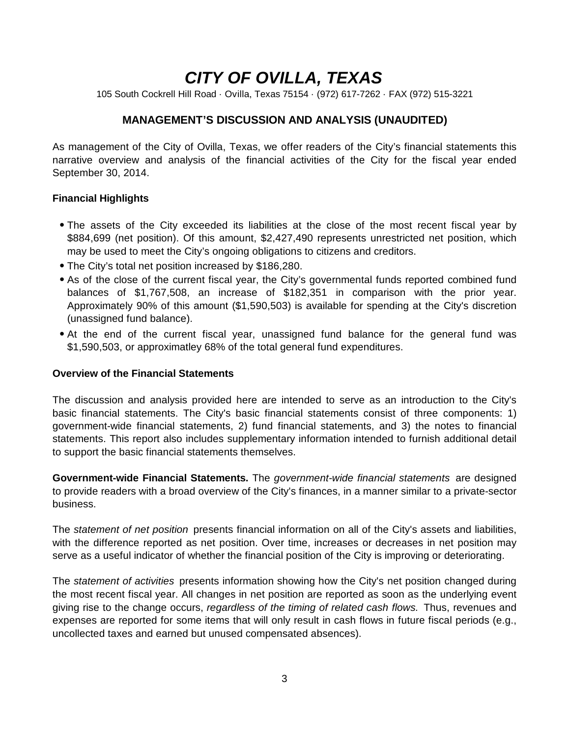105 South Cockrell Hill Road · Ovilla, Texas 75154 · (972) 617-7262 · FAX (972) 515-3221

# **MANAGEMENT'S DISCUSSION AND ANALYSIS (UNAUDITED)**

As management of the City of Ovilla, Texas, we offer readers of the City's financial statements this narrative overview and analysis of the financial activities of the City for the fiscal year ended September 30, 2014.

# **Financial Highlights**

- The assets of the City exceeded its liabilities at the close of the most recent fiscal year by \$884,699 (net position). Of this amount, \$2,427,490 represents unrestricted net position, which may be used to meet the City's ongoing obligations to citizens and creditors.
- The City's total net position increased by \$186,280.
- As of the close of the current fiscal year, the City's governmental funds reported combined fund balances of \$1,767,508, an increase of \$182,351 in comparison with the prior year. Approximately 90% of this amount (\$1,590,503) is available for spending at the City's discretion (unassigned fund balance).
- At the end of the current fiscal year, unassigned fund balance for the general fund was \$1,590,503, or approximatley 68% of the total general fund expenditures.

# **Overview of the Financial Statements**

The discussion and analysis provided here are intended to serve as an introduction to the City's basic financial statements. The City's basic financial statements consist of three components: 1) government-wide financial statements, 2) fund financial statements, and 3) the notes to financial statements. This report also includes supplementary information intended to furnish additional detail to support the basic financial statements themselves.

**Government-wide Financial Statements.** The *government-wide financial statements* are designed to provide readers with a broad overview of the City's finances, in a manner similar to a private-sector business.

The *statement of net position* presents financial information on all of the City's assets and liabilities, with the difference reported as net position. Over time, increases or decreases in net position may serve as a useful indicator of whether the financial position of the City is improving or deteriorating.

The *statement of activities* presents information showing how the City's net position changed during the most recent fiscal year. All changes in net position are reported as soon as the underlying event giving rise to the change occurs, *regardless of the timing of related cash flows.* Thus, revenues and expenses are reported for some items that will only result in cash flows in future fiscal periods (e.g., uncollected taxes and earned but unused compensated absences).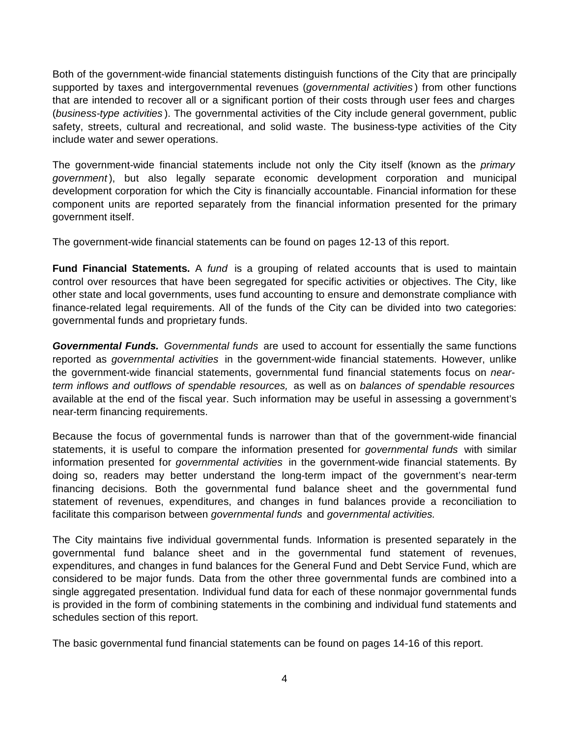Both of the government-wide financial statements distinguish functions of the City that are principally supported by taxes and intergovernmental revenues (*governmental activities* ) from other functions that are intended to recover all or a significant portion of their costs through user fees and charges (*business-type activities* ). The governmental activities of the City include general government, public safety, streets, cultural and recreational, and solid waste. The business-type activities of the City include water and sewer operations.

The government-wide financial statements include not only the City itself (known as the *primary government* ), but also legally separate economic development corporation and municipal development corporation for which the City is financially accountable. Financial information for these component units are reported separately from the financial information presented for the primary government itself.

The government-wide financial statements can be found on pages 12-13 of this report.

**Fund Financial Statements.** A *fund* is a grouping of related accounts that is used to maintain control over resources that have been segregated for specific activities or objectives. The City, like other state and local governments, uses fund accounting to ensure and demonstrate compliance with finance-related legal requirements. All of the funds of the City can be divided into two categories: governmental funds and proprietary funds.

*Governmental Funds. Governmental funds* are used to account for essentially the same functions reported as *governmental activities* in the government-wide financial statements. However, unlike the government-wide financial statements, governmental fund financial statements focus on *nearterm inflows and outflows of spendable resources,* as well as on *balances of spendable resources* available at the end of the fiscal year. Such information may be useful in assessing a government's near-term financing requirements.

Because the focus of governmental funds is narrower than that of the government-wide financial statements, it is useful to compare the information presented for *governmental funds* with similar information presented for *governmental activities* in the government-wide financial statements. By doing so, readers may better understand the long-term impact of the government's near-term financing decisions. Both the governmental fund balance sheet and the governmental fund statement of revenues, expenditures, and changes in fund balances provide a reconciliation to facilitate this comparison between *governmental funds* and *governmental activities.*

The City maintains five individual governmental funds. Information is presented separately in the governmental fund balance sheet and in the governmental fund statement of revenues, expenditures, and changes in fund balances for the General Fund and Debt Service Fund, which are considered to be major funds. Data from the other three governmental funds are combined into a single aggregated presentation. Individual fund data for each of these nonmajor governmental funds is provided in the form of combining statements in the combining and individual fund statements and schedules section of this report.

The basic governmental fund financial statements can be found on pages 14-16 of this report.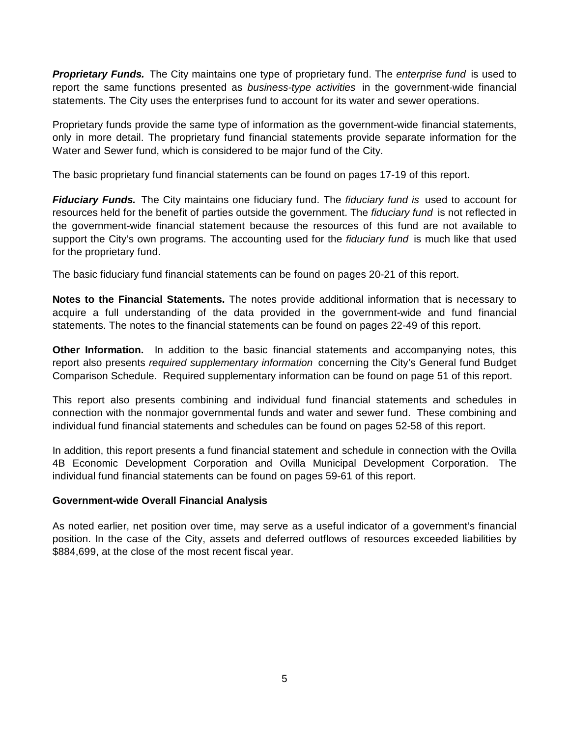*Proprietary Funds.* The City maintains one type of proprietary fund. The *enterprise fund* is used to report the same functions presented as *business-type activities* in the government-wide financial statements. The City uses the enterprises fund to account for its water and sewer operations.

Proprietary funds provide the same type of information as the government-wide financial statements, only in more detail. The proprietary fund financial statements provide separate information for the Water and Sewer fund, which is considered to be major fund of the City.

The basic proprietary fund financial statements can be found on pages 17-19 of this report.

*Fiduciary Funds.* The City maintains one fiduciary fund. The *fiduciary fund is* used to account for resources held for the benefit of parties outside the government. The *fiduciary fund* is not reflected in the government-wide financial statement because the resources of this fund are not available to support the City's own programs. The accounting used for the *fiduciary fund* is much like that used for the proprietary fund.

The basic fiduciary fund financial statements can be found on pages 20-21 of this report.

**Notes to the Financial Statements.** The notes provide additional information that is necessary to acquire a full understanding of the data provided in the government-wide and fund financial statements. The notes to the financial statements can be found on pages 22-49 of this report.

**Other Information.** In addition to the basic financial statements and accompanying notes, this report also presents *required supplementary information* concerning the City's General fund Budget Comparison Schedule. Required supplementary information can be found on page 51 of this report.

This report also presents combining and individual fund financial statements and schedules in connection with the nonmajor governmental funds and water and sewer fund. These combining and individual fund financial statements and schedules can be found on pages 52-58 of this report.

In addition, this report presents a fund financial statement and schedule in connection with the Ovilla 4B Economic Development Corporation and Ovilla Municipal Development Corporation. The individual fund financial statements can be found on pages 59-61 of this report.

#### **Government-wide Overall Financial Analysis**

As noted earlier, net position over time, may serve as a useful indicator of a government's financial position. In the case of the City, assets and deferred outflows of resources exceeded liabilities by \$884,699, at the close of the most recent fiscal year.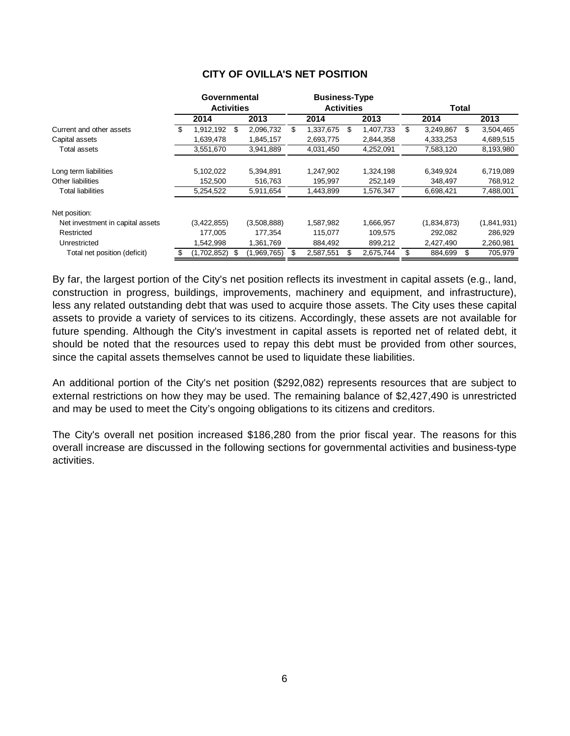|                                  |    | Governmental |                   |             |    | <b>Business-Type</b> |     |              |                 |    |             |
|----------------------------------|----|--------------|-------------------|-------------|----|----------------------|-----|--------------|-----------------|----|-------------|
|                                  |    |              | <b>Activities</b> |             |    | <b>Activities</b>    |     | <b>Total</b> |                 |    |             |
|                                  |    | 2014         |                   | 2013        |    | 2014                 |     | 2013         | 2014            |    | 2013        |
| Current and other assets         | S  | 1,912,192    | \$                | 2,096,732   | \$ | 1,337,675            | \$. | 1,407,733    | \$<br>3,249,867 | \$ | 3,504,465   |
| Capital assets                   |    | 1,639,478    |                   | 1,845,157   |    | 2,693,775            |     | 2,844,358    | 4,333,253       |    | 4,689,515   |
| Total assets                     |    | 3,551,670    |                   | 3,941,889   |    | 4,031,450            |     | 4,252,091    | 7,583,120       |    | 8,193,980   |
|                                  |    |              |                   |             |    |                      |     |              |                 |    |             |
| Long term liabilities            |    | 5,102,022    |                   | 5,394,891   |    | 1,247,902            |     | 1,324,198    | 6,349,924       |    | 6,719,089   |
| Other liabilities                |    | 152,500      |                   | 516,763     |    | 195,997              |     | 252,149      | 348,497         |    | 768,912     |
| Total liabilities                |    | 5,254,522    |                   | 5,911,654   |    | 1,443,899            |     | 1,576,347    | 6,698,421       |    | 7,488,001   |
| Net position:                    |    |              |                   |             |    |                      |     |              |                 |    |             |
| Net investment in capital assets |    | (3,422,855)  |                   | (3,508,888) |    | 1,587,982            |     | 1,666,957    | (1,834,873)     |    | (1,841,931) |
| Restricted                       |    | 177.005      |                   | 177.354     |    | 115,077              |     | 109,575      | 292,082         |    | 286,929     |
| Unrestricted                     |    | 1,542,998    |                   | 1,361,769   |    | 884,492              |     | 899,212      | 2,427,490       |    | 2,260,981   |
| Total net position (deficit)     | \$ | (1,702,852)  |                   | (1,969,765) |    | 2,587,551            |     | 2,675,744    | 884,699         | S  | 705.979     |

# **CITY OF OVILLA'S NET POSITION**

By far, the largest portion of the City's net position reflects its investment in capital assets (e.g., land, construction in progress, buildings, improvements, machinery and equipment, and infrastructure), less any related outstanding debt that was used to acquire those assets. The City uses these capital assets to provide a variety of services to its citizens. Accordingly, these assets are not available for future spending. Although the City's investment in capital assets is reported net of related debt, it should be noted that the resources used to repay this debt must be provided from other sources, since the capital assets themselves cannot be used to liquidate these liabilities.

An additional portion of the City's net position (\$292,082) represents resources that are subject to external restrictions on how they may be used. The remaining balance of \$2,427,490 is unrestricted and may be used to meet the City's ongoing obligations to its citizens and creditors.

The City's overall net position increased \$186,280 from the prior fiscal year. The reasons for this overall increase are discussed in the following sections for governmental activities and business-type activities.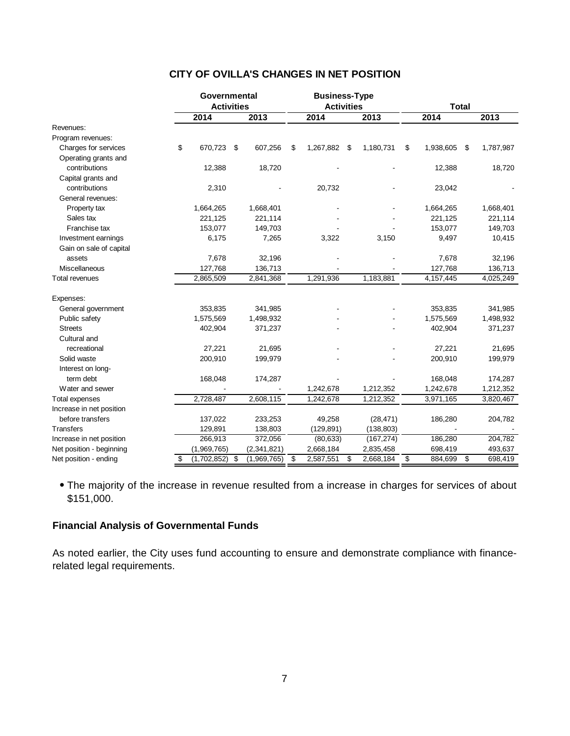|                          | Governmental      |                   |    | <b>Business-Type</b> |                 |              |             |    |           |
|--------------------------|-------------------|-------------------|----|----------------------|-----------------|--------------|-------------|----|-----------|
|                          | <b>Activities</b> |                   |    | <b>Activities</b>    |                 | <b>Total</b> |             |    |           |
|                          | 2014              | 2013              |    | 2014                 | 2013            |              | 2014        |    | 2013      |
| Revenues:                |                   |                   |    |                      |                 |              |             |    |           |
| Program revenues:        |                   |                   |    |                      |                 |              |             |    |           |
| Charges for services     | \$<br>670,723     | \$<br>607,256     | \$ | 1,267,882            | \$<br>1,180,731 | \$           | 1,938,605   | \$ | 1,787,987 |
| Operating grants and     |                   |                   |    |                      |                 |              |             |    |           |
| contributions            | 12,388            | 18,720            |    |                      |                 |              | 12,388      |    | 18,720    |
| Capital grants and       |                   |                   |    |                      |                 |              |             |    |           |
| contributions            | 2,310             |                   |    | 20,732               |                 |              | 23,042      |    |           |
| General revenues:        |                   |                   |    |                      |                 |              |             |    |           |
| Property tax             | 1,664,265         | 1,668,401         |    |                      |                 |              | 1,664,265   |    | 1,668,401 |
| Sales tax                | 221.125           | 221,114           |    |                      |                 |              | 221,125     |    | 221,114   |
| Franchise tax            | 153,077           | 149,703           |    |                      |                 |              | 153,077     |    | 149,703   |
| Investment earnings      | 6,175             | 7,265             |    | 3,322                | 3,150           |              | 9,497       |    | 10,415    |
| Gain on sale of capital  |                   |                   |    |                      |                 |              |             |    |           |
| assets                   | 7,678             | 32,196            |    |                      |                 |              | 7,678       |    | 32,196    |
| Miscellaneous            | 127,768           | 136,713           |    |                      |                 |              | 127,768     |    | 136,713   |
| Total revenues           | 2,865,509         | 2,841,368         |    | 1,291,936            | 1,183,881       |              | 4, 157, 445 |    | 4,025,249 |
| Expenses:                |                   |                   |    |                      |                 |              |             |    |           |
| General government       | 353,835           | 341,985           |    |                      |                 |              | 353,835     |    | 341,985   |
| Public safety            | 1,575,569         | 1,498,932         |    |                      |                 |              | 1,575,569   |    | 1,498,932 |
| <b>Streets</b>           | 402,904           | 371,237           |    |                      |                 |              | 402,904     |    | 371,237   |
| Cultural and             |                   |                   |    |                      |                 |              |             |    |           |
| recreational             | 27,221            | 21,695            |    |                      |                 |              | 27,221      |    | 21,695    |
| Solid waste              | 200,910           | 199,979           |    |                      |                 |              | 200,910     |    | 199,979   |
| Interest on long-        |                   |                   |    |                      |                 |              |             |    |           |
| term debt                | 168,048           | 174,287           |    |                      |                 |              | 168,048     |    | 174,287   |
| Water and sewer          |                   |                   |    | 1,242,678            | 1,212,352       |              | 1,242,678   |    | 1,212,352 |
| Total expenses           | 2,728,487         | 2,608,115         |    | 1,242,678            | 1,212,352       |              | 3,971,165   |    | 3,820,467 |
| Increase in net position |                   |                   |    |                      |                 |              |             |    |           |
| before transfers         | 137,022           | 233,253           |    | 49,258               | (28, 471)       |              | 186,280     |    | 204,782   |
| Transfers                | 129,891           | 138,803           |    | (129, 891)           | (138, 803)      |              |             |    |           |
| Increase in net position | 266,913           | 372,056           |    | (80, 633)            | (167, 274)      |              | 186,280     |    | 204,782   |
| Net position - beginning | (1,969,765)       | (2,341,821)       |    | 2,668,184            | 2,835,458       |              | 698,419     |    | 493,637   |
| Net position - ending    | \$<br>(1,702,852) | \$<br>(1,969,765) | s, | 2,587,551            | \$<br>2,668,184 | \$           | 884,699     | \$ | 698,419   |

# **CITY OF OVILLA'S CHANGES IN NET POSITION**

 The majority of the increase in revenue resulted from a increase in charges for services of about \$151,000.

# **Financial Analysis of Governmental Funds**

As noted earlier, the City uses fund accounting to ensure and demonstrate compliance with financerelated legal requirements.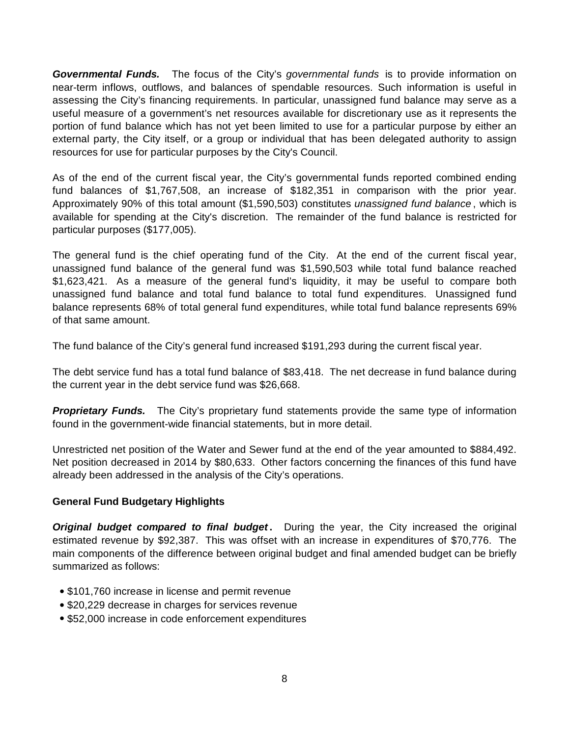*Governmental Funds.* The focus of the City's *governmental funds* is to provide information on near-term inflows, outflows, and balances of spendable resources. Such information is useful in assessing the City's financing requirements. In particular, unassigned fund balance may serve as a useful measure of a government's net resources available for discretionary use as it represents the portion of fund balance which has not yet been limited to use for a particular purpose by either an external party, the City itself, or a group or individual that has been delegated authority to assign resources for use for particular purposes by the City's Council.

As of the end of the current fiscal year, the City's governmental funds reported combined ending fund balances of \$1,767,508, an increase of \$182,351 in comparison with the prior year. Approximately 90% of this total amount (\$1,590,503) constitutes *unassigned fund balance* , which is available for spending at the City's discretion. The remainder of the fund balance is restricted for particular purposes (\$177,005).

The general fund is the chief operating fund of the City. At the end of the current fiscal year, unassigned fund balance of the general fund was \$1,590,503 while total fund balance reached \$1,623,421. As a measure of the general fund's liquidity, it may be useful to compare both unassigned fund balance and total fund balance to total fund expenditures. Unassigned fund balance represents 68% of total general fund expenditures, while total fund balance represents 69% of that same amount.

The fund balance of the City's general fund increased \$191,293 during the current fiscal year.

The debt service fund has a total fund balance of \$83,418. The net decrease in fund balance during the current year in the debt service fund was \$26,668.

**Proprietary Funds.** The City's proprietary fund statements provide the same type of information found in the government-wide financial statements, but in more detail.

Unrestricted net position of the Water and Sewer fund at the end of the year amounted to \$884,492. Net position decreased in 2014 by \$80,633. Other factors concerning the finances of this fund have already been addressed in the analysis of the City's operations.

# **General Fund Budgetary Highlights**

*Original budget compared to final budget***.** During the year, the City increased the original estimated revenue by \$92,387. This was offset with an increase in expenditures of \$70,776. The main components of the difference between original budget and final amended budget can be briefly summarized as follows:

- \$101,760 increase in license and permit revenue
- \$20,229 decrease in charges for services revenue
- \$52,000 increase in code enforcement expenditures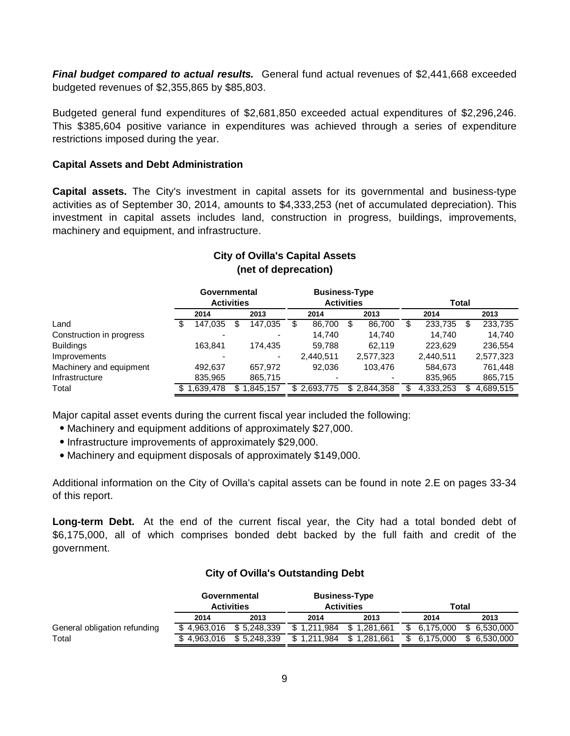*Final budget compared to actual results.* General fund actual revenues of \$2,441,668 exceeded budgeted revenues of \$2,355,865 by \$85,803.

Budgeted general fund expenditures of \$2,681,850 exceeded actual expenditures of \$2,296,246. This \$385,604 positive variance in expenditures was achieved through a series of expenditure restrictions imposed during the year.

#### **Capital Assets and Debt Administration**

**Capital assets.** The City's investment in capital assets for its governmental and business-type activities as of September 30, 2014, amounts to \$4,333,253 (net of accumulated depreciation). This investment in capital assets includes land, construction in progress, buildings, improvements, machinery and equipment, and infrastructure.

|                          | Governmental<br><b>Activities</b> |          |   | <b>Business-Type</b><br><b>Activities</b> |   |             |     |                          | Total |           |    |           |
|--------------------------|-----------------------------------|----------|---|-------------------------------------------|---|-------------|-----|--------------------------|-------|-----------|----|-----------|
|                          |                                   | 2014     |   | 2013                                      |   | 2014        |     | 2013                     |       | 2014      |    | 2013      |
| Land                     | S                                 | 147,035  | S | 147,035                                   | S | 86,700      | \$  | 86,700                   |       | 233,735   | \$ | 233,735   |
| Construction in progress |                                   |          |   |                                           |   | 14.740      |     | 14.740                   |       | 14.740    |    | 14.740    |
| <b>Buildings</b>         |                                   | 163.841  |   | 174.435                                   |   | 59,788      |     | 62.119                   |       | 223,629   |    | 236,554   |
| Improvements             |                                   |          |   | ٠                                         |   | 2,440,511   |     | 2,577,323                |       | 2,440,511 |    | 2,577,323 |
| Machinery and equipment  |                                   | 492,637  |   | 657,972                                   |   | 92.036      |     | 103,476                  |       | 584,673   |    | 761,448   |
| Infrastructure           |                                   | 835,965  |   | 865,715                                   |   |             |     | $\overline{\phantom{0}}$ |       | 835,965   |    | 865,715   |
| Total                    |                                   | .639,478 |   | .845,157                                  |   | \$2,693,775 | \$. | 2.844.358                |       | 4,333,253 | S  | 4,689,515 |

# **City of Ovilla's Capital Assets (net of deprecation)**

Major capital asset events during the current fiscal year included the following:

- Machinery and equipment additions of approximately \$27,000.
- Infrastructure improvements of approximately \$29,000.
- Machinery and equipment disposals of approximately \$149,000.

Additional information on the City of Ovilla's capital assets can be found in note 2.E on pages 33-34 of this report.

**Long-term Debt.** At the end of the current fiscal year, the City had a total bonded debt of \$6,175,000, all of which comprises bonded debt backed by the full faith and credit of the government.

#### **City of Ovilla's Outstanding Debt**

|                              | Governmental<br><b>Activities</b> |             |             | <b>Business-Type</b><br><b>Activities</b> | Total     |             |  |  |  |
|------------------------------|-----------------------------------|-------------|-------------|-------------------------------------------|-----------|-------------|--|--|--|
|                              | 2014                              | 2013        | 2014        | 2013                                      | 2014      | 2013        |  |  |  |
| General obligation refunding | \$4.963.016                       | \$5.248.339 | \$1.211.984 | \$1.281.661                               | 6.175.000 | 6.530.000   |  |  |  |
| Total                        | \$4.963.016                       | \$5.248.339 | \$1,211,984 | \$1,281,661                               | 6.175.000 | \$6.530.000 |  |  |  |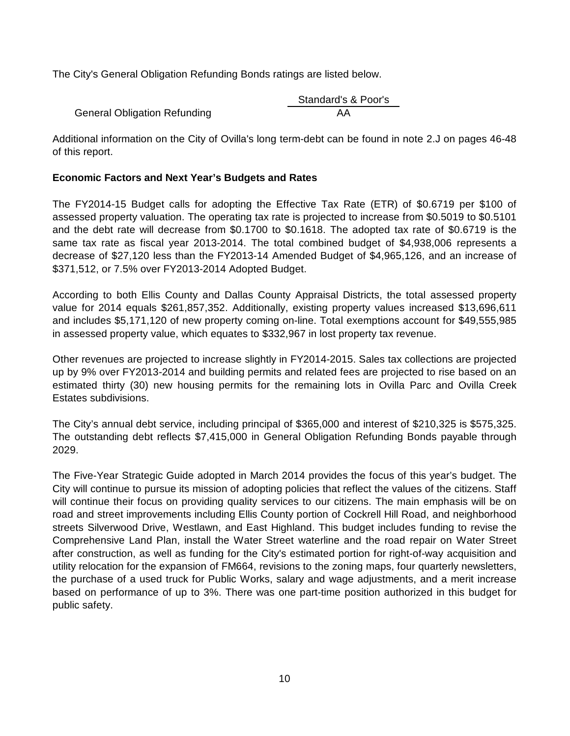The City's General Obligation Refunding Bonds ratings are listed below.

Standard's & Poor's General Obligation Refunding **AA** 

Additional information on the City of Ovilla's long term-debt can be found in note 2.J on pages 46-48 of this report.

# **Economic Factors and Next Year's Budgets and Rates**

The FY2014-15 Budget calls for adopting the Effective Tax Rate (ETR) of \$0.6719 per \$100 of assessed property valuation. The operating tax rate is projected to increase from \$0.5019 to \$0.5101 and the debt rate will decrease from \$0.1700 to \$0.1618. The adopted tax rate of \$0.6719 is the same tax rate as fiscal year 2013-2014. The total combined budget of \$4,938,006 represents a decrease of \$27,120 less than the FY2013-14 Amended Budget of \$4,965,126, and an increase of \$371,512, or 7.5% over FY2013-2014 Adopted Budget.

According to both Ellis County and Dallas County Appraisal Districts, the total assessed property value for 2014 equals \$261,857,352. Additionally, existing property values increased \$13,696,611 and includes \$5,171,120 of new property coming on-line. Total exemptions account for \$49,555,985 in assessed property value, which equates to \$332,967 in lost property tax revenue.

Other revenues are projected to increase slightly in FY2014-2015. Sales tax collections are projected up by 9% over FY2013-2014 and building permits and related fees are projected to rise based on an estimated thirty (30) new housing permits for the remaining lots in Ovilla Parc and Ovilla Creek Estates subdivisions.

The City's annual debt service, including principal of \$365,000 and interest of \$210,325 is \$575,325. The outstanding debt reflects \$7,415,000 in General Obligation Refunding Bonds payable through 2029.

The Five-Year Strategic Guide adopted in March 2014 provides the focus of this year's budget. The City will continue to pursue its mission of adopting policies that reflect the values of the citizens. Staff will continue their focus on providing quality services to our citizens. The main emphasis will be on road and street improvements including Ellis County portion of Cockrell Hill Road, and neighborhood streets Silverwood Drive, Westlawn, and East Highland. This budget includes funding to revise the Comprehensive Land Plan, install the Water Street waterline and the road repair on Water Street after construction, as well as funding for the City's estimated portion for right-of-way acquisition and utility relocation for the expansion of FM664, revisions to the zoning maps, four quarterly newsletters, the purchase of a used truck for Public Works, salary and wage adjustments, and a merit increase based on performance of up to 3%. There was one part-time position authorized in this budget for public safety.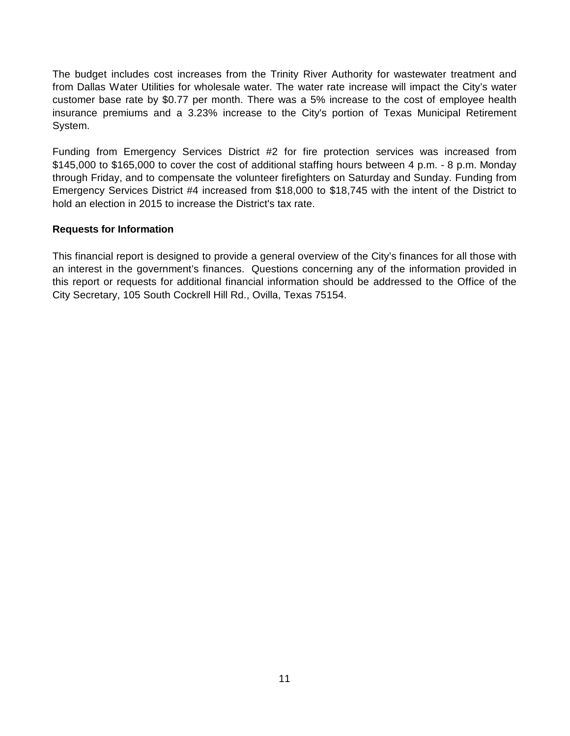The budget includes cost increases from the Trinity River Authority for wastewater treatment and from Dallas Water Utilities for wholesale water. The water rate increase will impact the City's water customer base rate by \$0.77 per month. There was a 5% increase to the cost of employee health insurance premiums and a 3.23% increase to the City's portion of Texas Municipal Retirement System.

Funding from Emergency Services District #2 for fire protection services was increased from \$145,000 to \$165,000 to cover the cost of additional staffing hours between 4 p.m. - 8 p.m. Monday through Friday, and to compensate the volunteer firefighters on Saturday and Sunday. Funding from Emergency Services District #4 increased from \$18,000 to \$18,745 with the intent of the District to hold an election in 2015 to increase the District's tax rate.

# **Requests for Information**

This financial report is designed to provide a general overview of the City's finances for all those with an interest in the government's finances. Questions concerning any of the information provided in this report or requests for additional financial information should be addressed to the Office of the City Secretary, 105 South Cockrell Hill Rd., Ovilla, Texas 75154.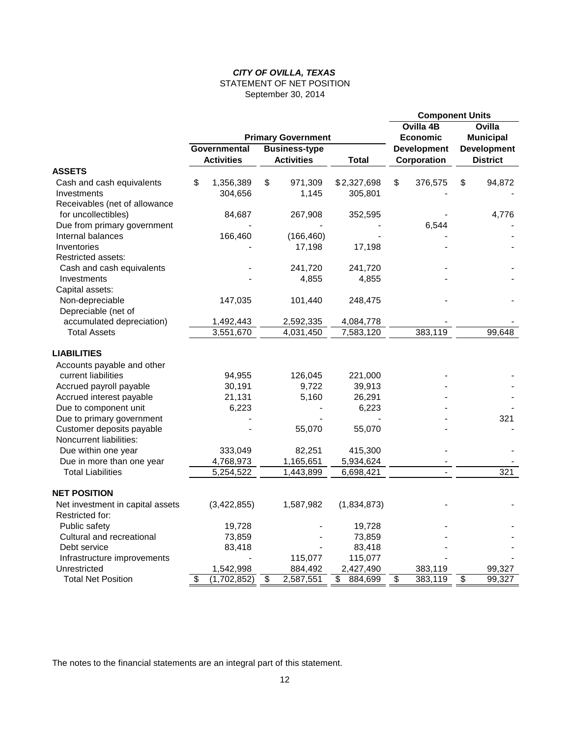#### *CITY OF OVILLA, TEXAS* STATEMENT OF NET POSITION September 30, 2014

|                                  |                   |                           |                                     |                          | <b>Component Units</b> |    |                    |
|----------------------------------|-------------------|---------------------------|-------------------------------------|--------------------------|------------------------|----|--------------------|
|                                  |                   |                           |                                     |                          | Ovilla 4B              |    | Ovilla             |
|                                  |                   | <b>Primary Government</b> |                                     |                          | <b>Economic</b>        |    | <b>Municipal</b>   |
|                                  | Governmental      | <b>Business-type</b>      |                                     |                          | <b>Development</b>     |    | <b>Development</b> |
|                                  | <b>Activities</b> | <b>Activities</b>         | Total                               |                          | Corporation            |    | <b>District</b>    |
| <b>ASSETS</b>                    |                   |                           |                                     |                          |                        |    |                    |
| Cash and cash equivalents        | \$<br>1,356,389   | \$<br>971,309             | \$2,327,698                         | \$                       | 376,575                | \$ | 94,872             |
| Investments                      | 304,656           | 1,145                     | 305,801                             |                          |                        |    |                    |
| Receivables (net of allowance    |                   |                           |                                     |                          |                        |    |                    |
| for uncollectibles)              | 84,687            | 267,908                   | 352,595                             |                          |                        |    | 4,776              |
| Due from primary government      |                   |                           |                                     |                          | 6,544                  |    |                    |
| Internal balances                | 166,460           | (166, 460)                |                                     |                          |                        |    |                    |
| Inventories                      |                   | 17,198                    | 17,198                              |                          |                        |    |                    |
| Restricted assets:               |                   |                           |                                     |                          |                        |    |                    |
| Cash and cash equivalents        |                   | 241,720                   | 241,720                             |                          |                        |    |                    |
| Investments                      |                   | 4,855                     | 4,855                               |                          |                        |    |                    |
| Capital assets:                  |                   |                           |                                     |                          |                        |    |                    |
| Non-depreciable                  | 147,035           | 101,440                   | 248,475                             |                          |                        |    |                    |
| Depreciable (net of              |                   |                           |                                     |                          |                        |    |                    |
| accumulated depreciation)        | 1,492,443         | 2,592,335                 | 4,084,778                           |                          |                        |    |                    |
| <b>Total Assets</b>              | 3,551,670         | 4,031,450                 | 7,583,120                           |                          | 383,119                |    | 99.648             |
|                                  |                   |                           |                                     |                          |                        |    |                    |
| <b>LIABILITIES</b>               |                   |                           |                                     |                          |                        |    |                    |
| Accounts payable and other       |                   |                           |                                     |                          |                        |    |                    |
| current liabilities              | 94,955            | 126,045                   | 221,000                             |                          |                        |    |                    |
| Accrued payroll payable          | 30,191            | 9,722                     | 39,913                              |                          |                        |    |                    |
| Accrued interest payable         | 21,131            | 5,160                     | 26,291                              |                          |                        |    |                    |
| Due to component unit            | 6,223             |                           | 6,223                               |                          |                        |    |                    |
| Due to primary government        |                   |                           |                                     |                          |                        |    | 321                |
| Customer deposits payable        |                   | 55,070                    | 55,070                              |                          |                        |    |                    |
| Noncurrent liabilities:          |                   |                           |                                     |                          |                        |    |                    |
| Due within one year              | 333,049           | 82,251                    | 415,300                             |                          |                        |    |                    |
| Due in more than one year        | 4,768,973         | 1,165,651                 | 5,934,624                           |                          |                        |    |                    |
| <b>Total Liabilities</b>         | 5,254,522         | 1,443,899                 | 6,698,421                           |                          |                        |    | 321                |
|                                  |                   |                           |                                     |                          |                        |    |                    |
| <b>NET POSITION</b>              |                   |                           |                                     |                          |                        |    |                    |
| Net investment in capital assets | (3,422,855)       | 1,587,982                 | (1,834,873)                         |                          |                        |    |                    |
| Restricted for:                  |                   |                           |                                     |                          |                        |    |                    |
| Public safety                    | 19,728            |                           | 19,728                              |                          |                        |    |                    |
| Cultural and recreational        | 73,859            |                           | 73,859                              |                          |                        |    |                    |
| Debt service                     | 83,418            |                           | 83,418                              |                          |                        |    |                    |
| Infrastructure improvements      |                   | 115,077                   | 115,077                             |                          |                        |    |                    |
| Unrestricted                     | 1,542,998         | 884,492                   | 2,427,490                           |                          | 383,119                |    | 99,327             |
| <b>Total Net Position</b>        | \$<br>(1,702,852) | \$<br>2,587,551           | $\overline{\mathcal{S}}$<br>884,699 | $\overline{\mathcal{S}}$ | 383,119                | \$ | 99,327             |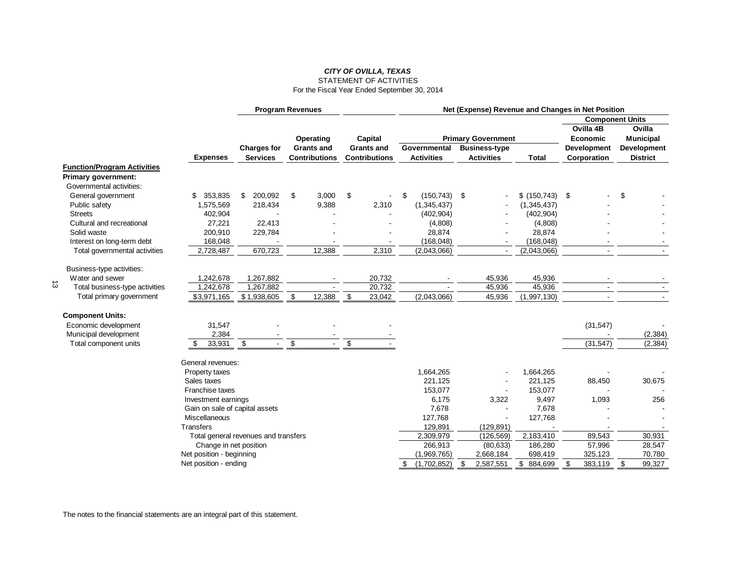#### *CITY OF OVILLA, TEXAS* STATEMENT OF ACTIVITIES

For the Fiscal Year Ended September 30, 2014

|                                    |                                | <b>Program Revenues</b>                   |                      |                |                      | Net (Expense) Revenue and Changes in Net Position |                   |     |                           |              |                        |                    |                  |
|------------------------------------|--------------------------------|-------------------------------------------|----------------------|----------------|----------------------|---------------------------------------------------|-------------------|-----|---------------------------|--------------|------------------------|--------------------|------------------|
|                                    |                                |                                           |                      |                |                      |                                                   |                   |     |                           |              | <b>Component Units</b> |                    |                  |
|                                    |                                |                                           |                      |                |                      |                                                   |                   |     |                           |              | Ovilla 4B              |                    | Ovilla           |
|                                    |                                |                                           | Operating            |                | Capital              |                                                   |                   |     | <b>Primary Government</b> |              | <b>Economic</b>        |                    | <b>Municipal</b> |
|                                    |                                | <b>Charges for</b>                        | <b>Grants and</b>    |                | <b>Grants and</b>    |                                                   | Governmental      |     | <b>Business-type</b>      |              | <b>Development</b>     | <b>Development</b> |                  |
|                                    | <b>Expenses</b>                | <b>Services</b>                           | <b>Contributions</b> |                | <b>Contributions</b> |                                                   | <b>Activities</b> |     | <b>Activities</b>         | <b>Total</b> | Corporation            |                    | <b>District</b>  |
| <b>Function/Program Activities</b> |                                |                                           |                      |                |                      |                                                   |                   |     |                           |              |                        |                    |                  |
| Primary government:                |                                |                                           |                      |                |                      |                                                   |                   |     |                           |              |                        |                    |                  |
| Governmental activities:           |                                |                                           |                      |                |                      |                                                   |                   |     |                           |              |                        |                    |                  |
| General government                 | 353,835<br>\$                  | \$<br>200,092                             | \$<br>3,000          | \$             |                      | \$                                                | (150, 743)        | -\$ |                           | \$(150, 743) | -\$                    | \$.                |                  |
| Public safety                      | 1,575,569                      | 218,434                                   | 9,388                |                | 2,310                |                                                   | (1,345,437)       |     |                           | (1,345,437)  |                        |                    |                  |
| <b>Streets</b>                     | 402,904                        |                                           |                      |                |                      |                                                   | (402, 904)        |     |                           | (402, 904)   |                        |                    |                  |
| Cultural and recreational          | 27,221                         | 22,413                                    |                      |                |                      |                                                   | (4,808)           |     |                           | (4,808)      |                        |                    |                  |
| Solid waste                        | 200,910                        | 229,784                                   |                      |                |                      |                                                   | 28,874            |     |                           | 28,874       |                        |                    |                  |
| Interest on long-term debt         | 168,048                        |                                           |                      |                |                      |                                                   | (168, 048)        |     |                           | (168, 048)   |                        |                    |                  |
| Total governmental activities      | 2,728,487                      | 670,723                                   | 12,388               |                | 2,310                |                                                   | (2,043,066)       |     | $\sim$                    | (2,043,066)  |                        |                    |                  |
| Business-type activities:          |                                |                                           |                      |                |                      |                                                   |                   |     |                           |              |                        |                    |                  |
| Water and sewer                    | 1,242,678                      | 1,267,882                                 |                      |                | 20,732               |                                                   |                   |     | 45,936                    | 45,936       |                        |                    |                  |
| Total business-type activities     | 1,242,678                      | 1,267,882                                 |                      |                | 20,732               |                                                   |                   |     | 45,936                    | 45,936       |                        |                    |                  |
| Total primary government           | \$3,971,165                    | \$1,938,605                               | \$<br>12,388         | \$             | 23,042               |                                                   | (2,043,066)       |     | 45,936                    | (1,997,130)  |                        |                    |                  |
| <b>Component Units:</b>            |                                |                                           |                      |                |                      |                                                   |                   |     |                           |              |                        |                    |                  |
| Economic development               | 31,547                         |                                           |                      |                |                      |                                                   |                   |     |                           |              | (31, 547)              |                    |                  |
| Municipal development              | 2,384                          |                                           |                      |                |                      |                                                   |                   |     |                           |              |                        |                    | (2, 384)         |
| Total component units              | 33,931<br>\$                   | $\overline{\mathbf{s}}$<br>$\blacksquare$ | \$<br>$\sim$         | $\mathfrak{L}$ |                      |                                                   |                   |     |                           |              | (31, 547)              |                    | (2, 384)         |
|                                    | General revenues:              |                                           |                      |                |                      |                                                   |                   |     |                           |              |                        |                    |                  |
|                                    | Property taxes                 |                                           |                      |                |                      |                                                   | 1,664,265         |     |                           | 1,664,265    |                        |                    |                  |
|                                    | Sales taxes                    |                                           |                      |                |                      |                                                   | 221,125           |     |                           | 221,125      | 88,450                 |                    | 30,675           |
|                                    | Franchise taxes                |                                           |                      |                |                      |                                                   | 153,077           |     |                           | 153,077      |                        |                    |                  |
|                                    | Investment earnings            |                                           |                      |                |                      |                                                   | 6,175             |     | 3,322                     | 9,497        | 1,093                  |                    | 256              |
|                                    | Gain on sale of capital assets |                                           |                      |                |                      |                                                   | 7,678             |     |                           | 7,678        |                        |                    |                  |
|                                    | Miscellaneous                  |                                           |                      |                |                      |                                                   | 127,768           |     |                           | 127,768      |                        |                    |                  |
|                                    | Transfers                      |                                           |                      |                |                      |                                                   | 129,891           |     | (129, 891)                |              |                        |                    |                  |
|                                    |                                | Total general revenues and transfers      |                      |                |                      |                                                   | 2,309,979         |     | (126, 569)                | 2,183,410    | 89,543                 |                    | 30,931           |
|                                    | Change in net position         |                                           |                      |                |                      |                                                   | 266,913           |     | (80, 633)                 | 186,280      | 57,996                 |                    | 28,547           |
|                                    | Net position - beginning       |                                           |                      |                |                      |                                                   | (1,969,765)       |     | 2,668,184                 | 698,419      | 325,123                |                    | 70,780           |
|                                    | Net position - ending          |                                           |                      |                |                      | \$                                                | (1,702,852)       | \$  | 2,587,551                 | \$ 884,699   | \$<br>383,119          | \$                 | 99,327           |

The notes to the financial statements are an integral part of this statement.

 $\vec{\omega}$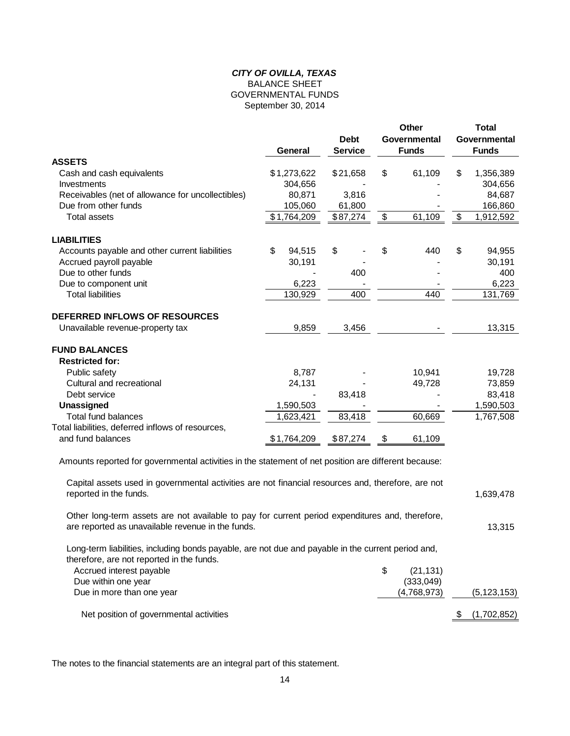#### *CITY OF OVILLA, TEXAS* BALANCE SHEET GOVERNMENTAL FUNDS September 30, 2014

|                                                                                                           |              |                | <b>Other</b> | <b>Total</b>        |
|-----------------------------------------------------------------------------------------------------------|--------------|----------------|--------------|---------------------|
|                                                                                                           |              | <b>Debt</b>    | Governmental | <b>Governmental</b> |
|                                                                                                           | General      | <b>Service</b> | <b>Funds</b> | <b>Funds</b>        |
| <b>ASSETS</b>                                                                                             |              |                |              |                     |
| Cash and cash equivalents                                                                                 | \$1,273,622  | \$21,658       | \$<br>61,109 | \$<br>1,356,389     |
| Investments                                                                                               | 304,656      |                |              | 304,656             |
| Receivables (net of allowance for uncollectibles)                                                         | 80,871       | 3,816          |              | 84,687              |
| Due from other funds                                                                                      | 105,060      | 61,800         |              | 166,860             |
| <b>Total assets</b>                                                                                       | \$1,764,209  | \$87,274       | \$<br>61,109 | \$<br>1,912,592     |
| <b>LIABILITIES</b>                                                                                        |              |                |              |                     |
| Accounts payable and other current liabilities                                                            | \$<br>94,515 | \$             | \$<br>440    | \$<br>94,955        |
| Accrued payroll payable                                                                                   | 30,191       |                |              | 30,191              |
| Due to other funds                                                                                        |              | 400            |              | 400                 |
| Due to component unit                                                                                     | 6,223        |                |              | 6,223               |
| <b>Total liabilities</b>                                                                                  | 130,929      | 400            | 440          | 131,769             |
| DEFERRED INFLOWS OF RESOURCES                                                                             |              |                |              |                     |
| Unavailable revenue-property tax                                                                          | 9,859        | 3,456          |              | 13,315              |
| <b>FUND BALANCES</b>                                                                                      |              |                |              |                     |
| <b>Restricted for:</b>                                                                                    |              |                |              |                     |
| Public safety                                                                                             | 8,787        |                | 10,941       | 19,728              |
| Cultural and recreational                                                                                 | 24,131       |                | 49,728       | 73,859              |
| Debt service                                                                                              |              | 83,418         |              | 83,418              |
| <b>Unassigned</b>                                                                                         | 1,590,503    |                |              | 1,590,503           |
| <b>Total fund balances</b>                                                                                | 1,623,421    | 83,418         | 60,669       | 1,767,508           |
| Total liabilities, deferred inflows of resources,                                                         |              |                |              |                     |
| and fund balances                                                                                         | \$1,764,209  | \$87,274       | \$<br>61,109 |                     |
| contract the reserved for asymptote lost the section of the section of not position are different because |              |                |              |                     |

Amounts reported for governmental activities in the statement of net position are different because:

| Capital assets used in governmental activities are not financial resources and, therefore, are not<br>reported in the funds.                         |    |             |  | 1,639,478     |  |  |  |  |
|------------------------------------------------------------------------------------------------------------------------------------------------------|----|-------------|--|---------------|--|--|--|--|
| Other long-term assets are not available to pay for current period expenditures and, therefore,<br>are reported as unavailable revenue in the funds. |    |             |  |               |  |  |  |  |
| Long-term liabilities, including bonds payable, are not due and payable in the current period and,<br>therefore, are not reported in the funds.      |    |             |  |               |  |  |  |  |
| Accrued interest payable                                                                                                                             | \$ | (21, 131)   |  |               |  |  |  |  |
| Due within one year                                                                                                                                  |    | (333,049)   |  |               |  |  |  |  |
| Due in more than one year                                                                                                                            |    | (4,768,973) |  | (5, 123, 153) |  |  |  |  |
| Net position of governmental activities                                                                                                              |    |             |  | (1,702,852)   |  |  |  |  |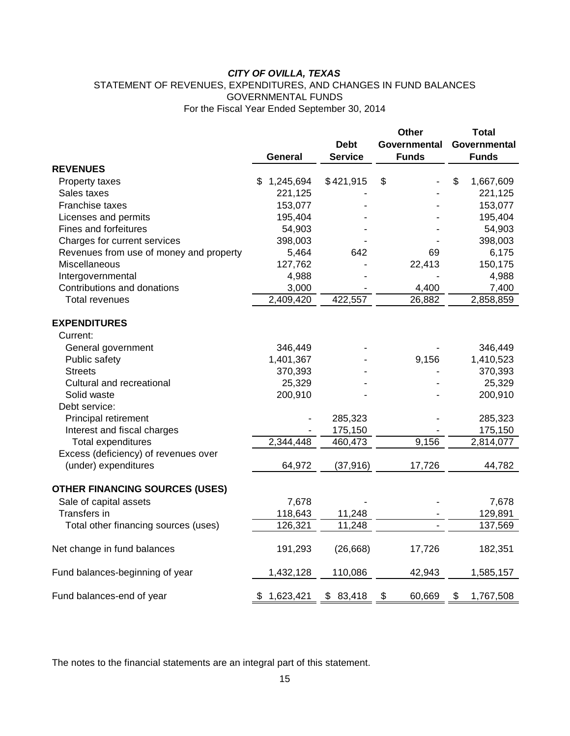# *CITY OF OVILLA, TEXAS* STATEMENT OF REVENUES, EXPENDITURES, AND CHANGES IN FUND BALANCES GOVERNMENTAL FUNDS For the Fiscal Year Ended September 30, 2014

|                                         |                 | <b>Debt</b>    | <b>Other</b><br>Governmental | <b>Total</b><br>Governmental |  |  |
|-----------------------------------------|-----------------|----------------|------------------------------|------------------------------|--|--|
|                                         | General         | <b>Service</b> | <b>Funds</b>                 | <b>Funds</b>                 |  |  |
| <b>REVENUES</b>                         |                 |                |                              |                              |  |  |
| Property taxes                          | 1,245,694<br>\$ | \$421,915      | \$                           | \$<br>1,667,609              |  |  |
| Sales taxes                             | 221,125         |                |                              | 221,125                      |  |  |
| Franchise taxes                         | 153,077         |                |                              | 153,077                      |  |  |
| Licenses and permits                    | 195,404         |                |                              | 195,404                      |  |  |
| Fines and forfeitures                   | 54,903          |                |                              | 54,903                       |  |  |
| Charges for current services            | 398,003         |                |                              | 398,003                      |  |  |
| Revenues from use of money and property | 5,464           | 642            | 69                           | 6,175                        |  |  |
| Miscellaneous                           | 127,762         |                | 22,413                       | 150,175                      |  |  |
| Intergovernmental                       | 4,988           |                |                              | 4,988                        |  |  |
| Contributions and donations             | 3,000           |                | 4,400                        | 7,400                        |  |  |
| <b>Total revenues</b>                   | 2,409,420       | 422,557        | 26,882                       | 2,858,859                    |  |  |
| <b>EXPENDITURES</b>                     |                 |                |                              |                              |  |  |
| Current:                                |                 |                |                              |                              |  |  |
| General government                      | 346,449         |                |                              | 346,449                      |  |  |
| Public safety                           | 1,401,367       |                | 9,156                        | 1,410,523                    |  |  |
| <b>Streets</b>                          | 370,393         |                |                              | 370,393                      |  |  |
| Cultural and recreational               | 25,329          |                |                              | 25,329                       |  |  |
| Solid waste                             | 200,910         |                |                              | 200,910                      |  |  |
| Debt service:                           |                 |                |                              |                              |  |  |
| Principal retirement                    |                 | 285,323        |                              | 285,323                      |  |  |
| Interest and fiscal charges             |                 | 175,150        |                              | 175,150                      |  |  |
| <b>Total expenditures</b>               | 2,344,448       | 460,473        | 9,156                        | 2,814,077                    |  |  |
| Excess (deficiency) of revenues over    |                 |                |                              |                              |  |  |
| (under) expenditures                    | 64,972          | (37, 916)      | 17,726                       | 44,782                       |  |  |
| <b>OTHER FINANCING SOURCES (USES)</b>   |                 |                |                              |                              |  |  |
| Sale of capital assets                  | 7,678           |                |                              | 7,678                        |  |  |
| Transfers in                            | 118,643         | 11,248         |                              | 129,891                      |  |  |
| Total other financing sources (uses)    | 126,321         | 11,248         |                              | 137,569                      |  |  |
| Net change in fund balances             | 191,293         | (26, 668)      | 17,726                       | 182,351                      |  |  |
| Fund balances-beginning of year         | 1,432,128       | 110,086        | 42,943                       | 1,585,157                    |  |  |
| Fund balances-end of year               | 1,623,421<br>\$ | \$<br>83,418   | \$<br>60,669                 | \$<br>1,767,508              |  |  |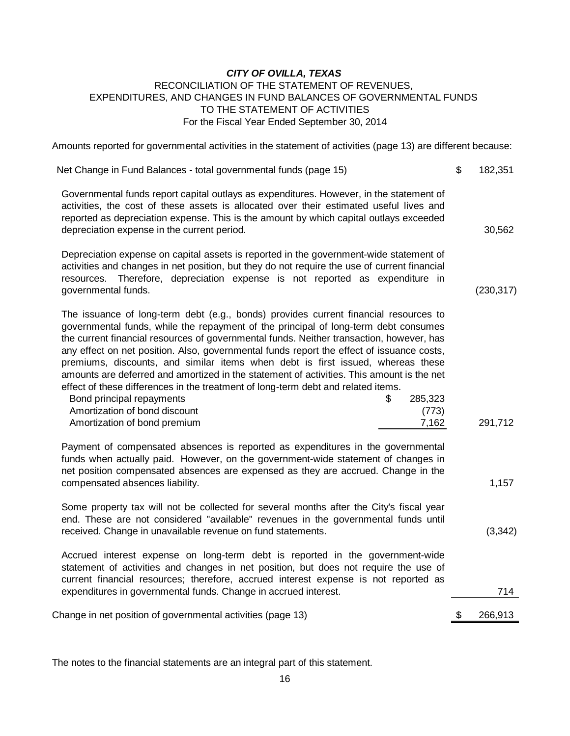# *CITY OF OVILLA, TEXAS* RECONCILIATION OF THE STATEMENT OF REVENUES, EXPENDITURES, AND CHANGES IN FUND BALANCES OF GOVERNMENTAL FUNDS TO THE STATEMENT OF ACTIVITIES For the Fiscal Year Ended September 30, 2014

Amounts reported for governmental activities in the statement of activities (page 13) are different because:

| Net Change in Fund Balances - total governmental funds (page 15)                                                                                                                                                                                                                                                                                                                                                                                                                                                                                                                                                                                                                                                                                                           | \$<br>182,351 |
|----------------------------------------------------------------------------------------------------------------------------------------------------------------------------------------------------------------------------------------------------------------------------------------------------------------------------------------------------------------------------------------------------------------------------------------------------------------------------------------------------------------------------------------------------------------------------------------------------------------------------------------------------------------------------------------------------------------------------------------------------------------------------|---------------|
| Governmental funds report capital outlays as expenditures. However, in the statement of<br>activities, the cost of these assets is allocated over their estimated useful lives and<br>reported as depreciation expense. This is the amount by which capital outlays exceeded<br>depreciation expense in the current period.                                                                                                                                                                                                                                                                                                                                                                                                                                                | 30,562        |
| Depreciation expense on capital assets is reported in the government-wide statement of<br>activities and changes in net position, but they do not require the use of current financial<br>resources. Therefore, depreciation expense is not reported as expenditure in<br>governmental funds.                                                                                                                                                                                                                                                                                                                                                                                                                                                                              | (230, 317)    |
| The issuance of long-term debt (e.g., bonds) provides current financial resources to<br>governmental funds, while the repayment of the principal of long-term debt consumes<br>the current financial resources of governmental funds. Neither transaction, however, has<br>any effect on net position. Also, governmental funds report the effect of issuance costs,<br>premiums, discounts, and similar items when debt is first issued, whereas these<br>amounts are deferred and amortized in the statement of activities. This amount is the net<br>effect of these differences in the treatment of long-term debt and related items.<br>Bond principal repayments<br>\$<br>285,323<br>Amortization of bond discount<br>(773)<br>Amortization of bond premium<br>7,162 | 291,712       |
| Payment of compensated absences is reported as expenditures in the governmental<br>funds when actually paid. However, on the government-wide statement of changes in<br>net position compensated absences are expensed as they are accrued. Change in the<br>compensated absences liability.                                                                                                                                                                                                                                                                                                                                                                                                                                                                               | 1,157         |
| Some property tax will not be collected for several months after the City's fiscal year<br>end. These are not considered "available" revenues in the governmental funds until<br>received. Change in unavailable revenue on fund statements.                                                                                                                                                                                                                                                                                                                                                                                                                                                                                                                               | (3, 342)      |
| Accrued interest expense on long-term debt is reported in the government-wide<br>statement of activities and changes in net position, but does not require the use of<br>current financial resources; therefore, accrued interest expense is not reported as<br>expenditures in governmental funds. Change in accrued interest.                                                                                                                                                                                                                                                                                                                                                                                                                                            | 714           |
| Change in net position of governmental activities (page 13)                                                                                                                                                                                                                                                                                                                                                                                                                                                                                                                                                                                                                                                                                                                | 266,913       |
|                                                                                                                                                                                                                                                                                                                                                                                                                                                                                                                                                                                                                                                                                                                                                                            |               |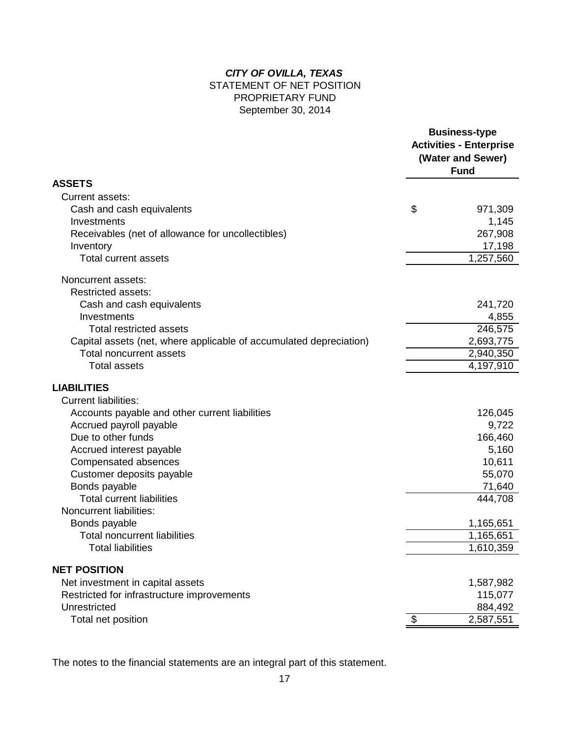# *CITY OF OVILLA, TEXAS* STATEMENT OF NET POSITION PROPRIETARY FUND

September 30, 2014

|                                                                    | <b>Business-type</b><br><b>Activities - Enterprise</b><br>(Water and Sewer)<br><b>Fund</b> |           |  |  |  |
|--------------------------------------------------------------------|--------------------------------------------------------------------------------------------|-----------|--|--|--|
| ASSETS                                                             |                                                                                            |           |  |  |  |
| Current assets:                                                    |                                                                                            |           |  |  |  |
| Cash and cash equivalents                                          | \$                                                                                         | 971,309   |  |  |  |
| Investments                                                        |                                                                                            | 1,145     |  |  |  |
| Receivables (net of allowance for uncollectibles)                  |                                                                                            | 267,908   |  |  |  |
| Inventory                                                          |                                                                                            | 17,198    |  |  |  |
| <b>Total current assets</b>                                        |                                                                                            | 1,257,560 |  |  |  |
| Noncurrent assets:                                                 |                                                                                            |           |  |  |  |
| <b>Restricted assets:</b>                                          |                                                                                            |           |  |  |  |
| Cash and cash equivalents                                          |                                                                                            | 241,720   |  |  |  |
| Investments                                                        |                                                                                            | 4,855     |  |  |  |
| <b>Total restricted assets</b>                                     |                                                                                            | 246,575   |  |  |  |
| Capital assets (net, where applicable of accumulated depreciation) |                                                                                            | 2,693,775 |  |  |  |
| <b>Total noncurrent assets</b>                                     |                                                                                            | 2,940,350 |  |  |  |
| <b>Total assets</b>                                                |                                                                                            | 4,197,910 |  |  |  |
| <b>LIABILITIES</b>                                                 |                                                                                            |           |  |  |  |
| <b>Current liabilities:</b>                                        |                                                                                            |           |  |  |  |
| Accounts payable and other current liabilities                     |                                                                                            | 126,045   |  |  |  |
| Accrued payroll payable                                            |                                                                                            | 9,722     |  |  |  |
| Due to other funds                                                 |                                                                                            | 166,460   |  |  |  |
| Accrued interest payable                                           |                                                                                            | 5,160     |  |  |  |
| Compensated absences                                               |                                                                                            | 10,611    |  |  |  |
| Customer deposits payable                                          |                                                                                            | 55,070    |  |  |  |
| Bonds payable                                                      |                                                                                            | 71,640    |  |  |  |
| <b>Total current liabilities</b>                                   |                                                                                            | 444,708   |  |  |  |
| Noncurrent liabilities:                                            |                                                                                            |           |  |  |  |
| Bonds payable                                                      |                                                                                            | 1,165,651 |  |  |  |
| <b>Total noncurrent liabilities</b>                                |                                                                                            | 1,165,651 |  |  |  |
| <b>Total liabilities</b>                                           |                                                                                            | 1,610,359 |  |  |  |
| <b>NET POSITION</b>                                                |                                                                                            |           |  |  |  |
| Net investment in capital assets                                   |                                                                                            | 1,587,982 |  |  |  |
| Restricted for infrastructure improvements                         |                                                                                            | 115,077   |  |  |  |
| Unrestricted                                                       |                                                                                            | 884,492   |  |  |  |
| Total net position                                                 | \$                                                                                         | 2,587,551 |  |  |  |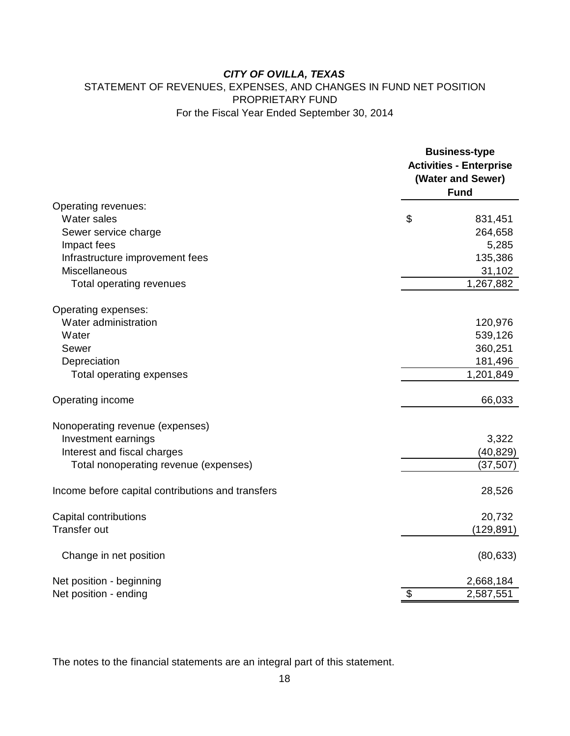# *CITY OF OVILLA, TEXAS* STATEMENT OF REVENUES, EXPENSES, AND CHANGES IN FUND NET POSITION PROPRIETARY FUND For the Fiscal Year Ended September 30, 2014

|                                                   | <b>Business-type</b><br><b>Activities - Enterprise</b><br>(Water and Sewer)<br><b>Fund</b> |            |  |  |
|---------------------------------------------------|--------------------------------------------------------------------------------------------|------------|--|--|
| Operating revenues:                               |                                                                                            |            |  |  |
| Water sales                                       | \$                                                                                         | 831,451    |  |  |
| Sewer service charge                              |                                                                                            | 264,658    |  |  |
| Impact fees                                       |                                                                                            | 5,285      |  |  |
| Infrastructure improvement fees                   |                                                                                            | 135,386    |  |  |
| Miscellaneous                                     |                                                                                            | 31,102     |  |  |
| Total operating revenues                          |                                                                                            | 1,267,882  |  |  |
| Operating expenses:                               |                                                                                            |            |  |  |
| Water administration                              |                                                                                            | 120,976    |  |  |
| Water                                             |                                                                                            | 539,126    |  |  |
| Sewer                                             |                                                                                            | 360,251    |  |  |
| Depreciation                                      |                                                                                            | 181,496    |  |  |
| Total operating expenses                          |                                                                                            | 1,201,849  |  |  |
| Operating income                                  |                                                                                            | 66,033     |  |  |
| Nonoperating revenue (expenses)                   |                                                                                            |            |  |  |
| Investment earnings                               |                                                                                            | 3,322      |  |  |
| Interest and fiscal charges                       |                                                                                            | (40, 829)  |  |  |
| Total nonoperating revenue (expenses)             |                                                                                            | (37, 507)  |  |  |
| Income before capital contributions and transfers |                                                                                            | 28,526     |  |  |
| Capital contributions                             |                                                                                            | 20,732     |  |  |
| <b>Transfer out</b>                               |                                                                                            | (129, 891) |  |  |
| Change in net position                            |                                                                                            | (80, 633)  |  |  |
| Net position - beginning                          |                                                                                            | 2,668,184  |  |  |
| Net position - ending                             | \$                                                                                         | 2,587,551  |  |  |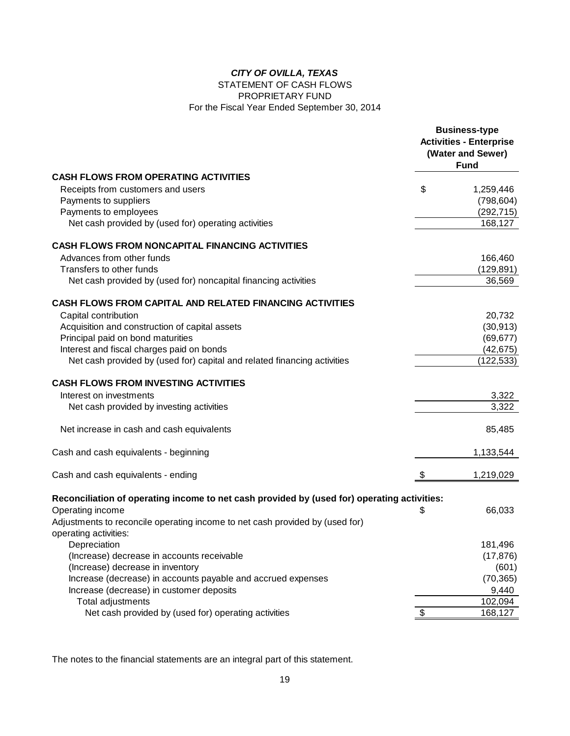# STATEMENT OF CASH FLOWS

### PROPRIETARY FUND

# For the Fiscal Year Ended September 30, 2014

|                                                                                                       | <b>Business-type</b><br><b>Activities - Enterprise</b><br>(Water and Sewer)<br><b>Fund</b> |            |  |  |
|-------------------------------------------------------------------------------------------------------|--------------------------------------------------------------------------------------------|------------|--|--|
| <b>CASH FLOWS FROM OPERATING ACTIVITIES</b>                                                           |                                                                                            |            |  |  |
| Receipts from customers and users                                                                     | \$                                                                                         | 1,259,446  |  |  |
| Payments to suppliers                                                                                 |                                                                                            | (798, 604) |  |  |
| Payments to employees                                                                                 |                                                                                            | (292, 715) |  |  |
| Net cash provided by (used for) operating activities                                                  |                                                                                            | 168,127    |  |  |
| <b>CASH FLOWS FROM NONCAPITAL FINANCING ACTIVITIES</b>                                                |                                                                                            |            |  |  |
| Advances from other funds                                                                             |                                                                                            | 166,460    |  |  |
| Transfers to other funds                                                                              |                                                                                            | (129, 891) |  |  |
| Net cash provided by (used for) noncapital financing activities                                       |                                                                                            | 36,569     |  |  |
| <b>CASH FLOWS FROM CAPITAL AND RELATED FINANCING ACTIVITIES</b>                                       |                                                                                            |            |  |  |
| Capital contribution                                                                                  |                                                                                            | 20,732     |  |  |
| Acquisition and construction of capital assets                                                        |                                                                                            | (30, 913)  |  |  |
| Principal paid on bond maturities                                                                     |                                                                                            | (69, 677)  |  |  |
| Interest and fiscal charges paid on bonds                                                             |                                                                                            | (42, 675)  |  |  |
| Net cash provided by (used for) capital and related financing activities                              |                                                                                            | (122, 533) |  |  |
| <b>CASH FLOWS FROM INVESTING ACTIVITIES</b>                                                           |                                                                                            |            |  |  |
| Interest on investments                                                                               |                                                                                            | 3,322      |  |  |
| Net cash provided by investing activities                                                             |                                                                                            | 3,322      |  |  |
| Net increase in cash and cash equivalents                                                             |                                                                                            | 85,485     |  |  |
| Cash and cash equivalents - beginning                                                                 |                                                                                            | 1,133,544  |  |  |
|                                                                                                       |                                                                                            |            |  |  |
| Cash and cash equivalents - ending                                                                    | \$                                                                                         | 1,219,029  |  |  |
| Reconciliation of operating income to net cash provided by (used for) operating activities:           |                                                                                            |            |  |  |
| Operating income                                                                                      | \$                                                                                         | 66,033     |  |  |
| Adjustments to reconcile operating income to net cash provided by (used for)<br>operating activities: |                                                                                            |            |  |  |
| Depreciation                                                                                          |                                                                                            | 181,496    |  |  |
| (Increase) decrease in accounts receivable                                                            |                                                                                            | (17, 876)  |  |  |
| (Increase) decrease in inventory                                                                      |                                                                                            | (601)      |  |  |
| Increase (decrease) in accounts payable and accrued expenses                                          |                                                                                            | (70, 365)  |  |  |
| Increase (decrease) in customer deposits                                                              |                                                                                            | 9,440      |  |  |
| Total adjustments                                                                                     |                                                                                            | 102,094    |  |  |
| Net cash provided by (used for) operating activities                                                  | \$                                                                                         | 168,127    |  |  |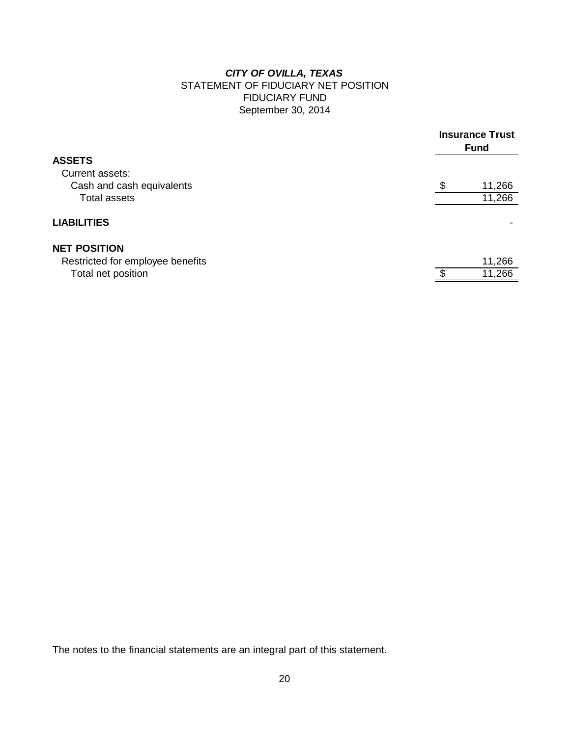# *CITY OF OVILLA, TEXAS* STATEMENT OF FIDUCIARY NET POSITION FIDUCIARY FUND September 30, 2014

|                                  | <b>Insurance Trust</b><br><b>Fund</b> |
|----------------------------------|---------------------------------------|
| <b>ASSETS</b>                    |                                       |
| Current assets:                  |                                       |
| Cash and cash equivalents        | \$<br>11,266                          |
| <b>Total assets</b>              | 11,266                                |
| <b>LIABILITIES</b>               |                                       |
| <b>NET POSITION</b>              |                                       |
| Restricted for employee benefits | 11,266                                |
| Total net position               | 11,266                                |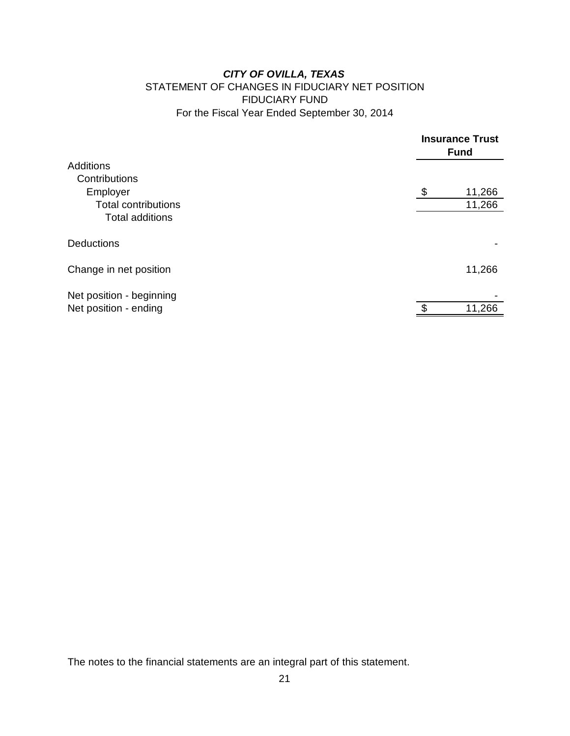# *CITY OF OVILLA, TEXAS* STATEMENT OF CHANGES IN FIDUCIARY NET POSITION FIDUCIARY FUND For the Fiscal Year Ended September 30, 2014

|                            | <b>Insurance Trust</b><br><b>Fund</b> |        |  |  |
|----------------------------|---------------------------------------|--------|--|--|
| <b>Additions</b>           |                                       |        |  |  |
| Contributions              |                                       |        |  |  |
| Employer                   | \$                                    | 11,266 |  |  |
| <b>Total contributions</b> |                                       | 11,266 |  |  |
| <b>Total additions</b>     |                                       |        |  |  |
| <b>Deductions</b>          |                                       |        |  |  |
| Change in net position     |                                       | 11,266 |  |  |
| Net position - beginning   |                                       |        |  |  |
| Net position - ending      | ¢                                     | 11,266 |  |  |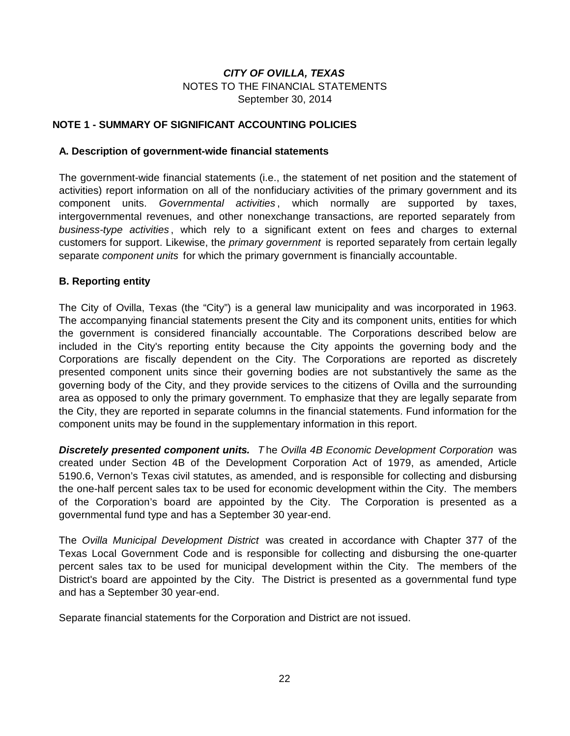# **NOTE 1 - SUMMARY OF SIGNIFICANT ACCOUNTING POLICIES**

### **A. Description of government-wide financial statements**

The government-wide financial statements (i.e., the statement of net position and the statement of activities) report information on all of the nonfiduciary activities of the primary government and its component units. *Governmental activities* , which normally are supported by taxes, intergovernmental revenues, and other nonexchange transactions, are reported separately from *business-type activities* , which rely to a significant extent on fees and charges to external customers for support. Likewise, the *primary government* is reported separately from certain legally separate *component units* for which the primary government is financially accountable.

# **B. Reporting entity**

The City of Ovilla, Texas (the "City") is a general law municipality and was incorporated in 1963. The accompanying financial statements present the City and its component units, entities for which the government is considered financially accountable. The Corporations described below are included in the City's reporting entity because the City appoints the governing body and the Corporations are fiscally dependent on the City. The Corporations are reported as discretely presented component units since their governing bodies are not substantively the same as the governing body of the City, and they provide services to the citizens of Ovilla and the surrounding area as opposed to only the primary government. To emphasize that they are legally separate from the City, they are reported in separate columns in the financial statements. Fund information for the component units may be found in the supplementary information in this report.

*Discretely presented component units. T* he *Ovilla 4B Economic Development Corporation* was created under Section 4B of the Development Corporation Act of 1979, as amended, Article 5190.6, Vernon's Texas civil statutes, as amended, and is responsible for collecting and disbursing the one-half percent sales tax to be used for economic development within the City. The members of the Corporation's board are appointed by the City. The Corporation is presented as a governmental fund type and has a September 30 year-end.

The *Ovilla Municipal Development District* was created in accordance with Chapter 377 of the Texas Local Government Code and is responsible for collecting and disbursing the one-quarter percent sales tax to be used for municipal development within the City. The members of the District's board are appointed by the City. The District is presented as a governmental fund type and has a September 30 year-end.

Separate financial statements for the Corporation and District are not issued.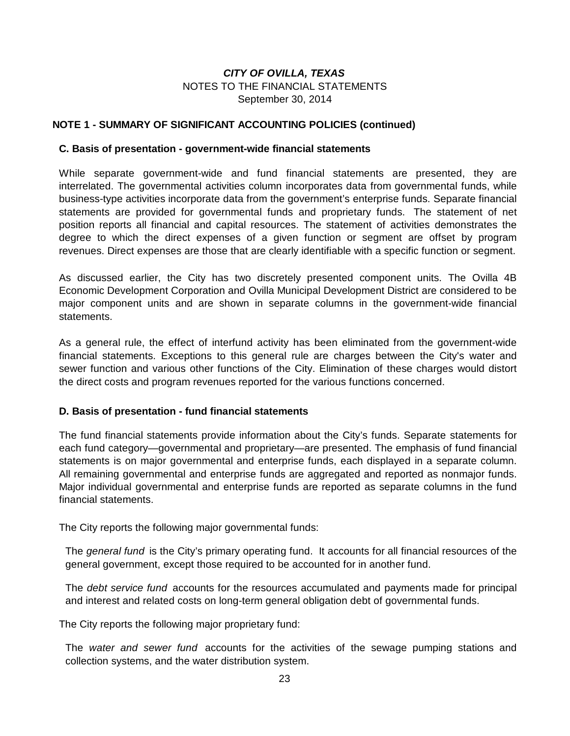# **NOTE 1 - SUMMARY OF SIGNIFICANT ACCOUNTING POLICIES (continued)**

#### **C. Basis of presentation - government-wide financial statements**

While separate government-wide and fund financial statements are presented, they are interrelated. The governmental activities column incorporates data from governmental funds, while business-type activities incorporate data from the government's enterprise funds. Separate financial statements are provided for governmental funds and proprietary funds. The statement of net position reports all financial and capital resources. The statement of activities demonstrates the degree to which the direct expenses of a given function or segment are offset by program revenues. Direct expenses are those that are clearly identifiable with a specific function or segment.

As discussed earlier, the City has two discretely presented component units. The Ovilla 4B Economic Development Corporation and Ovilla Municipal Development District are considered to be major component units and are shown in separate columns in the government-wide financial statements.

As a general rule, the effect of interfund activity has been eliminated from the government-wide financial statements. Exceptions to this general rule are charges between the City's water and sewer function and various other functions of the City. Elimination of these charges would distort the direct costs and program revenues reported for the various functions concerned.

# **D. Basis of presentation - fund financial statements**

The fund financial statements provide information about the City's funds. Separate statements for each fund category—governmental and proprietary—are presented. The emphasis of fund financial statements is on major governmental and enterprise funds, each displayed in a separate column. All remaining governmental and enterprise funds are aggregated and reported as nonmajor funds. Major individual governmental and enterprise funds are reported as separate columns in the fund financial statements.

The City reports the following major governmental funds:

The *general fund* is the City's primary operating fund. It accounts for all financial resources of the general government, except those required to be accounted for in another fund.

The *debt service fund* accounts for the resources accumulated and payments made for principal and interest and related costs on long-term general obligation debt of governmental funds.

The City reports the following major proprietary fund:

The *water and sewer fund* accounts for the activities of the sewage pumping stations and collection systems, and the water distribution system.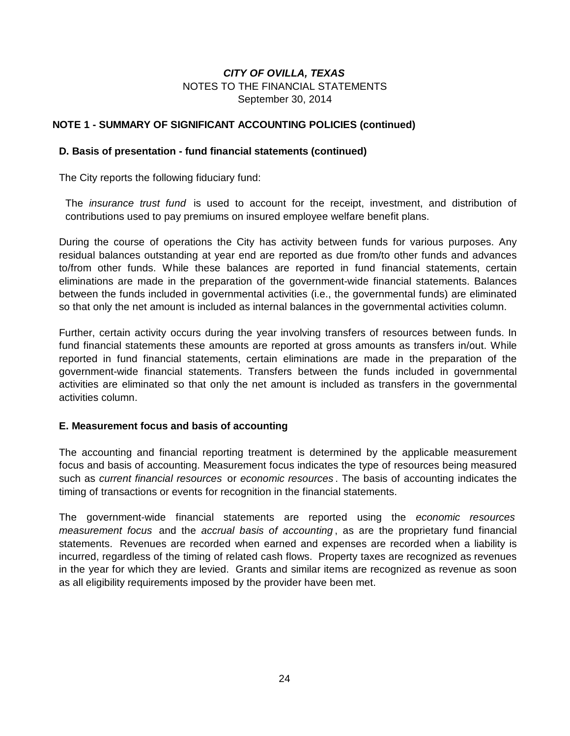# **NOTE 1 - SUMMARY OF SIGNIFICANT ACCOUNTING POLICIES (continued)**

### **D. Basis of presentation - fund financial statements (continued)**

The City reports the following fiduciary fund:

The *insurance trust fund* is used to account for the receipt, investment, and distribution of contributions used to pay premiums on insured employee welfare benefit plans.

During the course of operations the City has activity between funds for various purposes. Any residual balances outstanding at year end are reported as due from/to other funds and advances to/from other funds. While these balances are reported in fund financial statements, certain eliminations are made in the preparation of the government-wide financial statements. Balances between the funds included in governmental activities (i.e., the governmental funds) are eliminated so that only the net amount is included as internal balances in the governmental activities column.

Further, certain activity occurs during the year involving transfers of resources between funds. In fund financial statements these amounts are reported at gross amounts as transfers in/out. While reported in fund financial statements, certain eliminations are made in the preparation of the government-wide financial statements. Transfers between the funds included in governmental activities are eliminated so that only the net amount is included as transfers in the governmental activities column.

#### **E. Measurement focus and basis of accounting**

The accounting and financial reporting treatment is determined by the applicable measurement focus and basis of accounting. Measurement focus indicates the type of resources being measured such as *current financial resources* or *economic resources* . The basis of accounting indicates the timing of transactions or events for recognition in the financial statements.

The government-wide financial statements are reported using the *economic resources measurement focus* and the *accrual basis of accounting* , as are the proprietary fund financial statements. Revenues are recorded when earned and expenses are recorded when a liability is incurred, regardless of the timing of related cash flows. Property taxes are recognized as revenues in the year for which they are levied. Grants and similar items are recognized as revenue as soon as all eligibility requirements imposed by the provider have been met.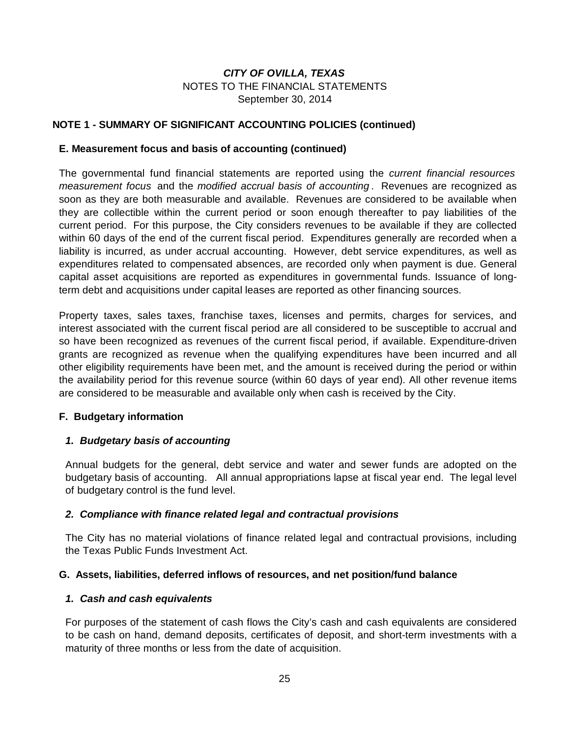# **NOTE 1 - SUMMARY OF SIGNIFICANT ACCOUNTING POLICIES (continued)**

### **E. Measurement focus and basis of accounting (continued)**

The governmental fund financial statements are reported using the *current financial resources measurement focus* and the *modified accrual basis of accounting* . Revenues are recognized as soon as they are both measurable and available. Revenues are considered to be available when they are collectible within the current period or soon enough thereafter to pay liabilities of the current period. For this purpose, the City considers revenues to be available if they are collected within 60 days of the end of the current fiscal period. Expenditures generally are recorded when a liability is incurred, as under accrual accounting. However, debt service expenditures, as well as expenditures related to compensated absences, are recorded only when payment is due. General capital asset acquisitions are reported as expenditures in governmental funds. Issuance of longterm debt and acquisitions under capital leases are reported as other financing sources.

Property taxes, sales taxes, franchise taxes, licenses and permits, charges for services, and interest associated with the current fiscal period are all considered to be susceptible to accrual and so have been recognized as revenues of the current fiscal period, if available. Expenditure-driven grants are recognized as revenue when the qualifying expenditures have been incurred and all other eligibility requirements have been met, and the amount is received during the period or within the availability period for this revenue source (within 60 days of year end). All other revenue items are considered to be measurable and available only when cash is received by the City.

# **F. Budgetary information**

# *1. Budgetary basis of accounting*

Annual budgets for the general, debt service and water and sewer funds are adopted on the budgetary basis of accounting. All annual appropriations lapse at fiscal year end. The legal level of budgetary control is the fund level.

#### *2. Compliance with finance related legal and contractual provisions*

The City has no material violations of finance related legal and contractual provisions, including the Texas Public Funds Investment Act.

#### **G. Assets, liabilities, deferred inflows of resources, and net position/fund balance**

#### *1. Cash and cash equivalents*

For purposes of the statement of cash flows the City's cash and cash equivalents are considered to be cash on hand, demand deposits, certificates of deposit, and short-term investments with a maturity of three months or less from the date of acquisition.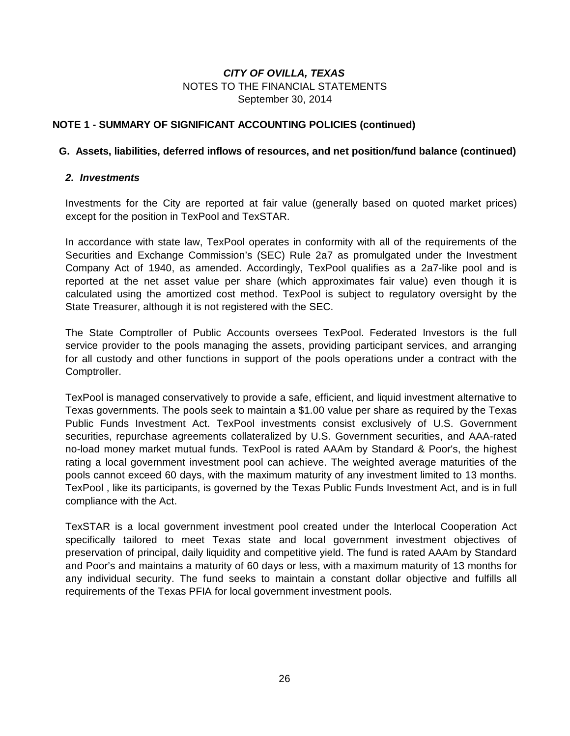# **NOTE 1 - SUMMARY OF SIGNIFICANT ACCOUNTING POLICIES (continued)**

# **G. Assets, liabilities, deferred inflows of resources, and net position/fund balance (continued)**

### *2. Investments*

Investments for the City are reported at fair value (generally based on quoted market prices) except for the position in TexPool and TexSTAR.

In accordance with state law, TexPool operates in conformity with all of the requirements of the Securities and Exchange Commission's (SEC) Rule 2a7 as promulgated under the Investment Company Act of 1940, as amended. Accordingly, TexPool qualifies as a 2a7-like pool and is reported at the net asset value per share (which approximates fair value) even though it is calculated using the amortized cost method. TexPool is subject to regulatory oversight by the State Treasurer, although it is not registered with the SEC.

The State Comptroller of Public Accounts oversees TexPool. Federated Investors is the full service provider to the pools managing the assets, providing participant services, and arranging for all custody and other functions in support of the pools operations under a contract with the Comptroller.

TexPool is managed conservatively to provide a safe, efficient, and liquid investment alternative to Texas governments. The pools seek to maintain a \$1.00 value per share as required by the Texas Public Funds Investment Act. TexPool investments consist exclusively of U.S. Government securities, repurchase agreements collateralized by U.S. Government securities, and AAA-rated no-load money market mutual funds. TexPool is rated AAAm by Standard & Poor's, the highest rating a local government investment pool can achieve. The weighted average maturities of the pools cannot exceed 60 days, with the maximum maturity of any investment limited to 13 months. TexPool , like its participants, is governed by the Texas Public Funds Investment Act, and is in full compliance with the Act.

TexSTAR is a local government investment pool created under the Interlocal Cooperation Act specifically tailored to meet Texas state and local government investment objectives of preservation of principal, daily liquidity and competitive yield. The fund is rated AAAm by Standard and Poor's and maintains a maturity of 60 days or less, with a maximum maturity of 13 months for any individual security. The fund seeks to maintain a constant dollar objective and fulfills all requirements of the Texas PFIA for local government investment pools.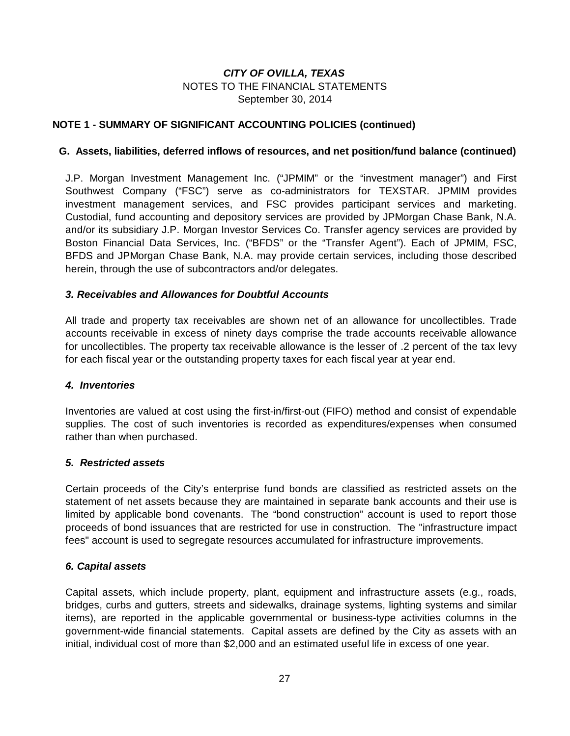# **NOTE 1 - SUMMARY OF SIGNIFICANT ACCOUNTING POLICIES (continued)**

# **G. Assets, liabilities, deferred inflows of resources, and net position/fund balance (continued)**

J.P. Morgan Investment Management Inc. ("JPMIM" or the "investment manager") and First Southwest Company ("FSC") serve as co-administrators for TEXSTAR. JPMIM provides investment management services, and FSC provides participant services and marketing. Custodial, fund accounting and depository services are provided by JPMorgan Chase Bank, N.A. and/or its subsidiary J.P. Morgan Investor Services Co. Transfer agency services are provided by Boston Financial Data Services, Inc. ("BFDS" or the "Transfer Agent"). Each of JPMIM, FSC, BFDS and JPMorgan Chase Bank, N.A. may provide certain services, including those described herein, through the use of subcontractors and/or delegates.

### *3. Receivables and Allowances for Doubtful Accounts*

All trade and property tax receivables are shown net of an allowance for uncollectibles. Trade accounts receivable in excess of ninety days comprise the trade accounts receivable allowance for uncollectibles. The property tax receivable allowance is the lesser of .2 percent of the tax levy for each fiscal year or the outstanding property taxes for each fiscal year at year end.

#### *4. Inventories*

Inventories are valued at cost using the first-in/first-out (FIFO) method and consist of expendable supplies. The cost of such inventories is recorded as expenditures/expenses when consumed rather than when purchased.

#### *5. Restricted assets*

Certain proceeds of the City's enterprise fund bonds are classified as restricted assets on the statement of net assets because they are maintained in separate bank accounts and their use is limited by applicable bond covenants. The "bond construction" account is used to report those proceeds of bond issuances that are restricted for use in construction. The "infrastructure impact fees" account is used to segregate resources accumulated for infrastructure improvements.

#### *6. Capital assets*

Capital assets, which include property, plant, equipment and infrastructure assets (e.g., roads, bridges, curbs and gutters, streets and sidewalks, drainage systems, lighting systems and similar items), are reported in the applicable governmental or business-type activities columns in the government-wide financial statements. Capital assets are defined by the City as assets with an initial, individual cost of more than \$2,000 and an estimated useful life in excess of one year.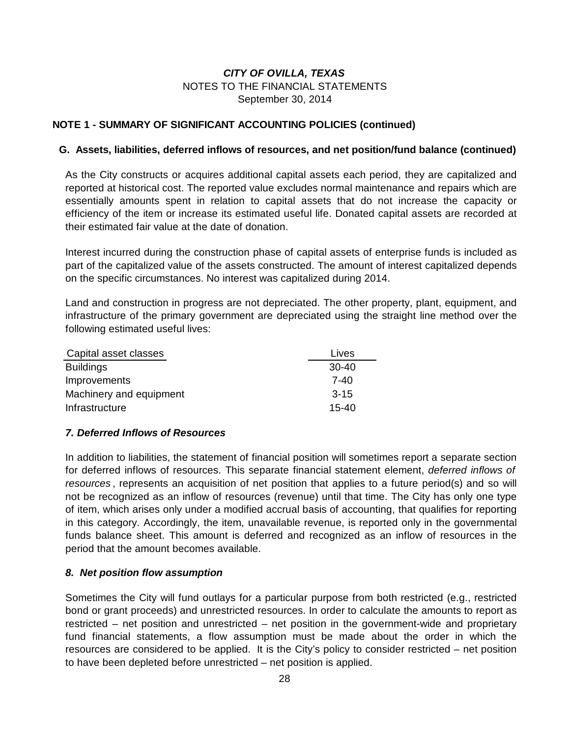# **NOTE 1 - SUMMARY OF SIGNIFICANT ACCOUNTING POLICIES (continued)**

#### **G. Assets, liabilities, deferred inflows of resources, and net position/fund balance (continued)**

As the City constructs or acquires additional capital assets each period, they are capitalized and reported at historical cost. The reported value excludes normal maintenance and repairs which are essentially amounts spent in relation to capital assets that do not increase the capacity or efficiency of the item or increase its estimated useful life. Donated capital assets are recorded at their estimated fair value at the date of donation.

Interest incurred during the construction phase of capital assets of enterprise funds is included as part of the capitalized value of the assets constructed. The amount of interest capitalized depends on the specific circumstances. No interest was capitalized during 2014.

Land and construction in progress are not depreciated. The other property, plant, equipment, and infrastructure of the primary government are depreciated using the straight line method over the following estimated useful lives:

| Capital asset classes   | Lives     |
|-------------------------|-----------|
| <b>Buildings</b>        | $30-40$   |
| Improvements            | 7-40      |
| Machinery and equipment | $3 - 15$  |
| Infrastructure          | $15 - 40$ |

# *7. Deferred Inflows of Resources*

In addition to liabilities, the statement of financial position will sometimes report a separate section for deferred inflows of resources. This separate financial statement element, *deferred inflows of resources* , represents an acquisition of net position that applies to a future period(s) and so will not be recognized as an inflow of resources (revenue) until that time. The City has only one type of item, which arises only under a modified accrual basis of accounting, that qualifies for reporting in this category. Accordingly, the item, unavailable revenue, is reported only in the governmental funds balance sheet. This amount is deferred and recognized as an inflow of resources in the period that the amount becomes available.

# *8. Net position flow assumption*

Sometimes the City will fund outlays for a particular purpose from both restricted (e.g., restricted bond or grant proceeds) and unrestricted resources. In order to calculate the amounts to report as restricted – net position and unrestricted – net position in the government-wide and proprietary fund financial statements, a flow assumption must be made about the order in which the resources are considered to be applied. It is the City's policy to consider restricted – net position to have been depleted before unrestricted – net position is applied.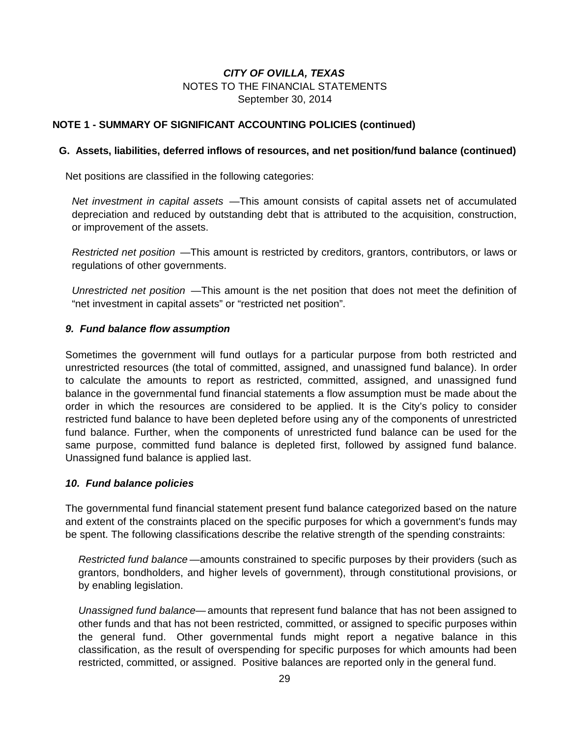# **NOTE 1 - SUMMARY OF SIGNIFICANT ACCOUNTING POLICIES (continued)**

### **G. Assets, liabilities, deferred inflows of resources, and net position/fund balance (continued)**

Net positions are classified in the following categories:

*Net investment in capital assets* —This amount consists of capital assets net of accumulated depreciation and reduced by outstanding debt that is attributed to the acquisition, construction, or improvement of the assets.

*Restricted net position* —This amount is restricted by creditors, grantors, contributors, or laws or regulations of other governments.

*Unrestricted net position* —This amount is the net position that does not meet the definition of "net investment in capital assets" or "restricted net position".

### *9. Fund balance flow assumption*

Sometimes the government will fund outlays for a particular purpose from both restricted and unrestricted resources (the total of committed, assigned, and unassigned fund balance). In order to calculate the amounts to report as restricted, committed, assigned, and unassigned fund balance in the governmental fund financial statements a flow assumption must be made about the order in which the resources are considered to be applied. It is the City's policy to consider restricted fund balance to have been depleted before using any of the components of unrestricted fund balance. Further, when the components of unrestricted fund balance can be used for the same purpose, committed fund balance is depleted first, followed by assigned fund balance. Unassigned fund balance is applied last.

#### *10. Fund balance policies*

The governmental fund financial statement present fund balance categorized based on the nature and extent of the constraints placed on the specific purposes for which a government's funds may be spent. The following classifications describe the relative strength of the spending constraints:

*Restricted fund balance* —amounts constrained to specific purposes by their providers (such as grantors, bondholders, and higher levels of government), through constitutional provisions, or by enabling legislation.

*Unassigned fund balance—* amounts that represent fund balance that has not been assigned to other funds and that has not been restricted, committed, or assigned to specific purposes within the general fund. Other governmental funds might report a negative balance in this classification, as the result of overspending for specific purposes for which amounts had been restricted, committed, or assigned. Positive balances are reported only in the general fund.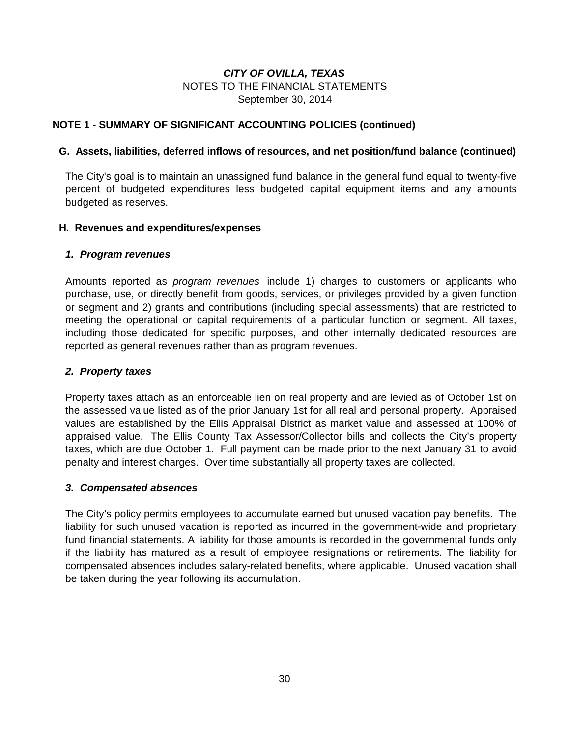# **NOTE 1 - SUMMARY OF SIGNIFICANT ACCOUNTING POLICIES (continued)**

# **G. Assets, liabilities, deferred inflows of resources, and net position/fund balance (continued)**

The City's goal is to maintain an unassigned fund balance in the general fund equal to twenty-five percent of budgeted expenditures less budgeted capital equipment items and any amounts budgeted as reserves.

### **H. Revenues and expenditures/expenses**

#### *1. Program revenues*

Amounts reported as *program revenues* include 1) charges to customers or applicants who purchase, use, or directly benefit from goods, services, or privileges provided by a given function or segment and 2) grants and contributions (including special assessments) that are restricted to meeting the operational or capital requirements of a particular function or segment. All taxes, including those dedicated for specific purposes, and other internally dedicated resources are reported as general revenues rather than as program revenues.

### *2. Property taxes*

Property taxes attach as an enforceable lien on real property and are levied as of October 1st on the assessed value listed as of the prior January 1st for all real and personal property. Appraised values are established by the Ellis Appraisal District as market value and assessed at 100% of appraised value. The Ellis County Tax Assessor/Collector bills and collects the City's property taxes, which are due October 1. Full payment can be made prior to the next January 31 to avoid penalty and interest charges. Over time substantially all property taxes are collected.

#### *3. Compensated absences*

The City's policy permits employees to accumulate earned but unused vacation pay benefits. The liability for such unused vacation is reported as incurred in the government-wide and proprietary fund financial statements. A liability for those amounts is recorded in the governmental funds only if the liability has matured as a result of employee resignations or retirements. The liability for compensated absences includes salary-related benefits, where applicable. Unused vacation shall be taken during the year following its accumulation.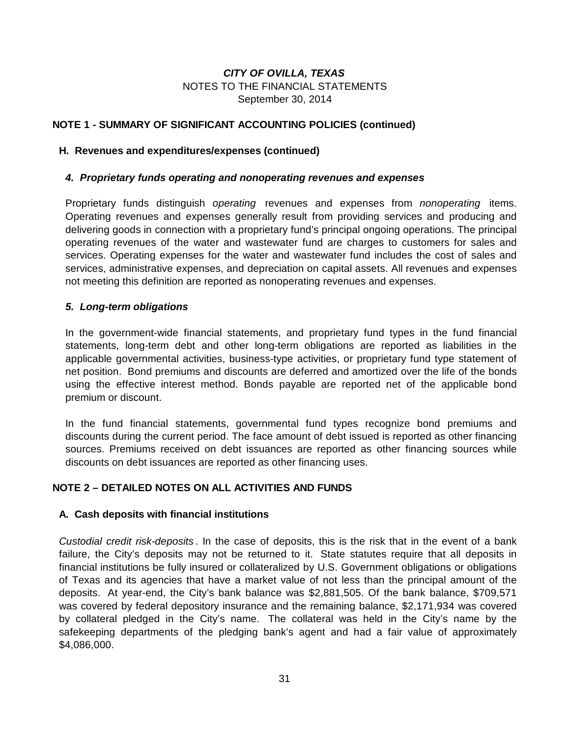# **NOTE 1 - SUMMARY OF SIGNIFICANT ACCOUNTING POLICIES (continued)**

# **H. Revenues and expenditures/expenses (continued)**

### *4. Proprietary funds operating and nonoperating revenues and expenses*

Proprietary funds distinguish *operating* revenues and expenses from *nonoperating* items. Operating revenues and expenses generally result from providing services and producing and delivering goods in connection with a proprietary fund's principal ongoing operations. The principal operating revenues of the water and wastewater fund are charges to customers for sales and services. Operating expenses for the water and wastewater fund includes the cost of sales and services, administrative expenses, and depreciation on capital assets. All revenues and expenses not meeting this definition are reported as nonoperating revenues and expenses.

### *5. Long-term obligations*

In the government-wide financial statements, and proprietary fund types in the fund financial statements, long-term debt and other long-term obligations are reported as liabilities in the applicable governmental activities, business-type activities, or proprietary fund type statement of net position. Bond premiums and discounts are deferred and amortized over the life of the bonds using the effective interest method. Bonds payable are reported net of the applicable bond premium or discount.

In the fund financial statements, governmental fund types recognize bond premiums and discounts during the current period. The face amount of debt issued is reported as other financing sources. Premiums received on debt issuances are reported as other financing sources while discounts on debt issuances are reported as other financing uses.

# **NOTE 2 – DETAILED NOTES ON ALL ACTIVITIES AND FUNDS**

#### **A. Cash deposits with financial institutions**

*Custodial credit risk-deposits* . In the case of deposits, this is the risk that in the event of a bank failure, the City's deposits may not be returned to it. State statutes require that all deposits in financial institutions be fully insured or collateralized by U.S. Government obligations or obligations of Texas and its agencies that have a market value of not less than the principal amount of the deposits. At year-end, the City's bank balance was \$2,881,505. Of the bank balance, \$709,571 was covered by federal depository insurance and the remaining balance, \$2,171,934 was covered by collateral pledged in the City's name. The collateral was held in the City's name by the safekeeping departments of the pledging bank's agent and had a fair value of approximately \$4,086,000.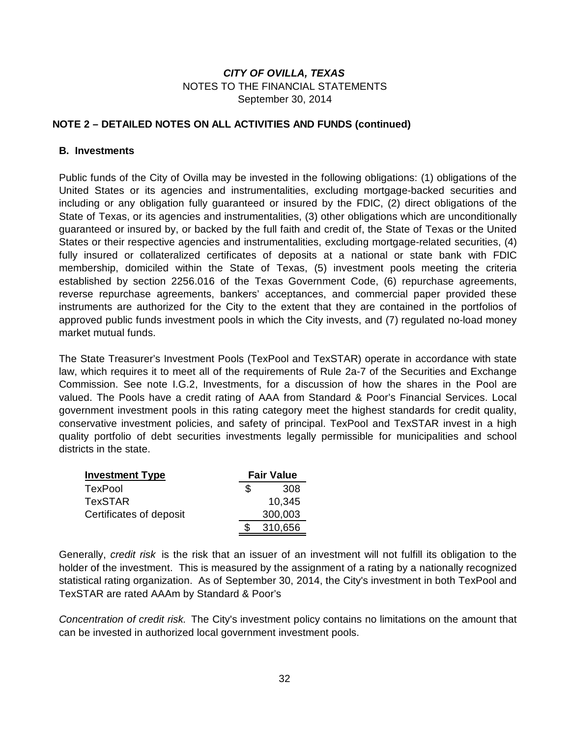# **NOTE 2 – DETAILED NOTES ON ALL ACTIVITIES AND FUNDS (continued)**

### **B. Investments**

Public funds of the City of Ovilla may be invested in the following obligations: (1) obligations of the United States or its agencies and instrumentalities, excluding mortgage-backed securities and including or any obligation fully guaranteed or insured by the FDIC, (2) direct obligations of the State of Texas, or its agencies and instrumentalities, (3) other obligations which are unconditionally guaranteed or insured by, or backed by the full faith and credit of, the State of Texas or the United States or their respective agencies and instrumentalities, excluding mortgage-related securities, (4) fully insured or collateralized certificates of deposits at a national or state bank with FDIC membership, domiciled within the State of Texas, (5) investment pools meeting the criteria established by section 2256.016 of the Texas Government Code, (6) repurchase agreements, reverse repurchase agreements, bankers' acceptances, and commercial paper provided these instruments are authorized for the City to the extent that they are contained in the portfolios of approved public funds investment pools in which the City invests, and (7) regulated no-load money market mutual funds.

The State Treasurer's Investment Pools (TexPool and TexSTAR) operate in accordance with state law, which requires it to meet all of the requirements of Rule 2a-7 of the Securities and Exchange Commission. See note I.G.2, Investments, for a discussion of how the shares in the Pool are valued. The Pools have a credit rating of AAA from Standard & Poor's Financial Services. Local government investment pools in this rating category meet the highest standards for credit quality, conservative investment policies, and safety of principal. TexPool and TexSTAR invest in a high quality portfolio of debt securities investments legally permissible for municipalities and school districts in the state.

| <b>Investment Type</b>  | <b>Fair Value</b> |         |
|-------------------------|-------------------|---------|
| TexPool                 | \$.               | 308     |
| <b>TexSTAR</b>          |                   | 10,345  |
| Certificates of deposit |                   | 300,003 |
|                         |                   | 310,656 |

Generally, *credit risk* is the risk that an issuer of an investment will not fulfill its obligation to the holder of the investment. This is measured by the assignment of a rating by a nationally recognized statistical rating organization. As of September 30, 2014, the City's investment in both TexPool and TexSTAR are rated AAAm by Standard & Poor's

*Concentration of credit risk.* The City's investment policy contains no limitations on the amount that can be invested in authorized local government investment pools.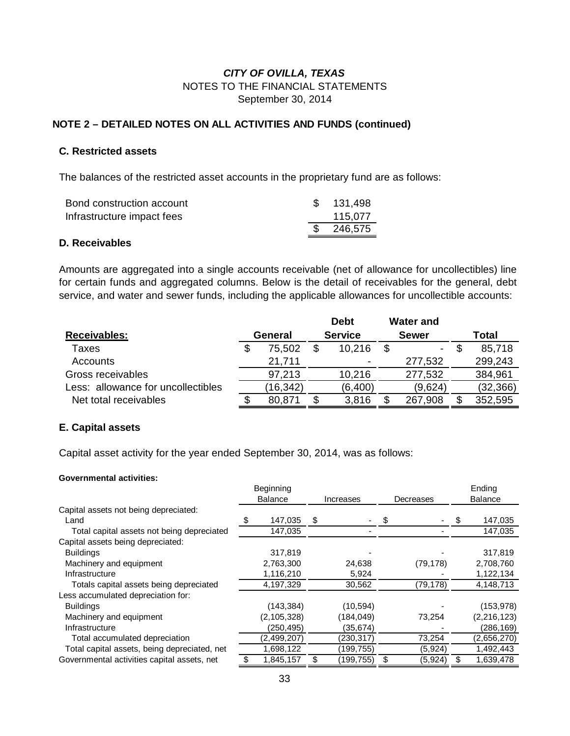### **NOTE 2 – DETAILED NOTES ON ALL ACTIVITIES AND FUNDS (continued)**

### **C. Restricted assets**

The balances of the restricted asset accounts in the proprietary fund are as follows:

| Bond construction account  | \$ 131,498 |
|----------------------------|------------|
| Infrastructure impact fees | 115,077    |
|                            | \$ 246,575 |
|                            |            |

# **D. Receivables**

Amounts are aggregated into a single accounts receivable (net of allowance for uncollectibles) line for certain funds and aggregated columns. Below is the detail of receivables for the general, debt service, and water and sewer funds, including the applicable allowances for uncollectible accounts:

|                                    |              | <b>Debt</b>    | <b>Water and</b>         |              |
|------------------------------------|--------------|----------------|--------------------------|--------------|
| <b>Receivables:</b>                | General      | <b>Service</b> | <b>Sewer</b>             | <b>Total</b> |
| Taxes                              | \$<br>75,502 | 10,216         | $\overline{\phantom{0}}$ | 85,718       |
| Accounts                           | 21,711       | ۰              | 277,532                  | 299,243      |
| Gross receivables                  | 97,213       | 10,216         | 277,532                  | 384,961      |
| Less: allowance for uncollectibles | (16, 342)    | (6,400)        | (9,624)                  | (32, 366)    |
| Net total receivables              | 80,871       | 3,816          | 267,908                  | 352,595      |

# **E. Capital assets**

Capital asset activity for the year ended September 30, 2014, was as follows:

#### **Governmental activities:**

|                                              | Beginning      |   |            |           |           | Ending         |  |
|----------------------------------------------|----------------|---|------------|-----------|-----------|----------------|--|
|                                              | <b>Balance</b> |   | Increases  | Decreases |           | <b>Balance</b> |  |
| Capital assets not being depreciated:        |                |   |            |           |           |                |  |
| Land                                         | \$<br>147,035  | S |            | S         |           | 147,035        |  |
| Total capital assets not being depreciated   | 147,035        |   |            |           |           | 147,035        |  |
| Capital assets being depreciated:            |                |   |            |           |           |                |  |
| <b>Buildings</b>                             | 317,819        |   |            |           |           | 317,819        |  |
| Machinery and equipment                      | 2,763,300      |   | 24,638     |           | (79, 178) | 2,708,760      |  |
| Infrastructure                               | 1,116,210      |   | 5,924      |           |           | 1,122,134      |  |
| Totals capital assets being depreciated      | 4,197,329      |   | 30,562     |           | (79, 178) | 4,148,713      |  |
| Less accumulated depreciation for:           |                |   |            |           |           |                |  |
| <b>Buildings</b>                             | (143, 384)     |   | (10, 594)  |           |           | (153, 978)     |  |
| Machinery and equipment                      | (2, 105, 328)  |   | (184,049)  |           | 73,254    | (2, 216, 123)  |  |
| Infrastructure                               | (250, 495)     |   | (35,674)   |           |           | (286,169)      |  |
| Total accumulated depreciation               | (2,499,207)    |   | (230,317)  |           | 73,254    | (2,656,270)    |  |
| Total capital assets, being depreciated, net | 1,698,122      |   | (199,755)  |           | (5,924)   | 1,492,443      |  |
| Governmental activities capital assets, net  | 1,845,157      | S | (199, 755) |           | (5, 924)  | 1,639,478      |  |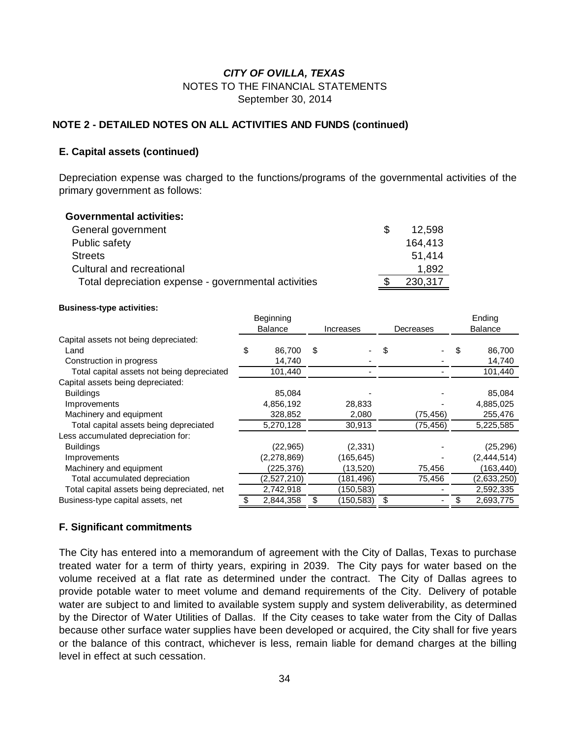# **NOTE 2 - DETAILED NOTES ON ALL ACTIVITIES AND FUNDS (continued)**

### **E. Capital assets (continued)**

Depreciation expense was charged to the functions/programs of the governmental activities of the primary government as follows:

# **Governmental activities:**

| General government                                   | \$. | 12.598  |
|------------------------------------------------------|-----|---------|
| Public safety                                        |     | 164.413 |
| <b>Streets</b>                                       |     | 51.414  |
| Cultural and recreational                            |     | 1,892   |
| Total depreciation expense - governmental activities |     | 230,317 |

#### **Business-type activities:**

|                                             |    | Beginning      |                  |           |           |   | Ending         |
|---------------------------------------------|----|----------------|------------------|-----------|-----------|---|----------------|
|                                             |    | <b>Balance</b> | Increases        | Decreases |           |   | <b>Balance</b> |
| Capital assets not being depreciated:       |    |                |                  |           |           |   |                |
| Land                                        | \$ | 86,700         | \$               | S         |           | S | 86,700         |
| Construction in progress                    |    | 14,740         |                  |           |           |   | 14,740         |
| Total capital assets not being depreciated  |    | 101,440        |                  |           |           |   | 101,440        |
| Capital assets being depreciated:           |    |                |                  |           |           |   |                |
| <b>Buildings</b>                            |    | 85.084         |                  |           |           |   | 85,084         |
| Improvements                                |    | 4,856,192      | 28,833           |           |           |   | 4,885,025      |
| Machinery and equipment                     |    | 328,852        | 2,080            |           | (75, 456) |   | 255,476        |
| Total capital assets being depreciated      |    | 5,270,128      | 30,913           |           | (75, 456) |   | 5,225,585      |
| Less accumulated depreciation for:          |    |                |                  |           |           |   |                |
| <b>Buildings</b>                            |    | (22, 965)      | (2, 331)         |           |           |   | (25, 296)      |
| Improvements                                |    | (2,278,869)    | (165, 645)       |           |           |   | (2,444,514)    |
| Machinery and equipment                     |    | (225,376)      | (13,520)         |           | 75,456    |   | (163,440)      |
| Total accumulated depreciation              |    | (2,527,210)    | (181,496)        |           | 75,456    |   | (2,633,250)    |
| Total capital assets being depreciated, net |    | 2,742,918      | (150, 583)       |           |           |   | 2,592,335      |
| Business-type capital assets, net           | æ  | 2,844,358      | \$<br>(150, 583) | \$        |           |   | 2,693,775      |

# **F. Significant commitments**

The City has entered into a memorandum of agreement with the City of Dallas, Texas to purchase treated water for a term of thirty years, expiring in 2039. The City pays for water based on the volume received at a flat rate as determined under the contract. The City of Dallas agrees to provide potable water to meet volume and demand requirements of the City. Delivery of potable water are subject to and limited to available system supply and system deliverability, as determined by the Director of Water Utilities of Dallas. If the City ceases to take water from the City of Dallas because other surface water supplies have been developed or acquired, the City shall for five years or the balance of this contract, whichever is less, remain liable for demand charges at the billing level in effect at such cessation.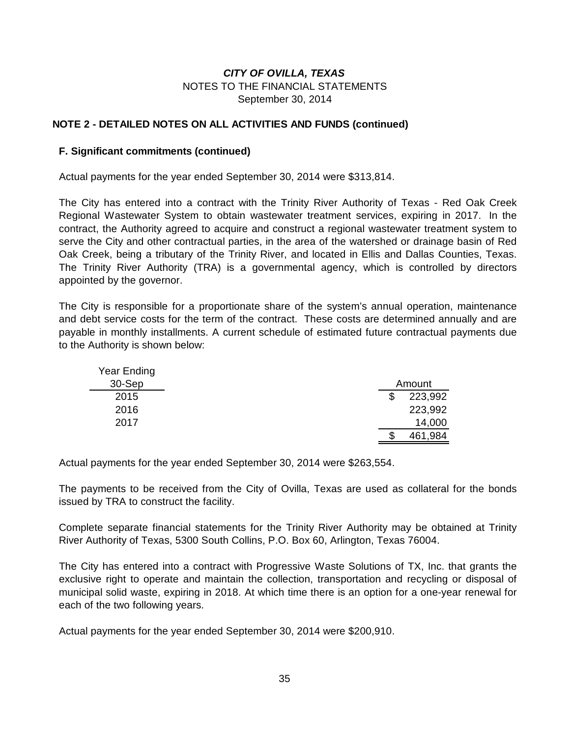# **NOTE 2 - DETAILED NOTES ON ALL ACTIVITIES AND FUNDS (continued)**

### **F. Significant commitments (continued)**

Actual payments for the year ended September 30, 2014 were \$313,814.

The City has entered into a contract with the Trinity River Authority of Texas - Red Oak Creek Regional Wastewater System to obtain wastewater treatment services, expiring in 2017. In the contract, the Authority agreed to acquire and construct a regional wastewater treatment system to serve the City and other contractual parties, in the area of the watershed or drainage basin of Red Oak Creek, being a tributary of the Trinity River, and located in Ellis and Dallas Counties, Texas. The Trinity River Authority (TRA) is a governmental agency, which is controlled by directors appointed by the governor.

The City is responsible for a proportionate share of the system's annual operation, maintenance and debt service costs for the term of the contract. These costs are determined annually and are payable in monthly installments. A current schedule of estimated future contractual payments due to the Authority is shown below:

| Year Ending |               |
|-------------|---------------|
| $30-Sep$    | Amount        |
| 2015        | 223,992<br>\$ |
| 2016        | 223,992       |
| 2017        | 14,000        |
|             | \$<br>461,984 |

Actual payments for the year ended September 30, 2014 were \$263,554.

The payments to be received from the City of Ovilla, Texas are used as collateral for the bonds issued by TRA to construct the facility.

Complete separate financial statements for the Trinity River Authority may be obtained at Trinity River Authority of Texas, 5300 South Collins, P.O. Box 60, Arlington, Texas 76004.

The City has entered into a contract with Progressive Waste Solutions of TX, Inc. that grants the exclusive right to operate and maintain the collection, transportation and recycling or disposal of municipal solid waste, expiring in 2018. At which time there is an option for a one-year renewal for each of the two following years.

Actual payments for the year ended September 30, 2014 were \$200,910.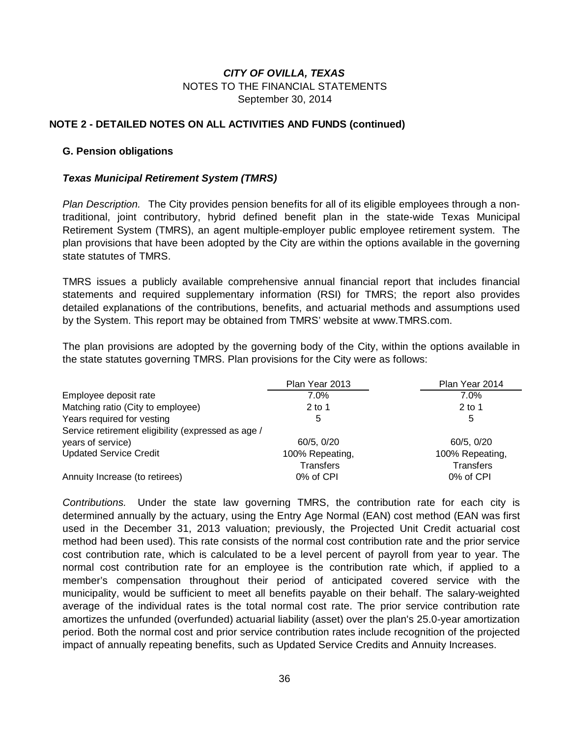### **NOTE 2 - DETAILED NOTES ON ALL ACTIVITIES AND FUNDS (continued)**

### **G. Pension obligations**

### *Texas Municipal Retirement System (TMRS)*

*Plan Description.* The City provides pension benefits for all of its eligible employees through a nontraditional, joint contributory, hybrid defined benefit plan in the state-wide Texas Municipal Retirement System (TMRS), an agent multiple-employer public employee retirement system. The plan provisions that have been adopted by the City are within the options available in the governing state statutes of TMRS.

TMRS issues a publicly available comprehensive annual financial report that includes financial statements and required supplementary information (RSI) for TMRS; the report also provides detailed explanations of the contributions, benefits, and actuarial methods and assumptions used by the System. This report may be obtained from TMRS' website at www.TMRS.com.

The plan provisions are adopted by the governing body of the City, within the options available in the state statutes governing TMRS. Plan provisions for the City were as follows:

|                                                    | Plan Year 2013                | Plan Year 2014                |
|----------------------------------------------------|-------------------------------|-------------------------------|
| Employee deposit rate                              | 7.0%                          | $7.0\%$                       |
| Matching ratio (City to employee)                  | $2$ to 1                      | $2$ to 1                      |
| Years required for vesting                         | 5                             | 5                             |
| Service retirement eligibility (expressed as age / |                               |                               |
| years of service)                                  | 60/5, 0/20                    | 60/5, 0/20                    |
| <b>Updated Service Credit</b>                      | 100% Repeating,               | 100% Repeating,               |
| Annuity Increase (to retirees)                     | <b>Transfers</b><br>0% of CPI | <b>Transfers</b><br>0% of CPI |

*Contributions.* Under the state law governing TMRS, the contribution rate for each city is determined annually by the actuary, using the Entry Age Normal (EAN) cost method (EAN was first used in the December 31, 2013 valuation; previously, the Projected Unit Credit actuarial cost method had been used). This rate consists of the normal cost contribution rate and the prior service cost contribution rate, which is calculated to be a level percent of payroll from year to year. The normal cost contribution rate for an employee is the contribution rate which, if applied to a member's compensation throughout their period of anticipated covered service with the municipality, would be sufficient to meet all benefits payable on their behalf. The salary-weighted average of the individual rates is the total normal cost rate. The prior service contribution rate amortizes the unfunded (overfunded) actuarial liability (asset) over the plan's 25.0-year amortization period. Both the normal cost and prior service contribution rates include recognition of the projected impact of annually repeating benefits, such as Updated Service Credits and Annuity Increases.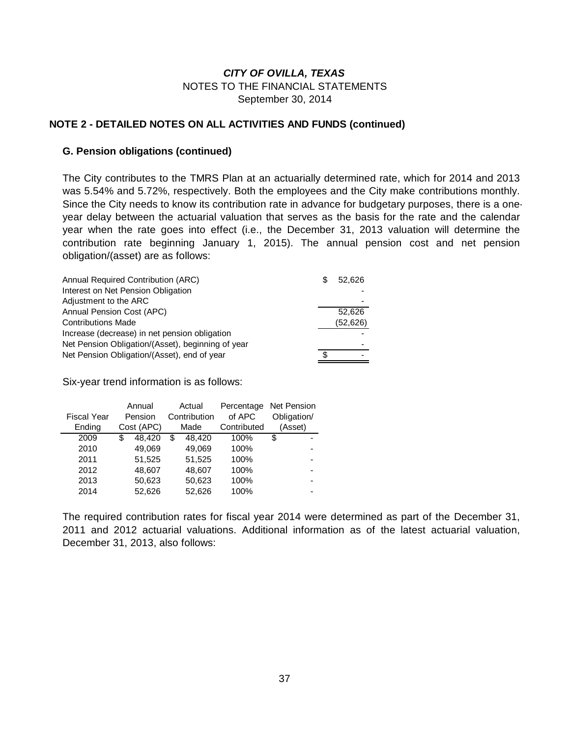### **NOTE 2 - DETAILED NOTES ON ALL ACTIVITIES AND FUNDS (continued)**

#### **G. Pension obligations (continued)**

The City contributes to the TMRS Plan at an actuarially determined rate, which for 2014 and 2013 was 5.54% and 5.72%, respectively. Both the employees and the City make contributions monthly. Since the City needs to know its contribution rate in advance for budgetary purposes, there is a oneyear delay between the actuarial valuation that serves as the basis for the rate and the calendar year when the rate goes into effect (i.e., the December 31, 2013 valuation will determine the contribution rate beginning January 1, 2015). The annual pension cost and net pension obligation/(asset) are as follows:

| Annual Required Contribution (ARC)                | 52.626    |
|---------------------------------------------------|-----------|
| Interest on Net Pension Obligation                |           |
| Adjustment to the ARC                             |           |
| Annual Pension Cost (APC)                         | 52.626    |
| <b>Contributions Made</b>                         | (52, 626) |
| Increase (decrease) in net pension obligation     |           |
| Net Pension Obligation/(Asset), beginning of year |           |
| Net Pension Obligation/(Asset), end of year       |           |
|                                                   |           |

Six-year trend information is as follows:

|                    | Annual       |   | Actual       | Percentage  | <b>Net Pension</b> |   |
|--------------------|--------------|---|--------------|-------------|--------------------|---|
| <b>Fiscal Year</b> | Pension      |   | Contribution | of APC      | Obligation/        |   |
| Ending             | Cost (APC)   |   | Made         | Contributed | (Asset)            |   |
| 2009               | \$<br>48.420 | S | 48,420       | 100%        | \$                 |   |
| 2010               | 49.069       |   | 49,069       | 100%        |                    |   |
| 2011               | 51,525       |   | 51,525       | 100%        |                    |   |
| 2012               | 48,607       |   | 48,607       | 100%        |                    | - |
| 2013               | 50,623       |   | 50,623       | 100%        |                    |   |
| 2014               | 52.626       |   | 52.626       | 100%        |                    |   |

The required contribution rates for fiscal year 2014 were determined as part of the December 31, 2011 and 2012 actuarial valuations. Additional information as of the latest actuarial valuation, December 31, 2013, also follows: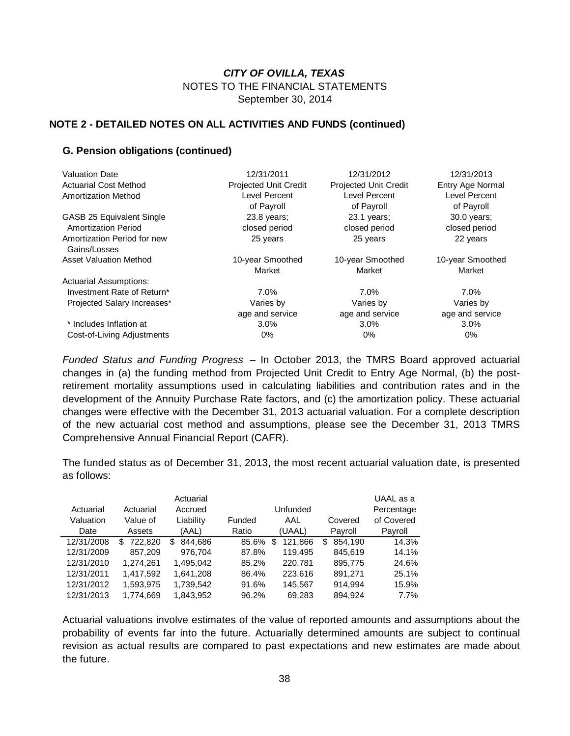### **NOTE 2 - DETAILED NOTES ON ALL ACTIVITIES AND FUNDS (continued)**

#### **G. Pension obligations (continued)**

| <b>Valuation Date</b>                       | 12/31/2011                   | 12/31/2012                   | 12/31/2013       |
|---------------------------------------------|------------------------------|------------------------------|------------------|
| <b>Actuarial Cost Method</b>                | <b>Projected Unit Credit</b> | <b>Projected Unit Credit</b> | Entry Age Normal |
| <b>Amortization Method</b>                  | Level Percent                | Level Percent                | Level Percent    |
|                                             | of Payroll                   | of Payroll                   | of Payroll       |
| GASB 25 Equivalent Single                   | 23.8 years;                  | $23.1$ years;                | 30.0 years;      |
| Amortization Period                         | closed period                | closed period                | closed period    |
| Amortization Period for new<br>Gains/Losses | 25 years                     | 25 years                     | 22 years         |
| <b>Asset Valuation Method</b>               | 10-year Smoothed             | 10-year Smoothed             | 10-year Smoothed |
|                                             | Market                       | Market                       | Market           |
| <b>Actuarial Assumptions:</b>               |                              |                              |                  |
| Investment Rate of Return*                  | 7.0%                         | 7.0%                         | 7.0%             |
| Projected Salary Increases*                 | Varies by                    | Varies by                    | Varies by        |
|                                             | age and service              | age and service              | age and service  |
| * Includes Inflation at                     | 3.0%                         | 3.0%                         | 3.0%             |
| Cost-of-Living Adjustments                  | 0%                           | 0%                           | 0%               |

*Funded Status and Funding Progress* – In October 2013, the TMRS Board approved actuarial changes in (a) the funding method from Projected Unit Credit to Entry Age Normal, (b) the postretirement mortality assumptions used in calculating liabilities and contribution rates and in the development of the Annuity Purchase Rate factors, and (c) the amortization policy. These actuarial changes were effective with the December 31, 2013 actuarial valuation. For a complete description of the new actuarial cost method and assumptions, please see the December 31, 2013 TMRS Comprehensive Annual Financial Report (CAFR).

The funded status as of December 31, 2013, the most recent actuarial valuation date, is presented as follows:

|            |              | Actuarial      |        |               |              | UAAL as a  |
|------------|--------------|----------------|--------|---------------|--------------|------------|
| Actuarial  | Actuarial    | Accrued        |        | Unfunded      |              | Percentage |
| Valuation  | Value of     | Liability      | Funded | AAL           | Covered      | of Covered |
| Date       | Assets       | (AAL)          | Ratio  | (UAAL)        | Payroll      | Payroll    |
| 12/31/2008 | 722,820<br>S | 844,686<br>\$. | 85.6%  | 121,866<br>\$ | 854,190<br>S | 14.3%      |
| 12/31/2009 | 857.209      | 976.704        | 87.8%  | 119.495       | 845.619      | 14.1%      |
| 12/31/2010 | 1.274.261    | 1,495,042      | 85.2%  | 220,781       | 895,775      | 24.6%      |
| 12/31/2011 | 1.417.592    | 1,641,208      | 86.4%  | 223.616       | 891.271      | 25.1%      |
| 12/31/2012 | 1.593.975    | 1,739,542      | 91.6%  | 145.567       | 914.994      | 15.9%      |
| 12/31/2013 | 1,774,669    | 1,843,952      | 96.2%  | 69.283        | 894.924      | 7.7%       |

Actuarial valuations involve estimates of the value of reported amounts and assumptions about the probability of events far into the future. Actuarially determined amounts are subject to continual revision as actual results are compared to past expectations and new estimates are made about the future.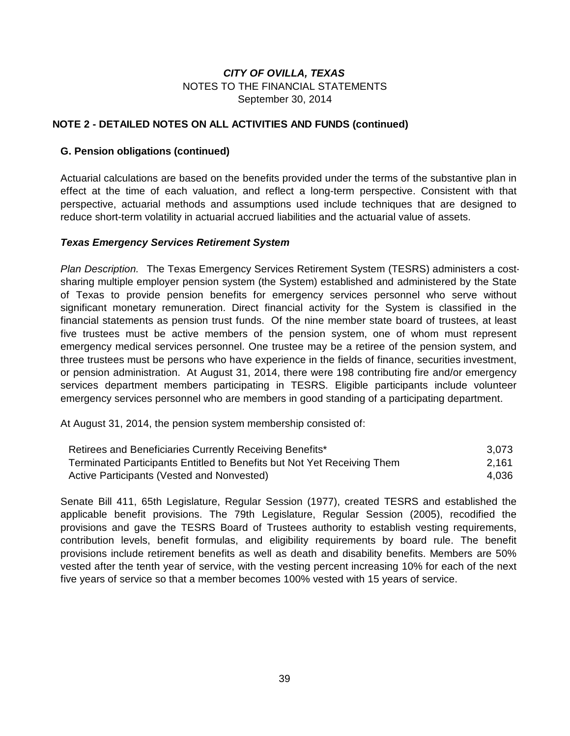### **NOTE 2 - DETAILED NOTES ON ALL ACTIVITIES AND FUNDS (continued)**

### **G. Pension obligations (continued)**

Actuarial calculations are based on the benefits provided under the terms of the substantive plan in effect at the time of each valuation, and reflect a long-term perspective. Consistent with that perspective, actuarial methods and assumptions used include techniques that are designed to reduce short-term volatility in actuarial accrued liabilities and the actuarial value of assets.

#### *Texas Emergency Services Retirement System*

*Plan Description.* The Texas Emergency Services Retirement System (TESRS) administers a costsharing multiple employer pension system (the System) established and administered by the State of Texas to provide pension benefits for emergency services personnel who serve without significant monetary remuneration. Direct financial activity for the System is classified in the financial statements as pension trust funds. Of the nine member state board of trustees, at least five trustees must be active members of the pension system, one of whom must represent emergency medical services personnel. One trustee may be a retiree of the pension system, and three trustees must be persons who have experience in the fields of finance, securities investment, or pension administration. At August 31, 2014, there were 198 contributing fire and/or emergency services department members participating in TESRS. Eligible participants include volunteer emergency services personnel who are members in good standing of a participating department.

At August 31, 2014, the pension system membership consisted of:

| Retirees and Beneficiaries Currently Receiving Benefits*                | 3,073 |
|-------------------------------------------------------------------------|-------|
| Terminated Participants Entitled to Benefits but Not Yet Receiving Them | 2,161 |
| Active Participants (Vested and Nonvested)                              | 4.036 |

Senate Bill 411, 65th Legislature, Regular Session (1977), created TESRS and established the applicable benefit provisions. The 79th Legislature, Regular Session (2005), recodified the provisions and gave the TESRS Board of Trustees authority to establish vesting requirements, contribution levels, benefit formulas, and eligibility requirements by board rule. The benefit provisions include retirement benefits as well as death and disability benefits. Members are 50% vested after the tenth year of service, with the vesting percent increasing 10% for each of the next five years of service so that a member becomes 100% vested with 15 years of service.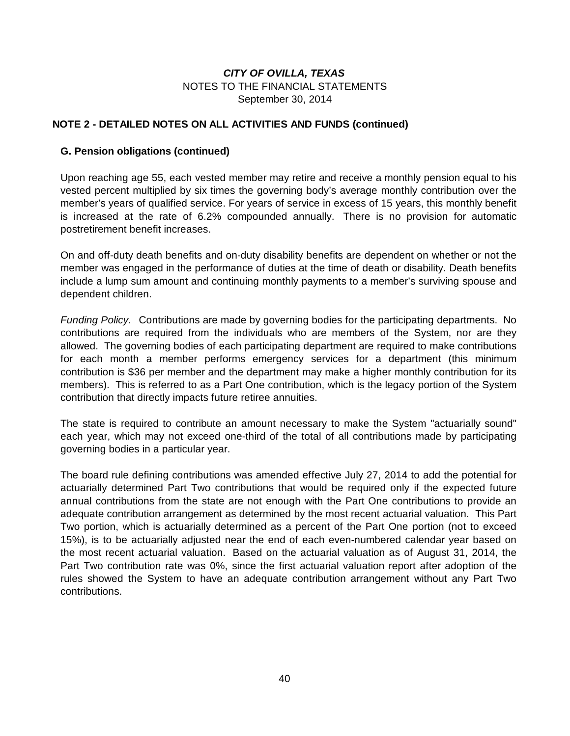### **NOTE 2 - DETAILED NOTES ON ALL ACTIVITIES AND FUNDS (continued)**

### **G. Pension obligations (continued)**

Upon reaching age 55, each vested member may retire and receive a monthly pension equal to his vested percent multiplied by six times the governing body's average monthly contribution over the member's years of qualified service. For years of service in excess of 15 years, this monthly benefit is increased at the rate of 6.2% compounded annually. There is no provision for automatic postretirement benefit increases.

On and off-duty death benefits and on-duty disability benefits are dependent on whether or not the member was engaged in the performance of duties at the time of death or disability. Death benefits include a lump sum amount and continuing monthly payments to a member's surviving spouse and dependent children.

*Funding Policy.* Contributions are made by governing bodies for the participating departments. No contributions are required from the individuals who are members of the System, nor are they allowed. The governing bodies of each participating department are required to make contributions for each month a member performs emergency services for a department (this minimum contribution is \$36 per member and the department may make a higher monthly contribution for its members). This is referred to as a Part One contribution, which is the legacy portion of the System contribution that directly impacts future retiree annuities.

The state is required to contribute an amount necessary to make the System "actuarially sound" each year, which may not exceed one-third of the total of all contributions made by participating governing bodies in a particular year.

The board rule defining contributions was amended effective July 27, 2014 to add the potential for actuarially determined Part Two contributions that would be required only if the expected future annual contributions from the state are not enough with the Part One contributions to provide an adequate contribution arrangement as determined by the most recent actuarial valuation. This Part Two portion, which is actuarially determined as a percent of the Part One portion (not to exceed 15%), is to be actuarially adjusted near the end of each even-numbered calendar year based on the most recent actuarial valuation. Based on the actuarial valuation as of August 31, 2014, the Part Two contribution rate was 0%, since the first actuarial valuation report after adoption of the rules showed the System to have an adequate contribution arrangement without any Part Two contributions.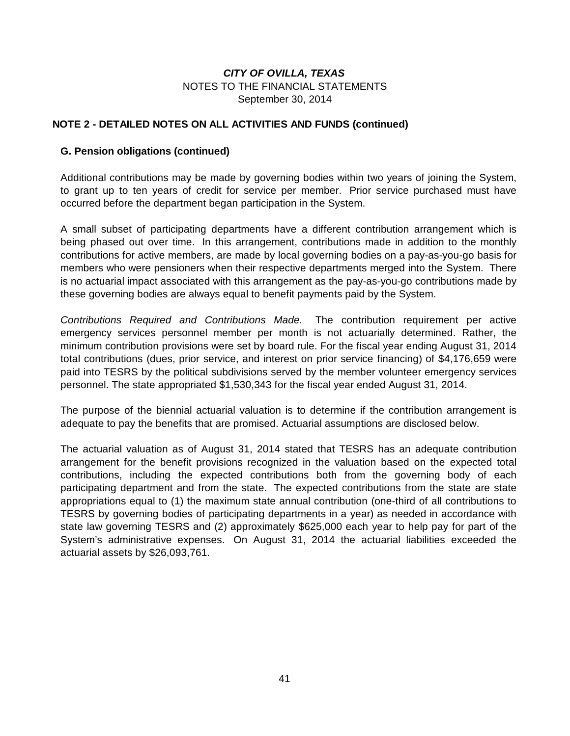# **NOTE 2 - DETAILED NOTES ON ALL ACTIVITIES AND FUNDS (continued)**

### **G. Pension obligations (continued)**

Additional contributions may be made by governing bodies within two years of joining the System, to grant up to ten years of credit for service per member. Prior service purchased must have occurred before the department began participation in the System.

A small subset of participating departments have a different contribution arrangement which is being phased out over time. In this arrangement, contributions made in addition to the monthly contributions for active members, are made by local governing bodies on a pay-as-you-go basis for members who were pensioners when their respective departments merged into the System. There is no actuarial impact associated with this arrangement as the pay-as-you-go contributions made by these governing bodies are always equal to benefit payments paid by the System.

*Contributions Required and Contributions Made.* The contribution requirement per active emergency services personnel member per month is not actuarially determined. Rather, the minimum contribution provisions were set by board rule. For the fiscal year ending August 31, 2014 total contributions (dues, prior service, and interest on prior service financing) of \$4,176,659 were paid into TESRS by the political subdivisions served by the member volunteer emergency services personnel. The state appropriated \$1,530,343 for the fiscal year ended August 31, 2014.

The purpose of the biennial actuarial valuation is to determine if the contribution arrangement is adequate to pay the benefits that are promised. Actuarial assumptions are disclosed below.

The actuarial valuation as of August 31, 2014 stated that TESRS has an adequate contribution arrangement for the benefit provisions recognized in the valuation based on the expected total contributions, including the expected contributions both from the governing body of each participating department and from the state. The expected contributions from the state are state appropriations equal to (1) the maximum state annual contribution (one-third of all contributions to TESRS by governing bodies of participating departments in a year) as needed in accordance with state law governing TESRS and (2) approximately \$625,000 each year to help pay for part of the System's administrative expenses. On August 31, 2014 the actuarial liabilities exceeded the actuarial assets by \$26,093,761.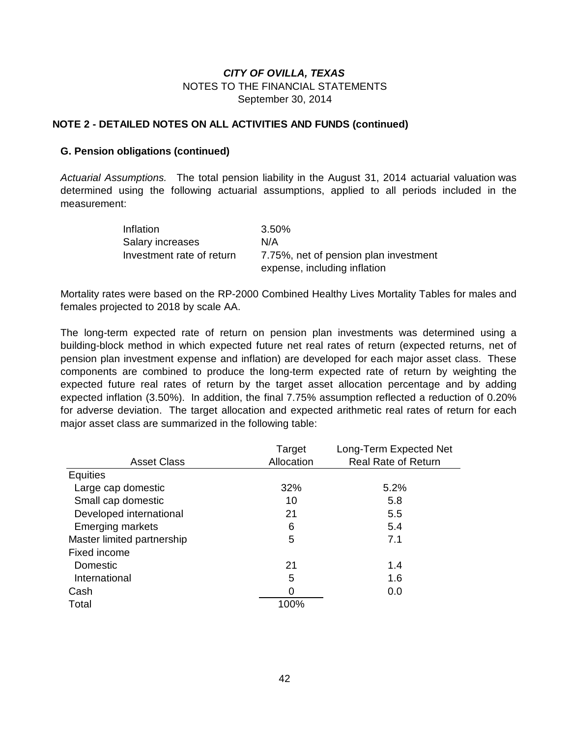# **NOTE 2 - DETAILED NOTES ON ALL ACTIVITIES AND FUNDS (continued)**

### **G. Pension obligations (continued)**

*Actuarial Assumptions.* The total pension liability in the August 31, 2014 actuarial valuation was determined using the following actuarial assumptions, applied to all periods included in the measurement:

| Inflation                 | $3.50\%$                              |
|---------------------------|---------------------------------------|
| Salary increases          | N/A                                   |
| Investment rate of return | 7.75%, net of pension plan investment |
|                           | expense, including inflation          |

Mortality rates were based on the RP-2000 Combined Healthy Lives Mortality Tables for males and females projected to 2018 by scale AA.

The long-term expected rate of return on pension plan investments was determined using a building-block method in which expected future net real rates of return (expected returns, net of pension plan investment expense and inflation) are developed for each major asset class. These components are combined to produce the long-term expected rate of return by weighting the expected future real rates of return by the target asset allocation percentage and by adding expected inflation (3.50%). In addition, the final 7.75% assumption reflected a reduction of 0.20% for adverse deviation. The target allocation and expected arithmetic real rates of return for each major asset class are summarized in the following table:

|                            | Target     | Long-Term Expected Net     |
|----------------------------|------------|----------------------------|
| <b>Asset Class</b>         | Allocation | <b>Real Rate of Return</b> |
| Equities                   |            |                            |
| Large cap domestic         | 32%        | 5.2%                       |
| Small cap domestic         | 10         | 5.8                        |
| Developed international    | 21         | 5.5                        |
| <b>Emerging markets</b>    | 6          | 5.4                        |
| Master limited partnership | 5          | 7.1                        |
| Fixed income               |            |                            |
| Domestic                   | 21         | 1.4                        |
| International              | 5          | 1.6                        |
| Cash                       | 0          | 0.0                        |
| Total                      | 100%       |                            |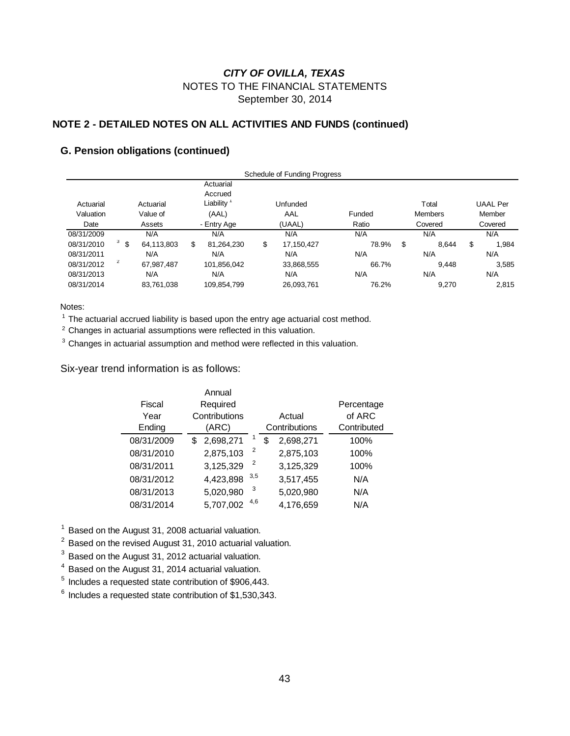# **NOTE 2 - DETAILED NOTES ON ALL ACTIVITIES AND FUNDS (continued)**

# **G. Pension obligations (continued)**

| Schedule of Funding Progress |                |            |    |             |    |            |  |        |                |    |                 |
|------------------------------|----------------|------------|----|-------------|----|------------|--|--------|----------------|----|-----------------|
|                              | Actuarial      |            |    |             |    |            |  |        |                |    |                 |
|                              |                |            |    | Accrued     |    |            |  |        |                |    |                 |
| Actuarial                    |                | Actuarial  |    | Liability   |    | Unfunded   |  |        | Total          |    | <b>UAAL</b> Per |
| Valuation                    |                | Value of   |    | (AAL)       |    | AAL        |  | Funded | <b>Members</b> |    | Member          |
| Date                         |                | Assets     |    | - Entry Age |    | (UAAL)     |  | Ratio  | Covered        |    | Covered         |
| 08/31/2009                   |                | N/A        |    | N/A         |    | N/A        |  | N/A    | N/A            |    | N/A             |
| 08/31/2010                   | 3<br>\$        | 64,113,803 | \$ | 81,264,230  | \$ | 17,150,427 |  | 78.9%  | \$<br>8.644    | \$ | 1.984           |
| 08/31/2011                   |                | N/A        |    | N/A         |    | N/A        |  | N/A    | N/A            |    | N/A             |
| 08/31/2012                   | $\overline{2}$ | 67,987,487 |    | 101,856,042 |    | 33,868,555 |  | 66.7%  | 9.448          |    | 3,585           |
| 08/31/2013                   |                | N/A        |    | N/A         |    | N/A        |  | N/A    | N/A            |    | N/A             |
| 08/31/2014                   |                | 83,761,038 |    | 109,854,799 |    | 26,093,761 |  | 76.2%  | 9.270          |    | 2,815           |

Notes:

 $1$  The actuarial accrued liability is based upon the entry age actuarial cost method.

 $2$  Changes in actuarial assumptions were reflected in this valuation.

 $3$  Changes in actuarial assumption and method were reflected in this valuation.

Six-year trend information is as follows:

|            | Annual           |    |               |             |  |
|------------|------------------|----|---------------|-------------|--|
| Fiscal     | Required         |    |               | Percentage  |  |
| Year       | Contributions    |    | Actual        | of ARC      |  |
| Ending     | (ARC)            |    | Contributions | Contributed |  |
| 08/31/2009 | 2,698,271<br>S   | \$ | 2,698,271     | 100%        |  |
| 08/31/2010 | -2<br>2,875,103  |    | 2,875,103     | 100%        |  |
| 08/31/2011 | -2<br>3,125,329  |    | 3,125,329     | 100%        |  |
| 08/31/2012 | 3,5<br>4,423,898 |    | 3,517,455     | N/A         |  |
| 08/31/2013 | 3<br>5,020,980   |    | 5,020,980     | N/A         |  |
| 08/31/2014 | 4,6<br>5,707,002 |    | 4.176.659     | N/A         |  |

 $<sup>1</sup>$  Based on the August 31, 2008 actuarial valuation.</sup>

 $2$  Based on the revised August 31, 2010 actuarial valuation.

<sup>3</sup> Based on the August 31, 2012 actuarial valuation.

<sup>4</sup> Based on the August 31, 2014 actuarial valuation.

<sup>5</sup> Includes a requested state contribution of \$906,443.

 $6$  Includes a requested state contribution of \$1,530,343.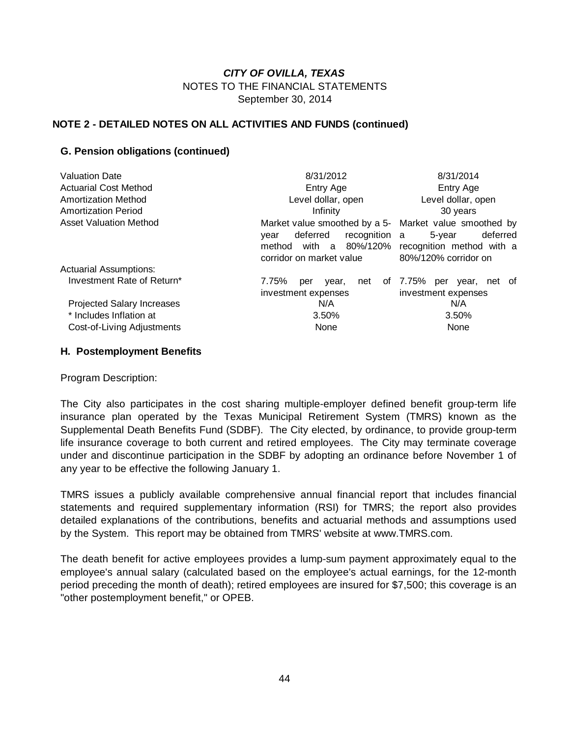# **NOTE 2 - DETAILED NOTES ON ALL ACTIVITIES AND FUNDS (continued)**

# **G. Pension obligations (continued)**

| <b>Valuation Date</b>             | 8/31/2012                                                                                                                         | 8/31/2014                                                                               |  |  |  |
|-----------------------------------|-----------------------------------------------------------------------------------------------------------------------------------|-----------------------------------------------------------------------------------------|--|--|--|
| <b>Actuarial Cost Method</b>      | Entry Age                                                                                                                         | Entry Age                                                                               |  |  |  |
| <b>Amortization Method</b>        | Level dollar, open                                                                                                                | Level dollar, open                                                                      |  |  |  |
| <b>Amortization Period</b>        | Infinity                                                                                                                          | 30 years                                                                                |  |  |  |
| <b>Asset Valuation Method</b>     | Market value smoothed by a 5- Market value smoothed by<br>deferred<br>recognition a<br>vear<br>method<br>corridor on market value | deferred<br>5-year<br>with a 80%/120% recognition method with a<br>80%/120% corridor on |  |  |  |
| <b>Actuarial Assumptions:</b>     |                                                                                                                                   |                                                                                         |  |  |  |
| Investment Rate of Return*        | 7.75%<br>net<br>vear,<br>per<br>investment expenses                                                                               | of 7.75%<br>per year, net<br>of<br>investment expenses                                  |  |  |  |
| <b>Projected Salary Increases</b> | N/A                                                                                                                               | N/A                                                                                     |  |  |  |
| * Includes Inflation at           | 3.50%                                                                                                                             | 3.50%                                                                                   |  |  |  |
| Cost-of-Living Adjustments        | None                                                                                                                              | None                                                                                    |  |  |  |

### **H. Postemployment Benefits**

# Program Description:

The City also participates in the cost sharing multiple-employer defined benefit group-term life insurance plan operated by the Texas Municipal Retirement System (TMRS) known as the Supplemental Death Benefits Fund (SDBF). The City elected, by ordinance, to provide group-term life insurance coverage to both current and retired employees. The City may terminate coverage under and discontinue participation in the SDBF by adopting an ordinance before November 1 of any year to be effective the following January 1.

TMRS issues a publicly available comprehensive annual financial report that includes financial statements and required supplementary information (RSI) for TMRS; the report also provides detailed explanations of the contributions, benefits and actuarial methods and assumptions used by the System. This report may be obtained from TMRS' website at www.TMRS.com.

The death benefit for active employees provides a lump-sum payment approximately equal to the employee's annual salary (calculated based on the employee's actual earnings, for the 12-month period preceding the month of death); retired employees are insured for \$7,500; this coverage is an "other postemployment benefit," or OPEB.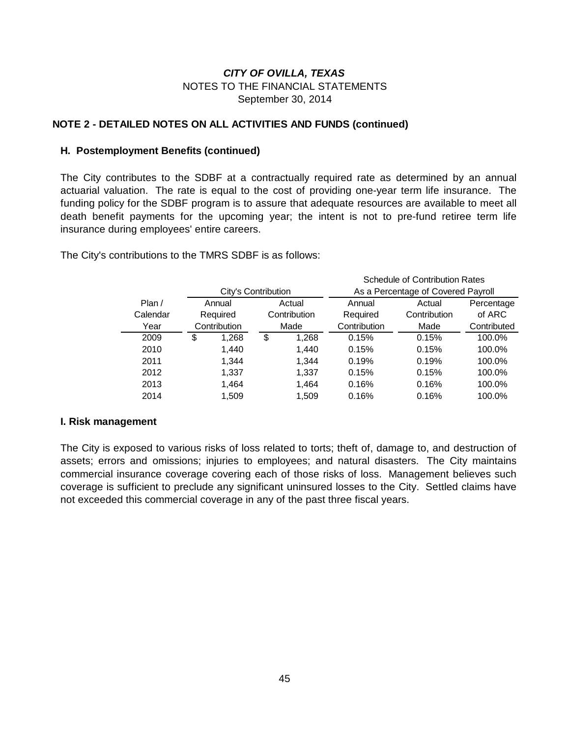### **NOTE 2 - DETAILED NOTES ON ALL ACTIVITIES AND FUNDS (continued)**

### **H. Postemployment Benefits (continued)**

The City contributes to the SDBF at a contractually required rate as determined by an annual actuarial valuation. The rate is equal to the cost of providing one-year term life insurance. The funding policy for the SDBF program is to assure that adequate resources are available to meet all death benefit payments for the upcoming year; the intent is not to pre-fund retiree term life insurance during employees' entire careers.

The City's contributions to the TMRS SDBF is as follows:

|                           |                                    | City's Contribution |                                | <b>Schedule of Contribution Rates</b><br>As a Percentage of Covered Payroll |                                |                                     |  |  |
|---------------------------|------------------------------------|---------------------|--------------------------------|-----------------------------------------------------------------------------|--------------------------------|-------------------------------------|--|--|
| Plan/<br>Calendar<br>Year | Annual<br>Required<br>Contribution |                     | Actual<br>Contribution<br>Made | Annual<br>Required<br>Contribution                                          | Actual<br>Contribution<br>Made | Percentage<br>of ARC<br>Contributed |  |  |
| 2009                      | \$                                 | 1,268               | \$<br>1,268                    | 0.15%                                                                       | 0.15%                          | 100.0%                              |  |  |
| 2010                      |                                    | 1,440               | 1,440                          | 0.15%                                                                       | 0.15%                          | 100.0%                              |  |  |
| 2011                      |                                    | 1,344               | 1,344                          | 0.19%                                                                       | 0.19%                          | 100.0%                              |  |  |
| 2012                      |                                    | 1,337               | 1,337                          | 0.15%                                                                       | 0.15%                          | 100.0%                              |  |  |
| 2013                      |                                    | 1,464               | 1,464                          | 0.16%                                                                       | 0.16%                          | 100.0%                              |  |  |
| 2014                      |                                    | 1.509               | 1.509                          | 0.16%                                                                       | 0.16%                          | 100.0%                              |  |  |

#### **I. Risk management**

The City is exposed to various risks of loss related to torts; theft of, damage to, and destruction of assets; errors and omissions; injuries to employees; and natural disasters. The City maintains commercial insurance coverage covering each of those risks of loss. Management believes such coverage is sufficient to preclude any significant uninsured losses to the City. Settled claims have not exceeded this commercial coverage in any of the past three fiscal years.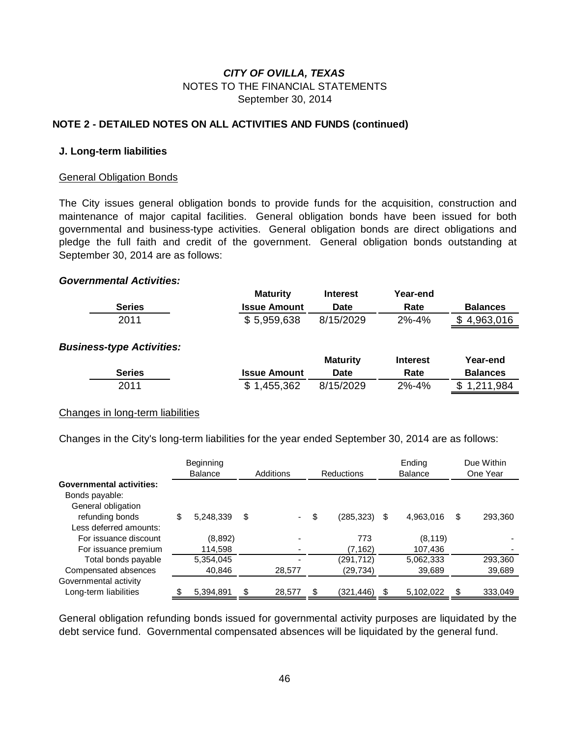### **NOTE 2 - DETAILED NOTES ON ALL ACTIVITIES AND FUNDS (continued)**

#### **J. Long-term liabilities**

#### General Obligation Bonds

The City issues general obligation bonds to provide funds for the acquisition, construction and maintenance of major capital facilities. General obligation bonds have been issued for both governmental and business-type activities. General obligation bonds are direct obligations and pledge the full faith and credit of the government. General obligation bonds outstanding at September 30, 2014 are as follows:

#### *Governmental Activities:*

|               | <b>Maturity</b>     | <b>Interest</b> | Year-end |                 |
|---------------|---------------------|-----------------|----------|-----------------|
| <b>Series</b> | <b>Issue Amount</b> | Date            | Rate     | <b>Balances</b> |
| 2011          | \$5,959,638         | 8/15/2029       | 2%-4%    | \$4,963,016     |

#### *Business-type Activities:*

|               |                     | <b>Maturity</b> | <b>Interest</b> | Year-end        |
|---------------|---------------------|-----------------|-----------------|-----------------|
| <b>Series</b> | <b>Issue Amount</b> | Date            | Rate            | <b>Balances</b> |
| 2011          | \$1,455,362         | 8/15/2029       | 2%-4%           | \$1,211,984     |

#### Changes in long-term liabilities

Changes in the City's long-term liabilities for the year ended September 30, 2014 are as follows:

|                                 | Beginning<br>Balance | Additions                      | Reductions      |   | Ending<br><b>Balance</b> |   | Due Within<br>One Year |
|---------------------------------|----------------------|--------------------------------|-----------------|---|--------------------------|---|------------------------|
| <b>Governmental activities:</b> |                      |                                |                 |   |                          |   |                        |
| Bonds payable:                  |                      |                                |                 |   |                          |   |                        |
| General obligation              |                      |                                |                 |   |                          |   |                        |
| refunding bonds                 | \$<br>5.248.339      | \$<br>$\overline{\phantom{0}}$ | \$<br>(285,323) | S | 4,963,016                | S | 293,360                |
| Less deferred amounts:          |                      |                                |                 |   |                          |   |                        |
| For issuance discount           | (8,892)              |                                | 773             |   | (8, 119)                 |   |                        |
| For issuance premium            | 114,598              |                                | (7, 162)        |   | 107,436                  |   |                        |
| Total bonds payable             | 5.354.045            |                                | (291, 712)      |   | 5,062,333                |   | 293,360                |
| Compensated absences            | 40,846               | 28,577                         | (29, 734)       |   | 39,689                   |   | 39,689                 |
| Governmental activity           |                      |                                |                 |   |                          |   |                        |
| Long-term liabilities           | 5,394,891            | \$<br>28,577                   | \$<br>(321,446) |   | 5,102,022                |   | 333.049                |

General obligation refunding bonds issued for governmental activity purposes are liquidated by the debt service fund. Governmental compensated absences will be liquidated by the general fund.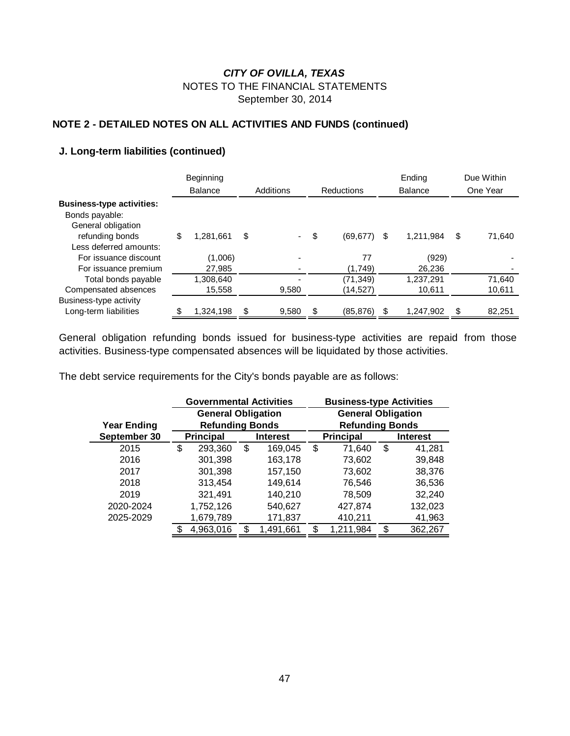# **NOTE 2 - DETAILED NOTES ON ALL ACTIVITIES AND FUNDS (continued)**

# **J. Long-term liabilities (continued)**

|                                  | Beginning       |    |           |    |                   |   | Ending         |   | Due Within |  |
|----------------------------------|-----------------|----|-----------|----|-------------------|---|----------------|---|------------|--|
|                                  | Balance         |    | Additions |    | <b>Reductions</b> |   | <b>Balance</b> |   | One Year   |  |
| <b>Business-type activities:</b> |                 |    |           |    |                   |   |                |   |            |  |
| Bonds payable:                   |                 |    |           |    |                   |   |                |   |            |  |
| General obligation               |                 |    |           |    |                   |   |                |   |            |  |
| refunding bonds                  | \$<br>1,281,661 | \$ | $\sim$    | \$ | (69, 677)         | S | 1,211,984      | S | 71,640     |  |
| Less deferred amounts:           |                 |    |           |    |                   |   |                |   |            |  |
| For issuance discount            | (1,006)         |    |           |    | 77                |   | (929)          |   |            |  |
| For issuance premium             | 27,985          |    |           |    | (1,749)           |   | 26.236         |   |            |  |
| Total bonds payable              | 1.308.640       |    |           |    | (71, 349)         |   | 1,237,291      |   | 71,640     |  |
| Compensated absences             | 15,558          |    | 9,580     |    | (14,527)          |   | 10,611         |   | 10,611     |  |
| Business-type activity           |                 |    |           |    |                   |   |                |   |            |  |
| Long-term liabilities            | 1,324,198       | \$ | 9,580     | S  | (85,876)          |   | 1,247,902      | S | 82,251     |  |

General obligation refunding bonds issued for business-type activities are repaid from those activities. Business-type compensated absences will be liquidated by those activities.

The debt service requirements for the City's bonds payable are as follows:

|                    | <b>Governmental Activities</b> |                        |    |                 | <b>Business-type Activities</b> |                        |                 |         |  |
|--------------------|--------------------------------|------------------------|----|-----------------|---------------------------------|------------------------|-----------------|---------|--|
|                    | <b>General Obligation</b>      |                        |    |                 | <b>General Obligation</b>       |                        |                 |         |  |
| <b>Year Ending</b> |                                | <b>Refunding Bonds</b> |    |                 |                                 | <b>Refunding Bonds</b> |                 |         |  |
| September 30       |                                | <b>Principal</b>       |    | <b>Interest</b> |                                 | <b>Principal</b>       | <b>Interest</b> |         |  |
| 2015               | \$                             | 293,360                | \$ | 169,045         | \$                              | 71,640                 | \$              | 41,281  |  |
| 2016               |                                | 301,398                |    | 163,178         |                                 | 73,602                 |                 | 39,848  |  |
| 2017               |                                | 301,398                |    | 157,150         |                                 | 73,602                 |                 | 38,376  |  |
| 2018               |                                | 313,454                |    | 149,614         |                                 | 76,546                 |                 | 36,536  |  |
| 2019               |                                | 321,491                |    | 140,210         |                                 | 78,509                 |                 | 32,240  |  |
| 2020-2024          |                                | 1,752,126              |    | 540,627         |                                 | 427,874                |                 | 132,023 |  |
| 2025-2029          |                                | 1,679,789              |    | 171,837         |                                 | 410,211                |                 | 41,963  |  |
|                    |                                | 4,963,016              |    | 1,491,661       |                                 | 1,211,984              | \$              | 362,267 |  |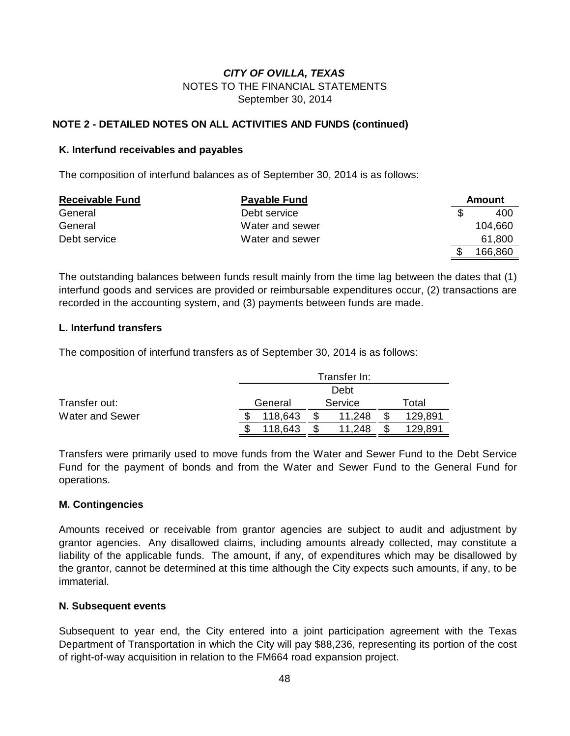# **NOTE 2 - DETAILED NOTES ON ALL ACTIVITIES AND FUNDS (continued)**

# **K. Interfund receivables and payables**

The composition of interfund balances as of September 30, 2014 is as follows:

| <b>Receivable Fund</b> | <b>Payable Fund</b> | Amount  |
|------------------------|---------------------|---------|
| General                | Debt service        | 400     |
| General                | Water and sewer     | 104.660 |
| Debt service           | Water and sewer     | 61,800  |
|                        |                     | 166,860 |

The outstanding balances between funds result mainly from the time lag between the dates that (1) interfund goods and services are provided or reimbursable expenditures occur, (2) transactions are recorded in the accounting system, and (3) payments between funds are made.

### **L. Interfund transfers**

The composition of interfund transfers as of September 30, 2014 is as follows:

|                        | Transfer In: |         |  |         |       |         |  |  |  |
|------------------------|--------------|---------|--|---------|-------|---------|--|--|--|
|                        |              |         |  | Debt    |       |         |  |  |  |
| Transfer out:          |              | General |  | Service | Total |         |  |  |  |
| <b>Water and Sewer</b> |              | 118,643 |  | 11,248  |       | 129,891 |  |  |  |
|                        |              | 118.643 |  | 11,248  |       | 129,891 |  |  |  |

Transfers were primarily used to move funds from the Water and Sewer Fund to the Debt Service Fund for the payment of bonds and from the Water and Sewer Fund to the General Fund for operations.

# **M. Contingencies**

Amounts received or receivable from grantor agencies are subject to audit and adjustment by grantor agencies. Any disallowed claims, including amounts already collected, may constitute a liability of the applicable funds. The amount, if any, of expenditures which may be disallowed by the grantor, cannot be determined at this time although the City expects such amounts, if any, to be immaterial.

# **N. Subsequent events**

Subsequent to year end, the City entered into a joint participation agreement with the Texas Department of Transportation in which the City will pay \$88,236, representing its portion of the cost of right-of-way acquisition in relation to the FM664 road expansion project.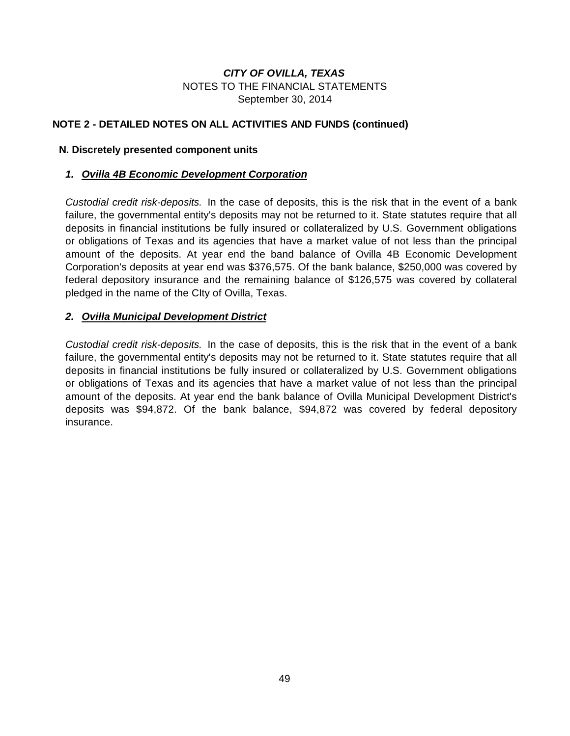# **NOTE 2 - DETAILED NOTES ON ALL ACTIVITIES AND FUNDS (continued)**

### **N. Discretely presented component units**

# *1. Ovilla 4B Economic Development Corporation*

*Custodial credit risk-deposits.* In the case of deposits, this is the risk that in the event of a bank failure, the governmental entity's deposits may not be returned to it. State statutes require that all deposits in financial institutions be fully insured or collateralized by U.S. Government obligations or obligations of Texas and its agencies that have a market value of not less than the principal amount of the deposits. At year end the band balance of Ovilla 4B Economic Development Corporation's deposits at year end was \$376,575. Of the bank balance, \$250,000 was covered by federal depository insurance and the remaining balance of \$126,575 was covered by collateral pledged in the name of the CIty of Ovilla, Texas.

# *2. Ovilla Municipal Development District*

*Custodial credit risk-deposits.* In the case of deposits, this is the risk that in the event of a bank failure, the governmental entity's deposits may not be returned to it. State statutes require that all deposits in financial institutions be fully insured or collateralized by U.S. Government obligations or obligations of Texas and its agencies that have a market value of not less than the principal amount of the deposits. At year end the bank balance of Ovilla Municipal Development District's deposits was \$94,872. Of the bank balance, \$94,872 was covered by federal depository insurance.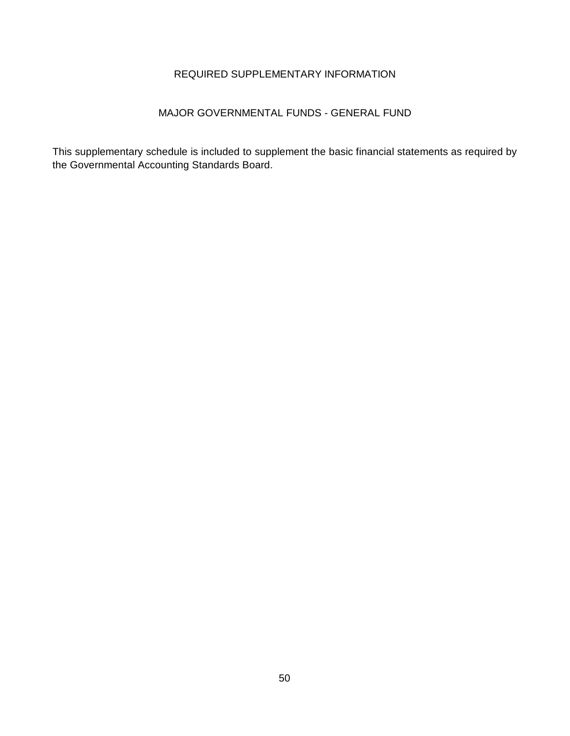# REQUIRED SUPPLEMENTARY INFORMATION

# MAJOR GOVERNMENTAL FUNDS - GENERAL FUND

This supplementary schedule is included to supplement the basic financial statements as required by the Governmental Accounting Standards Board.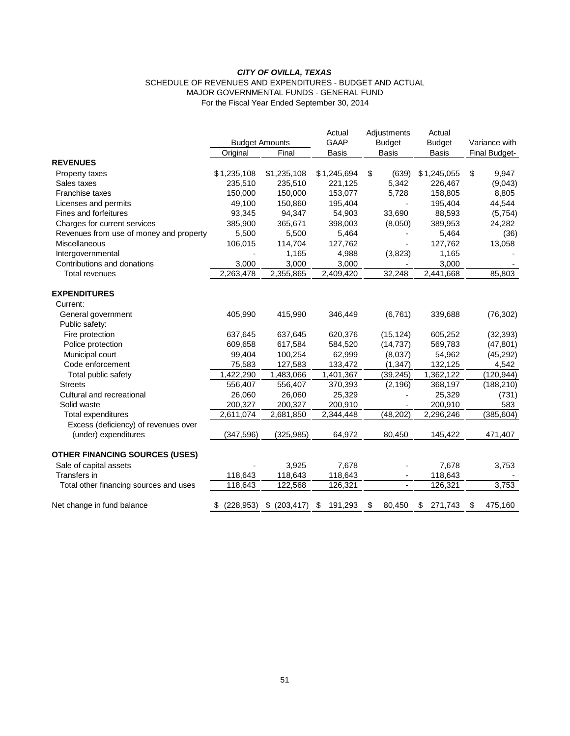#### SCHEDULE OF REVENUES AND EXPENDITURES - BUDGET AND ACTUAL MAJOR GOVERNMENTAL FUNDS - GENERAL FUND For the Fiscal Year Ended September 30, 2014

|                                         |                       |               | Actual        | Adjustments              | Actual        |               |
|-----------------------------------------|-----------------------|---------------|---------------|--------------------------|---------------|---------------|
|                                         | <b>Budget Amounts</b> |               | <b>GAAP</b>   | <b>Budget</b>            | <b>Budget</b> | Variance with |
|                                         | Original              | Final         | <b>Basis</b>  | <b>Basis</b>             | <b>Basis</b>  | Final Budget- |
| <b>REVENUES</b>                         |                       |               |               |                          |               |               |
| Property taxes                          | \$1,235,108           | \$1,235,108   | \$1,245,694   | \$<br>(639)              | \$1,245,055   | 9,947<br>\$   |
| Sales taxes                             | 235,510               | 235,510       | 221,125       | 5,342                    | 226,467       | (9,043)       |
| Franchise taxes                         | 150,000               | 150,000       | 153,077       | 5,728                    | 158,805       | 8,805         |
| Licenses and permits                    | 49,100                | 150,860       | 195,404       | $\blacksquare$           | 195,404       | 44,544        |
| <b>Fines and forfeitures</b>            | 93,345                | 94,347        | 54,903        | 33,690                   | 88,593        | (5,754)       |
| Charges for current services            | 385,900               | 365,671       | 398,003       | (8,050)                  | 389,953       | 24,282        |
| Revenues from use of money and property | 5,500                 | 5,500         | 5,464         | $\overline{\phantom{0}}$ | 5,464         | (36)          |
| Miscellaneous                           | 106,015               | 114,704       | 127,762       |                          | 127,762       | 13,058        |
| Intergovernmental                       |                       | 1,165         | 4,988         | (3,823)                  | 1,165         |               |
| Contributions and donations             | 3,000                 | 3,000         | 3,000         |                          | 3,000         |               |
| <b>Total revenues</b>                   | 2,263,478             | 2,355,865     | 2,409,420     | 32,248                   | 2,441,668     | 85,803        |
| <b>EXPENDITURES</b>                     |                       |               |               |                          |               |               |
| Current:                                |                       |               |               |                          |               |               |
| General government                      | 405,990               | 415,990       | 346,449       | (6, 761)                 | 339,688       | (76, 302)     |
| Public safety:                          |                       |               |               |                          |               |               |
| Fire protection                         | 637,645               | 637,645       | 620,376       | (15, 124)                | 605,252       | (32, 393)     |
| Police protection                       | 609,658               | 617,584       | 584,520       | (14, 737)                | 569,783       | (47, 801)     |
| Municipal court                         | 99,404                | 100,254       | 62,999        | (8,037)                  | 54,962        | (45, 292)     |
| Code enforcement                        | 75,583                | 127,583       | 133,472       | (1, 347)                 | 132,125       | 4,542         |
| Total public safety                     | 1,422,290             | 1,483,066     | 1,401,367     | (39, 245)                | 1,362,122     | (120, 944)    |
| <b>Streets</b>                          | 556,407               | 556,407       | 370,393       | (2, 196)                 | 368,197       | (188, 210)    |
| Cultural and recreational               | 26,060                | 26,060        | 25,329        |                          | 25,329        | (731)         |
| Solid waste                             | 200,327               | 200,327       | 200,910       |                          | 200,910       | 583           |
| <b>Total expenditures</b>               | 2,611,074             | 2,681,850     | 2,344,448     | (48, 202)                | 2,296,246     | (385, 604)    |
| Excess (deficiency) of revenues over    |                       |               |               |                          |               |               |
| (under) expenditures                    | (347, 596)            | (325, 985)    | 64,972        | 80,450                   | 145,422       | 471,407       |
| <b>OTHER FINANCING SOURCES (USES)</b>   |                       |               |               |                          |               |               |
| Sale of capital assets                  |                       | 3,925         | 7,678         |                          | 7,678         | 3,753         |
| Transfers in                            | 118,643               | 118,643       | 118,643       |                          | 118,643       |               |
| Total other financing sources and uses  | 118,643               | 122,568       | 126,321       | $\blacksquare$           | 126,321       | 3,753         |
| Net change in fund balance              | (228, 953)<br>\$      | \$ (203, 417) | 191,293<br>\$ | \$<br>80,450             | \$<br>271,743 | \$<br>475,160 |
|                                         |                       |               |               |                          |               |               |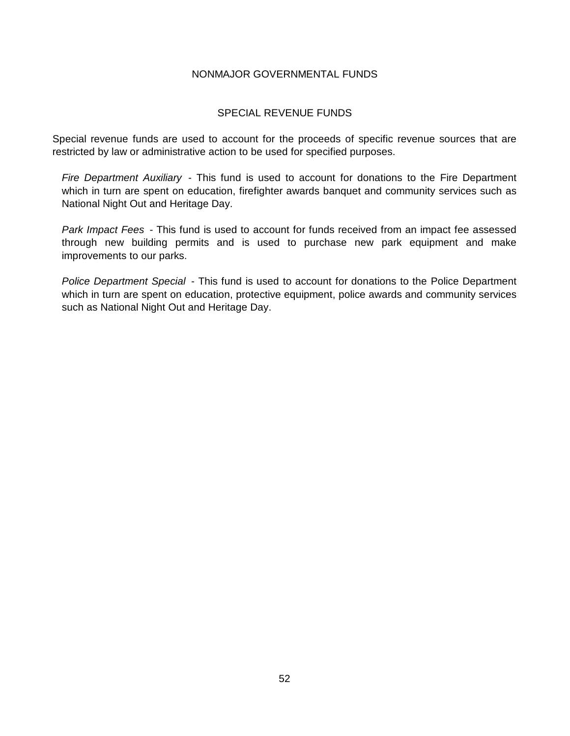### NONMAJOR GOVERNMENTAL FUNDS

# SPECIAL REVENUE FUNDS

Special revenue funds are used to account for the proceeds of specific revenue sources that are restricted by law or administrative action to be used for specified purposes.

*Fire Department Auxiliary* - This fund is used to account for donations to the Fire Department which in turn are spent on education, firefighter awards banquet and community services such as National Night Out and Heritage Day.

*Park Impact Fees* - This fund is used to account for funds received from an impact fee assessed through new building permits and is used to purchase new park equipment and make improvements to our parks.

*Police Department Special* - This fund is used to account for donations to the Police Department which in turn are spent on education, protective equipment, police awards and community services such as National Night Out and Heritage Day.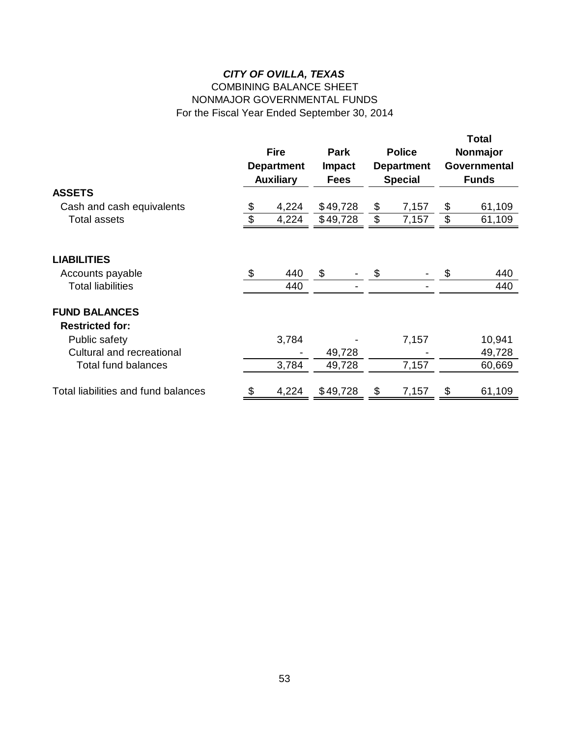# *CITY OF OVILLA, TEXAS* COMBINING BALANCE SHEET NONMAJOR GOVERNMENTAL FUNDS For the Fiscal Year Ended September 30, 2014

|                                                | <b>Fire</b><br><b>Department</b><br><b>Auxiliary</b> |       | <b>Park</b><br><b>Impact</b><br><b>Fees</b> | <b>Police</b><br><b>Department</b><br><b>Special</b> |       | <b>Total</b><br>Nonmajor<br><b>Governmental</b><br><b>Funds</b> |        |
|------------------------------------------------|------------------------------------------------------|-------|---------------------------------------------|------------------------------------------------------|-------|-----------------------------------------------------------------|--------|
| <b>ASSETS</b>                                  |                                                      |       |                                             |                                                      |       |                                                                 |        |
| Cash and cash equivalents                      | \$                                                   | 4,224 | \$49,728                                    | \$                                                   | 7,157 | \$                                                              | 61,109 |
| <b>Total assets</b>                            | $\mathcal{S}$                                        | 4,224 | \$49,728                                    | \$                                                   | 7,157 | \$                                                              | 61,109 |
| <b>LIABILITIES</b>                             |                                                      |       |                                             |                                                      |       |                                                                 |        |
| Accounts payable                               | \$                                                   | 440   | \$                                          | \$                                                   |       | \$                                                              | 440    |
| <b>Total liabilities</b>                       |                                                      | 440   |                                             |                                                      |       |                                                                 | 440    |
| <b>FUND BALANCES</b><br><b>Restricted for:</b> |                                                      |       |                                             |                                                      |       |                                                                 |        |
| Public safety                                  |                                                      | 3,784 |                                             |                                                      | 7,157 |                                                                 | 10,941 |
| Cultural and recreational                      |                                                      |       | 49,728                                      |                                                      |       |                                                                 | 49,728 |
| <b>Total fund balances</b>                     |                                                      | 3,784 | 49,728                                      |                                                      | 7,157 |                                                                 | 60,669 |
| Total liabilities and fund balances            | \$                                                   | 4,224 | \$49,728                                    | \$                                                   | 7,157 | \$                                                              | 61,109 |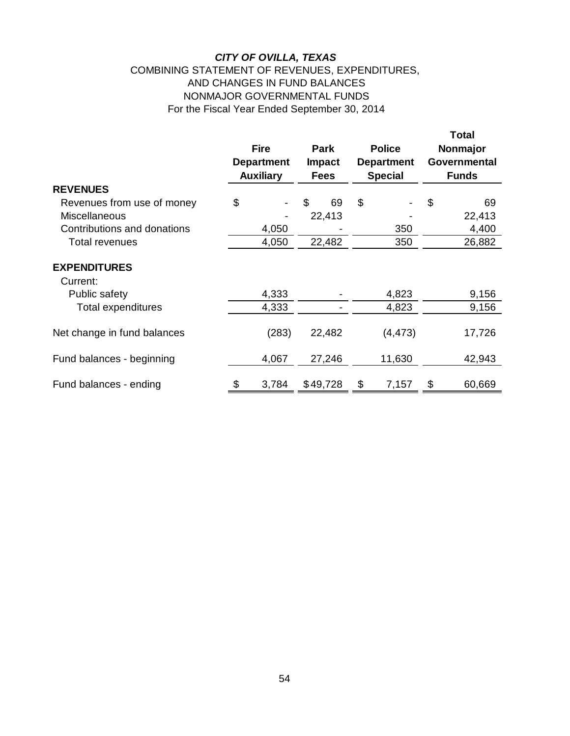# COMBINING STATEMENT OF REVENUES, EXPENDITURES, AND CHANGES IN FUND BALANCES NONMAJOR GOVERNMENTAL FUNDS For the Fiscal Year Ended September 30, 2014

|                             | <b>Fire</b><br><b>Department</b><br><b>Auxiliary</b> |       | Park<br><b>Impact</b><br><b>Fees</b> |          | <b>Police</b><br><b>Department</b><br><b>Special</b> |    | Total<br>Nonmajor<br>Governmental<br><b>Funds</b> |
|-----------------------------|------------------------------------------------------|-------|--------------------------------------|----------|------------------------------------------------------|----|---------------------------------------------------|
| <b>REVENUES</b>             |                                                      |       |                                      |          |                                                      |    |                                                   |
| Revenues from use of money  | \$                                                   |       | \$                                   | \$<br>69 |                                                      | \$ | 69                                                |
| <b>Miscellaneous</b>        |                                                      |       | 22,413                               |          |                                                      |    | 22,413                                            |
| Contributions and donations |                                                      | 4,050 |                                      |          | 350                                                  |    | 4,400                                             |
| <b>Total revenues</b>       |                                                      | 4,050 | 22,482                               |          | 350                                                  |    | 26,882                                            |
| <b>EXPENDITURES</b>         |                                                      |       |                                      |          |                                                      |    |                                                   |
| Current:                    |                                                      |       |                                      |          |                                                      |    |                                                   |
| Public safety               |                                                      | 4,333 |                                      |          | 4,823                                                |    | 9,156                                             |
| Total expenditures          |                                                      | 4,333 |                                      |          | 4,823                                                |    | 9,156                                             |
| Net change in fund balances |                                                      | (283) | 22,482                               |          | (4, 473)                                             |    | 17,726                                            |
| Fund balances - beginning   |                                                      | 4,067 | 27,246                               |          | 11,630                                               |    | 42,943                                            |
| Fund balances - ending      | \$                                                   | 3,784 | \$49,728                             | \$       | 7,157                                                | \$ | 60,669                                            |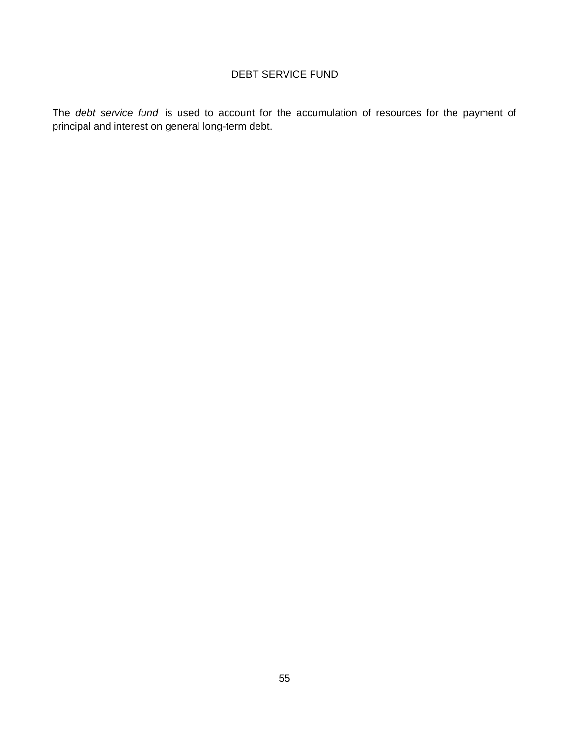# DEBT SERVICE FUND

The *debt service fund* is used to account for the accumulation of resources for the payment of principal and interest on general long-term debt.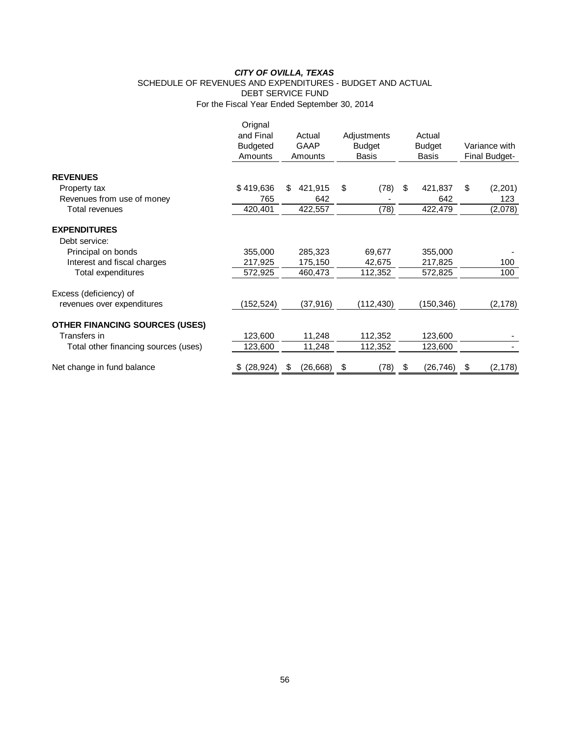# SCHEDULE OF REVENUES AND EXPENDITURES - BUDGET AND ACTUAL

DEBT SERVICE FUND

For the Fiscal Year Ended September 30, 2014

|                                       | Orignal         |                |               |               |                |  |
|---------------------------------------|-----------------|----------------|---------------|---------------|----------------|--|
|                                       | and Final       | Actual         | Adjustments   | Actual        |                |  |
|                                       | <b>Budgeted</b> | <b>GAAP</b>    | <b>Budget</b> | <b>Budget</b> | Variance with  |  |
|                                       | Amounts         | Amounts        | <b>Basis</b>  | Basis         | Final Budget-  |  |
| <b>REVENUES</b>                       |                 |                |               |               |                |  |
|                                       |                 |                |               |               |                |  |
| Property tax                          | \$419,636       | \$<br>421,915  | (78)<br>S     | \$<br>421,837 | (2, 201)<br>\$ |  |
| Revenues from use of money            | 765             | 642            |               | 642           | 123            |  |
| Total revenues                        | 420,401         | 422,557        | (78)          | 422,479       | (2,078)        |  |
| <b>EXPENDITURES</b>                   |                 |                |               |               |                |  |
| Debt service:                         |                 |                |               |               |                |  |
| Principal on bonds                    | 355,000         | 285,323        | 69,677        | 355,000       |                |  |
| Interest and fiscal charges           | 217,925         | 175,150        | 42,675        | 217,825       | 100            |  |
| Total expenditures                    | 572,925         | 460,473        | 112,352       | 572,825       | 100            |  |
| Excess (deficiency) of                |                 |                |               |               |                |  |
| revenues over expenditures            | (152, 524)      | (37,916)       | (112,430)     | (150, 346)    | (2, 178)       |  |
| <b>OTHER FINANCING SOURCES (USES)</b> |                 |                |               |               |                |  |
|                                       |                 |                |               |               |                |  |
| Transfers in                          | 123,600         | 11,248         | 112,352       | 123,600       |                |  |
| Total other financing sources (uses)  | 123,600         | 11,248         | 112,352       | 123,600       |                |  |
| Net change in fund balance            | (28, 924)       | (26,668)<br>æ. | (78)<br>\$    | (26, 746)     | (2, 178)<br>\$ |  |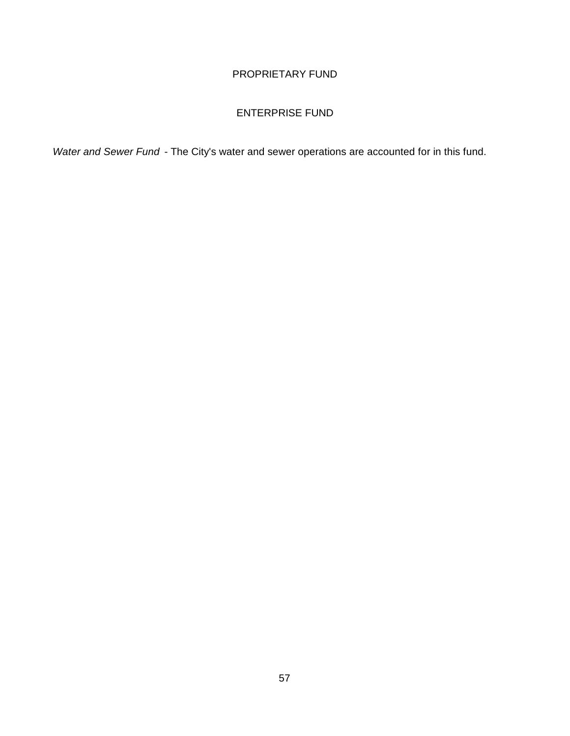# PROPRIETARY FUND

# ENTERPRISE FUND

*Water and Sewer Fund* - The City's water and sewer operations are accounted for in this fund.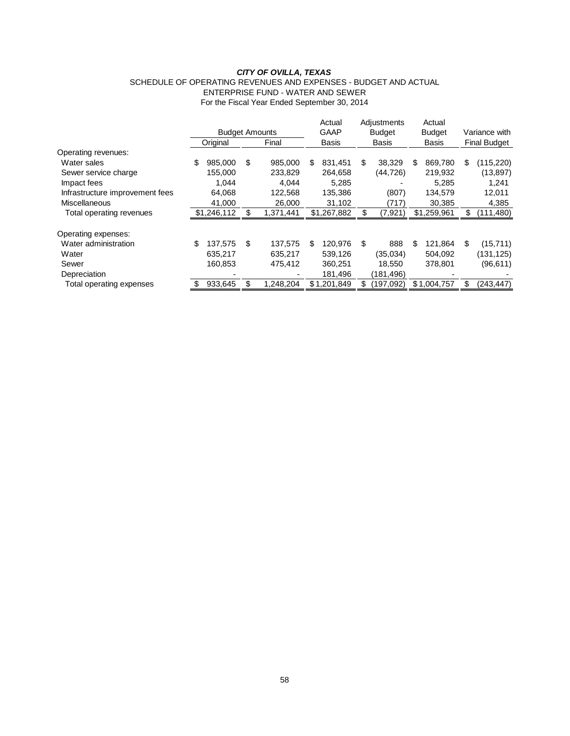#### *CITY OF OVILLA, TEXAS* SCHEDULE OF OPERATING REVENUES AND EXPENSES - BUDGET AND ACTUAL ENTERPRISE FUND - WATER AND SEWER For the Fiscal Year Ended September 30, 2014

|                                 |     |                       |    |           |     | Actual       |               | Adjustments  |               | Actual      |               |                     |
|---------------------------------|-----|-----------------------|----|-----------|-----|--------------|---------------|--------------|---------------|-------------|---------------|---------------------|
|                                 |     | <b>Budget Amounts</b> |    |           |     | GAAP         | <b>Budget</b> |              | <b>Budget</b> |             | Variance with |                     |
|                                 |     | Original              |    | Final     |     | <b>Basis</b> |               | <b>Basis</b> |               | Basis       |               | <b>Final Budget</b> |
| Operating revenues:             |     |                       |    |           |     |              |               |              |               |             |               |                     |
| Water sales                     | \$. | 985,000               | \$ | 985,000   | \$. | 831.451      | \$            | 38.329       | \$.           | 869.780     | S             | (115, 220)          |
| Sewer service charge            |     | 155.000               |    | 233,829   |     | 264,658      |               | (44, 726)    |               | 219,932     |               | (13, 897)           |
| Impact fees                     |     | 1,044                 |    | 4.044     |     | 5.285        |               |              |               | 5.285       |               | 1.241               |
| Infrastructure improvement fees |     | 64,068                |    | 122,568   |     | 135,386      |               | (807)        |               | 134,579     |               | 12,011              |
| <b>Miscellaneous</b>            |     | 41,000                |    | 26,000    |     | 31.102       |               | (717)        |               | 30.385      |               | 4,385               |
| Total operating revenues        |     | \$1,246,112           | \$ | 1,371,441 |     | \$1,267,882  |               | (7,921)      |               | \$1,259,961 | \$            | (111,480)           |
| Operating expenses:             |     |                       |    |           |     |              |               |              |               |             |               |                     |
| Water administration            | \$  | 137,575               | \$ | 137,575   | \$  | 120.976      | \$            | 888          | S             | 121,864     | \$            | (15, 711)           |
| Water                           |     | 635.217               |    | 635,217   |     | 539.126      |               | (35,034)     |               | 504.092     |               | (131,125)           |
| Sewer                           |     | 160,853               |    | 475.412   |     | 360,251      |               | 18.550       |               | 378,801     |               | (96, 611)           |
| Depreciation                    |     |                       |    |           |     | 181,496      |               | (181,496)    |               |             |               |                     |
| Total operating expenses        |     | 933,645               | \$ | 1,248,204 |     | \$1,201,849  |               | (197,092)    |               | \$1,004,757 | \$            | (243, 447)          |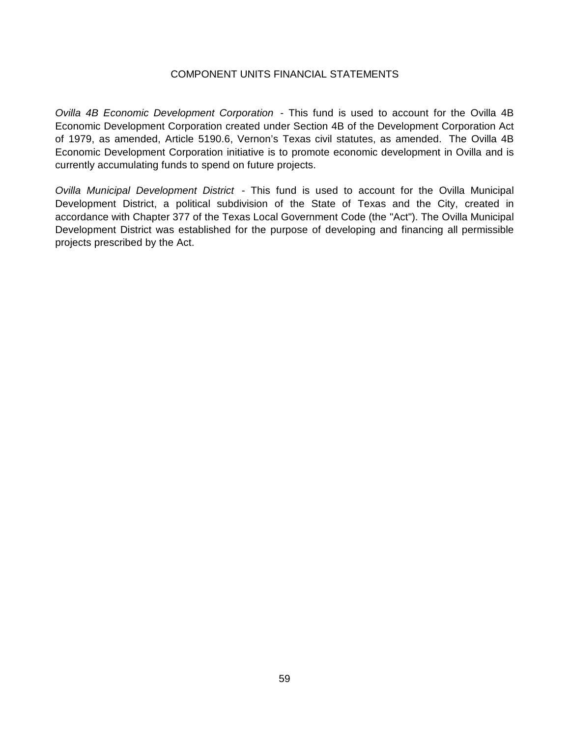### COMPONENT UNITS FINANCIAL STATEMENTS

*Ovilla 4B Economic Development Corporation* - This fund is used to account for the Ovilla 4B Economic Development Corporation created under Section 4B of the Development Corporation Act of 1979, as amended, Article 5190.6, Vernon's Texas civil statutes, as amended. The Ovilla 4B Economic Development Corporation initiative is to promote economic development in Ovilla and is currently accumulating funds to spend on future projects.

*Ovilla Municipal Development District* - This fund is used to account for the Ovilla Municipal Development District, a political subdivision of the State of Texas and the City, created in accordance with Chapter 377 of the Texas Local Government Code (the "Act"). The Ovilla Municipal Development District was established for the purpose of developing and financing all permissible projects prescribed by the Act.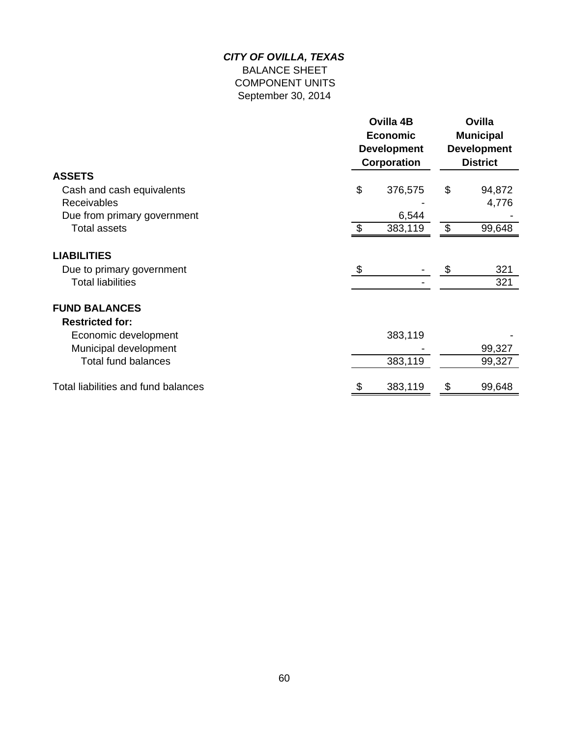# BALANCE SHEET COMPONENT UNITS September 30, 2014

|                                     |                            | <b>Ovilla 4B</b><br><b>Economic</b><br><b>Development</b><br>Corporation |                           | Ovilla<br><b>Municipal</b><br><b>Development</b><br><b>District</b> |  |  |
|-------------------------------------|----------------------------|--------------------------------------------------------------------------|---------------------------|---------------------------------------------------------------------|--|--|
| <b>ASSETS</b>                       |                            |                                                                          |                           |                                                                     |  |  |
| Cash and cash equivalents           | \$                         | 376,575                                                                  | \$                        | 94,872                                                              |  |  |
| <b>Receivables</b>                  |                            |                                                                          |                           | 4,776                                                               |  |  |
| Due from primary government         |                            | 6,544                                                                    |                           |                                                                     |  |  |
| <b>Total assets</b>                 | $\boldsymbol{\mathcal{F}}$ | 383,119                                                                  | $\boldsymbol{\mathsf{S}}$ | 99,648                                                              |  |  |
| <b>LIABILITIES</b>                  |                            |                                                                          |                           |                                                                     |  |  |
| Due to primary government           | \$                         |                                                                          | \$                        | 321                                                                 |  |  |
| <b>Total liabilities</b>            |                            |                                                                          |                           | 321                                                                 |  |  |
| <b>FUND BALANCES</b>                |                            |                                                                          |                           |                                                                     |  |  |
| <b>Restricted for:</b>              |                            |                                                                          |                           |                                                                     |  |  |
| Economic development                |                            | 383,119                                                                  |                           |                                                                     |  |  |
| Municipal development               |                            |                                                                          |                           | 99,327                                                              |  |  |
| <b>Total fund balances</b>          |                            | 383,119                                                                  |                           | 99,327                                                              |  |  |
| Total liabilities and fund balances |                            | 383,119                                                                  | \$                        | 99,648                                                              |  |  |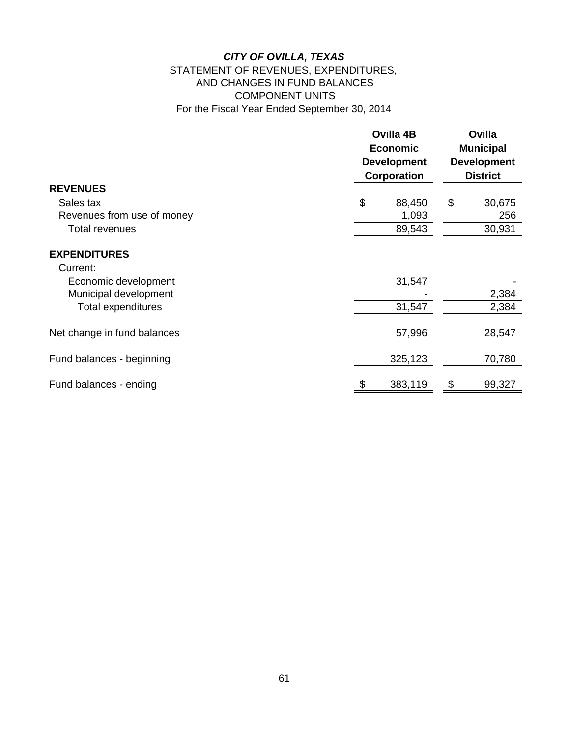# STATEMENT OF REVENUES, EXPENDITURES, AND CHANGES IN FUND BALANCES COMPONENT UNITS For the Fiscal Year Ended September 30, 2014

|                             | Ovilla 4B<br><b>Economic</b><br><b>Development</b><br>Corporation | Ovilla<br><b>Municipal</b><br><b>Development</b><br><b>District</b> |  |  |
|-----------------------------|-------------------------------------------------------------------|---------------------------------------------------------------------|--|--|
| <b>REVENUES</b>             |                                                                   |                                                                     |  |  |
| Sales tax                   | \$<br>88,450                                                      | \$<br>30,675                                                        |  |  |
| Revenues from use of money  | 1,093                                                             | 256                                                                 |  |  |
| <b>Total revenues</b>       | 89,543                                                            | 30,931                                                              |  |  |
| <b>EXPENDITURES</b>         |                                                                   |                                                                     |  |  |
| Current:                    |                                                                   |                                                                     |  |  |
| Economic development        | 31,547                                                            |                                                                     |  |  |
| Municipal development       |                                                                   | 2,384                                                               |  |  |
| <b>Total expenditures</b>   | 31,547                                                            | 2,384                                                               |  |  |
| Net change in fund balances | 57,996                                                            | 28,547                                                              |  |  |
| Fund balances - beginning   | 325,123                                                           | 70,780                                                              |  |  |
| Fund balances - ending      | 383,119<br>\$                                                     | 99,327<br>\$                                                        |  |  |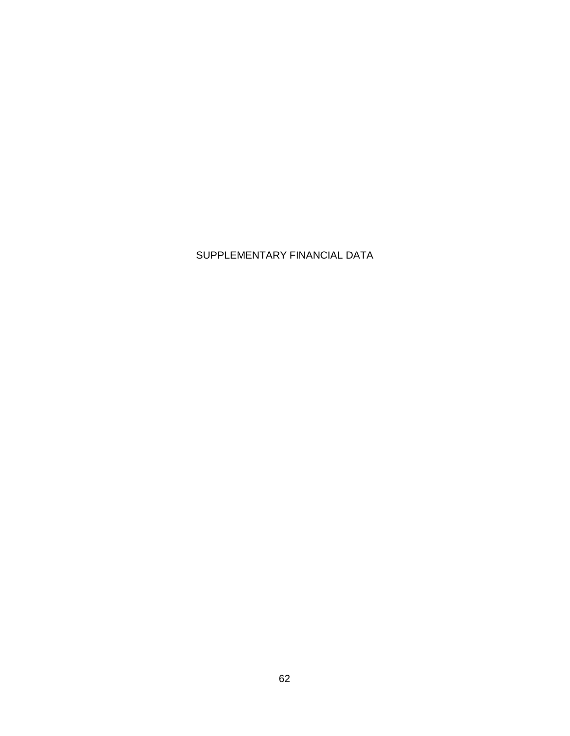# SUPPLEMENTARY FINANCIAL DATA